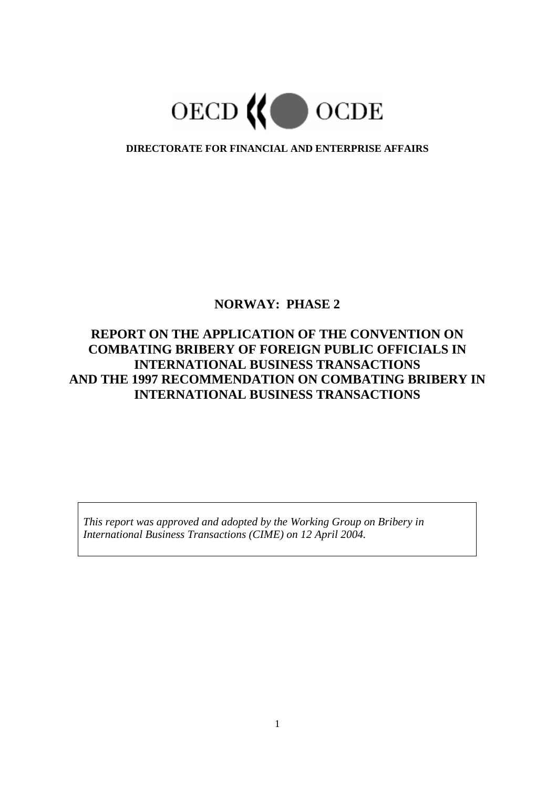

## **DIRECTORATE FOR FINANCIAL AND ENTERPRISE AFFAIRS**

# **NORWAY: PHASE 2**

# **REPORT ON THE APPLICATION OF THE CONVENTION ON COMBATING BRIBERY OF FOREIGN PUBLIC OFFICIALS IN INTERNATIONAL BUSINESS TRANSACTIONS AND THE 1997 RECOMMENDATION ON COMBATING BRIBERY IN INTERNATIONAL BUSINESS TRANSACTIONS**

*This report was approved and adopted by the Working Group on Bribery in International Business Transactions (CIME) on 12 April 2004.*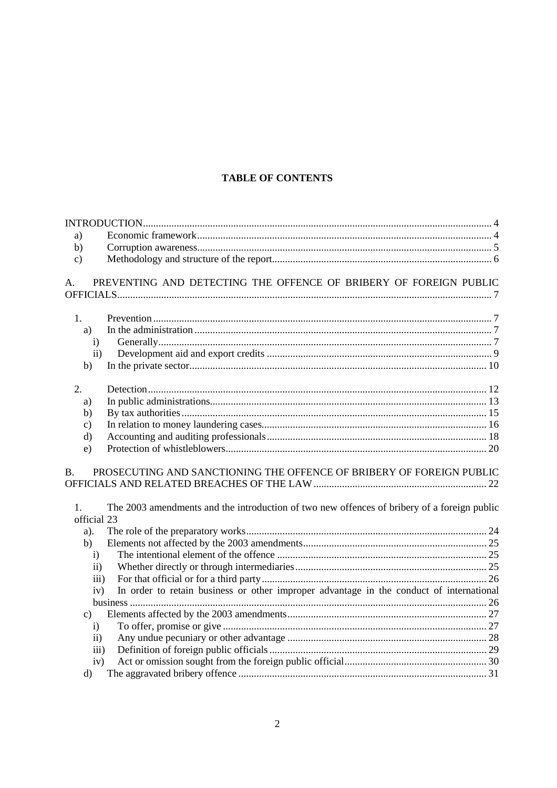## **TABLE OF CONTENTS**

| a)             |                                                                                             |  |
|----------------|---------------------------------------------------------------------------------------------|--|
| b)             |                                                                                             |  |
| $\mathbf{c})$  |                                                                                             |  |
| A.             | PREVENTING AND DETECTING THE OFFENCE OF BRIBERY OF FOREIGN PUBLIC                           |  |
|                |                                                                                             |  |
| 1.             |                                                                                             |  |
| a)             |                                                                                             |  |
| $\mathbf{i}$   |                                                                                             |  |
| $\mathbf{ii}$  |                                                                                             |  |
| b)             |                                                                                             |  |
| 2.             |                                                                                             |  |
| a)             |                                                                                             |  |
| b)             |                                                                                             |  |
| $\mathbf{c})$  |                                                                                             |  |
| $\rm d$        |                                                                                             |  |
| e)             |                                                                                             |  |
| <b>B.</b>      | PROSECUTING AND SANCTIONING THE OFFENCE OF BRIBERY OF FOREIGN PUBLIC                        |  |
|                |                                                                                             |  |
|                |                                                                                             |  |
| 1 <sub>1</sub> | The 2003 amendments and the introduction of two new offences of bribery of a foreign public |  |
| official 23    |                                                                                             |  |
| a).            |                                                                                             |  |
| b)             |                                                                                             |  |
| $\mathbf{i}$   |                                                                                             |  |
| $\rm ii)$      |                                                                                             |  |
| iii)           |                                                                                             |  |
| iv)            | In order to retain business or other improper advantage in the conduct of international     |  |
|                |                                                                                             |  |
| c)             |                                                                                             |  |
| $\mathbf{i}$   |                                                                                             |  |
| $\mathbf{ii}$  |                                                                                             |  |
| iii)           |                                                                                             |  |
| iv)            |                                                                                             |  |
| $\rm d$        |                                                                                             |  |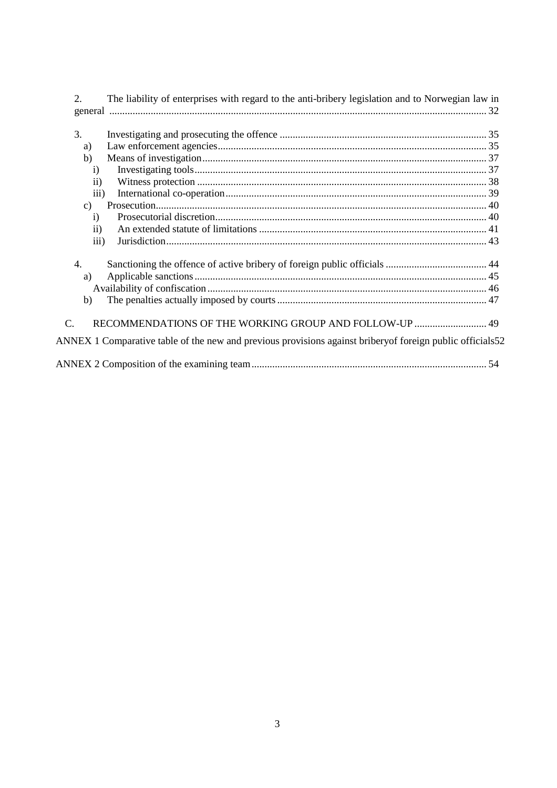| 2.            | The liability of enterprises with regard to the anti-bribery legislation and to Norwegian law in            |  |
|---------------|-------------------------------------------------------------------------------------------------------------|--|
|               |                                                                                                             |  |
| 3.            |                                                                                                             |  |
| a)            |                                                                                                             |  |
| b)            |                                                                                                             |  |
| $\mathbf{i}$  |                                                                                                             |  |
| $\mathbf{ii}$ |                                                                                                             |  |
| iii)          |                                                                                                             |  |
| c)            |                                                                                                             |  |
| $\mathbf{i}$  |                                                                                                             |  |
| $\mathbf{ii}$ |                                                                                                             |  |
| iii)          |                                                                                                             |  |
| 4.            |                                                                                                             |  |
| a)            |                                                                                                             |  |
|               |                                                                                                             |  |
| b)            |                                                                                                             |  |
| $\mathcal{C}$ | RECOMMENDATIONS OF THE WORKING GROUP AND FOLLOW-UP  49                                                      |  |
|               | ANNEX 1 Comparative table of the new and previous provisions against bribery of foreign public officials 52 |  |
|               |                                                                                                             |  |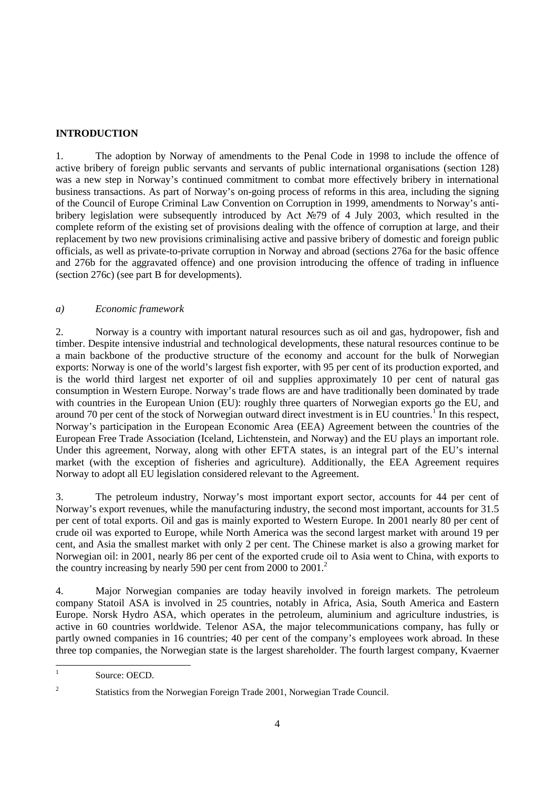## **INTRODUCTION**

1. The adoption by Norway of amendments to the Penal Code in 1998 to include the offence of active bribery of foreign public servants and servants of public international organisations (section 128) was a new step in Norway's continued commitment to combat more effectively bribery in international business transactions. As part of Norway's on-going process of reforms in this area, including the signing of the Council of Europe Criminal Law Convention on Corruption in 1999, amendments to Norway's antibribery legislation were subsequently introduced by Act №79 of 4 July 2003, which resulted in the complete reform of the existing set of provisions dealing with the offence of corruption at large, and their replacement by two new provisions criminalising active and passive bribery of domestic and foreign public officials, as well as private-to-private corruption in Norway and abroad (sections 276a for the basic offence and 276b for the aggravated offence) and one provision introducing the offence of trading in influence (section 276c) (see part B for developments).

## *a) Economic framework*

2. Norway is a country with important natural resources such as oil and gas, hydropower, fish and timber. Despite intensive industrial and technological developments, these natural resources continue to be a main backbone of the productive structure of the economy and account for the bulk of Norwegian exports: Norway is one of the world's largest fish exporter, with 95 per cent of its production exported, and is the world third largest net exporter of oil and supplies approximately 10 per cent of natural gas consumption in Western Europe. Norway's trade flows are and have traditionally been dominated by trade with countries in the European Union (EU): roughly three quarters of Norwegian exports go the EU, and around 70 per cent of the stock of Norwegian outward direct investment is in EU countries.<sup>1</sup> In this respect, Norway's participation in the European Economic Area (EEA) Agreement between the countries of the European Free Trade Association (Iceland, Lichtenstein, and Norway) and the EU plays an important role. Under this agreement, Norway, along with other EFTA states, is an integral part of the EU's internal market (with the exception of fisheries and agriculture). Additionally, the EEA Agreement requires Norway to adopt all EU legislation considered relevant to the Agreement.

3. The petroleum industry, Norway's most important export sector, accounts for 44 per cent of Norway's export revenues, while the manufacturing industry, the second most important, accounts for 31.5 per cent of total exports. Oil and gas is mainly exported to Western Europe. In 2001 nearly 80 per cent of crude oil was exported to Europe, while North America was the second largest market with around 19 per cent, and Asia the smallest market with only 2 per cent. The Chinese market is also a growing market for Norwegian oil: in 2001, nearly 86 per cent of the exported crude oil to Asia went to China, with exports to the country increasing by nearly 590 per cent from  $2000$  to  $2001$ .<sup>2</sup>

4. Major Norwegian companies are today heavily involved in foreign markets. The petroleum company Statoil ASA is involved in 25 countries, notably in Africa, Asia, South America and Eastern Europe. Norsk Hydro ASA, which operates in the petroleum, aluminium and agriculture industries, is active in 60 countries worldwide. Telenor ASA, the major telecommunications company, has fully or partly owned companies in 16 countries; 40 per cent of the company's employees work abroad. In these three top companies, the Norwegian state is the largest shareholder. The fourth largest company, Kvaerner

<sup>|&</sup>lt;br>|<br>| Source: OECD.

Statistics from the Norwegian Foreign Trade 2001, Norwegian Trade Council.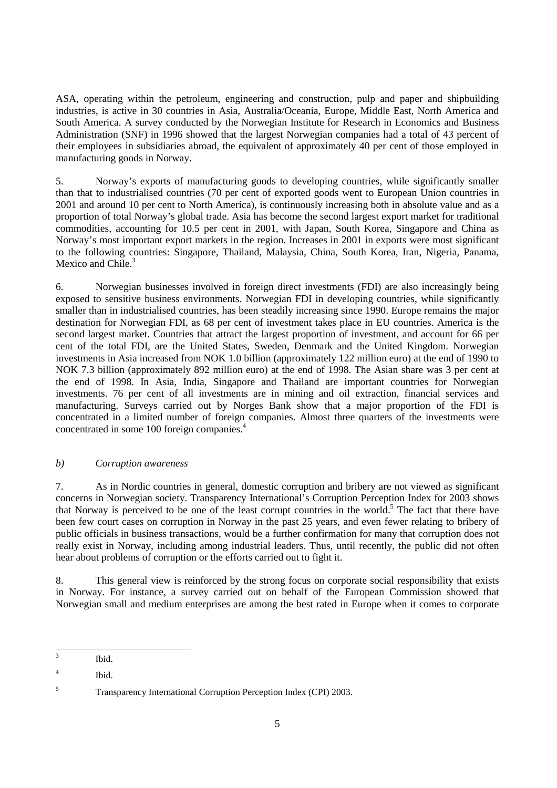ASA, operating within the petroleum, engineering and construction, pulp and paper and shipbuilding industries, is active in 30 countries in Asia, Australia/Oceania, Europe, Middle East, North America and South America. A survey conducted by the Norwegian Institute for Research in Economics and Business Administration (SNF) in 1996 showed that the largest Norwegian companies had a total of 43 percent of their employees in subsidiaries abroad, the equivalent of approximately 40 per cent of those employed in manufacturing goods in Norway.

5. Norway's exports of manufacturing goods to developing countries, while significantly smaller than that to industrialised countries (70 per cent of exported goods went to European Union countries in 2001 and around 10 per cent to North America), is continuously increasing both in absolute value and as a proportion of total Norway's global trade. Asia has become the second largest export market for traditional commodities, accounting for 10.5 per cent in 2001, with Japan, South Korea, Singapore and China as Norway's most important export markets in the region. Increases in 2001 in exports were most significant to the following countries: Singapore, Thailand, Malaysia, China, South Korea, Iran, Nigeria, Panama, Mexico and Chile.<sup>3</sup>

6. Norwegian businesses involved in foreign direct investments (FDI) are also increasingly being exposed to sensitive business environments. Norwegian FDI in developing countries, while significantly smaller than in industrialised countries, has been steadily increasing since 1990. Europe remains the major destination for Norwegian FDI, as 68 per cent of investment takes place in EU countries. America is the second largest market. Countries that attract the largest proportion of investment, and account for 66 per cent of the total FDI, are the United States, Sweden, Denmark and the United Kingdom. Norwegian investments in Asia increased from NOK 1.0 billion (approximately 122 million euro) at the end of 1990 to NOK 7.3 billion (approximately 892 million euro) at the end of 1998. The Asian share was 3 per cent at the end of 1998. In Asia, India, Singapore and Thailand are important countries for Norwegian investments. 76 per cent of all investments are in mining and oil extraction, financial services and manufacturing. Surveys carried out by Norges Bank show that a major proportion of the FDI is concentrated in a limited number of foreign companies. Almost three quarters of the investments were concentrated in some 100 foreign companies.<sup>4</sup>

## *b) Corruption awareness*

7. As in Nordic countries in general, domestic corruption and bribery are not viewed as significant concerns in Norwegian society. Transparency International's Corruption Perception Index for 2003 shows that Norway is perceived to be one of the least corrupt countries in the world.<sup>5</sup> The fact that there have been few court cases on corruption in Norway in the past 25 years, and even fewer relating to bribery of public officials in business transactions, would be a further confirmation for many that corruption does not really exist in Norway, including among industrial leaders. Thus, until recently, the public did not often hear about problems of corruption or the efforts carried out to fight it.

8. This general view is reinforced by the strong focus on corporate social responsibility that exists in Norway. For instance, a survey carried out on behalf of the European Commission showed that Norwegian small and medium enterprises are among the best rated in Europe when it comes to corporate

 3 Ibid.

<sup>4</sup> Ibid.

<sup>5</sup> Transparency International Corruption Perception Index (CPI) 2003.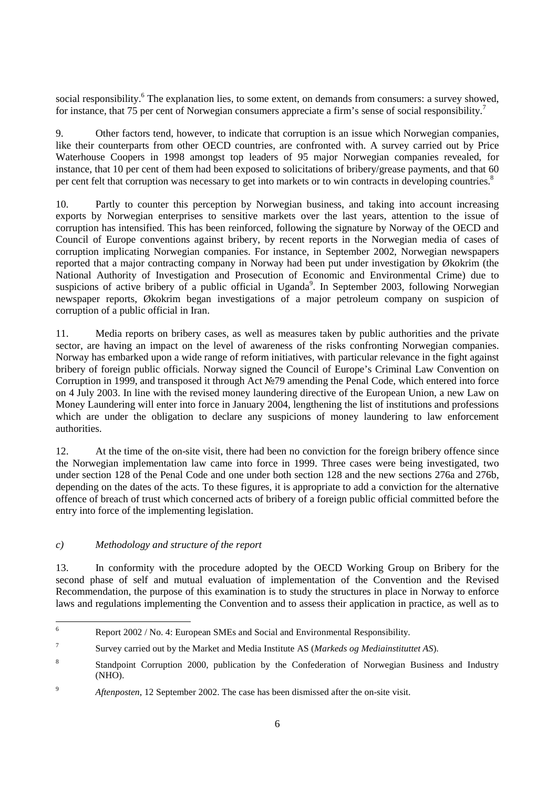social responsibility.<sup>6</sup> The explanation lies, to some extent, on demands from consumers: a survey showed, for instance, that 75 per cent of Norwegian consumers appreciate a firm's sense of social responsibility.<sup>7</sup>

9. Other factors tend, however, to indicate that corruption is an issue which Norwegian companies, like their counterparts from other OECD countries, are confronted with. A survey carried out by Price Waterhouse Coopers in 1998 amongst top leaders of 95 major Norwegian companies revealed, for instance, that 10 per cent of them had been exposed to solicitations of bribery/grease payments, and that 60 per cent felt that corruption was necessary to get into markets or to win contracts in developing countries.<sup>8</sup>

10. Partly to counter this perception by Norwegian business, and taking into account increasing exports by Norwegian enterprises to sensitive markets over the last years, attention to the issue of corruption has intensified. This has been reinforced, following the signature by Norway of the OECD and Council of Europe conventions against bribery, by recent reports in the Norwegian media of cases of corruption implicating Norwegian companies. For instance, in September 2002, Norwegian newspapers reported that a major contracting company in Norway had been put under investigation by Økokrim (the National Authority of Investigation and Prosecution of Economic and Environmental Crime) due to suspicions of active bribery of a public official in Uganda<sup>9</sup>. In September 2003, following Norwegian newspaper reports, Økokrim began investigations of a major petroleum company on suspicion of corruption of a public official in Iran.

11. Media reports on bribery cases, as well as measures taken by public authorities and the private sector, are having an impact on the level of awareness of the risks confronting Norwegian companies. Norway has embarked upon a wide range of reform initiatives, with particular relevance in the fight against bribery of foreign public officials. Norway signed the Council of Europe's Criminal Law Convention on Corruption in 1999, and transposed it through Act №79 amending the Penal Code, which entered into force on 4 July 2003. In line with the revised money laundering directive of the European Union, a new Law on Money Laundering will enter into force in January 2004, lengthening the list of institutions and professions which are under the obligation to declare any suspicions of money laundering to law enforcement authorities.

12. At the time of the on-site visit, there had been no conviction for the foreign bribery offence since the Norwegian implementation law came into force in 1999. Three cases were being investigated, two under section 128 of the Penal Code and one under both section 128 and the new sections 276a and 276b, depending on the dates of the acts. To these figures, it is appropriate to add a conviction for the alternative offence of breach of trust which concerned acts of bribery of a foreign public official committed before the entry into force of the implementing legislation.

## *c) Methodology and structure of the report*

13. In conformity with the procedure adopted by the OECD Working Group on Bribery for the second phase of self and mutual evaluation of implementation of the Convention and the Revised Recommendation, the purpose of this examination is to study the structures in place in Norway to enforce laws and regulations implementing the Convention and to assess their application in practice, as well as to

 $\overline{6}$ 6 Report 2002 / No. 4: European SMEs and Social and Environmental Responsibility.

<sup>7</sup> Survey carried out by the Market and Media Institute AS (*Markeds og Mediainstituttet AS*).

<sup>8</sup> Standpoint Corruption 2000, publication by the Confederation of Norwegian Business and Industry (NHO).

<sup>9</sup>*Aftenposten*, 12 September 2002. The case has been dismissed after the on-site visit.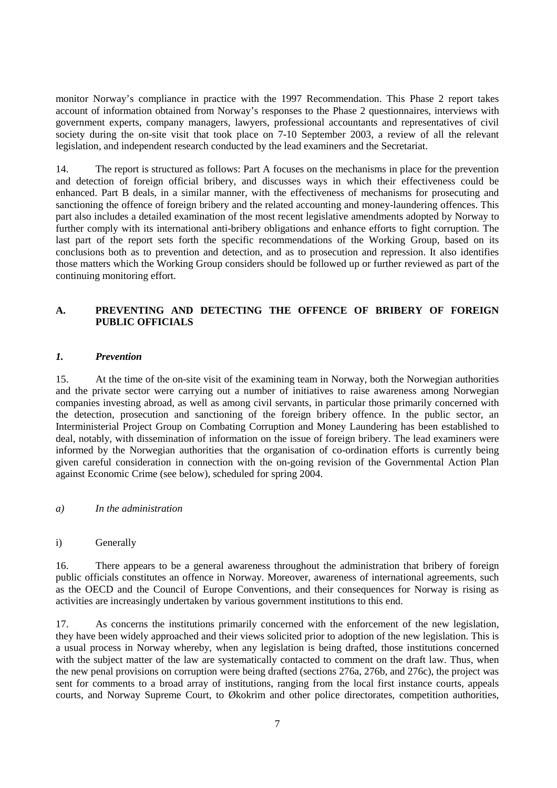monitor Norway's compliance in practice with the 1997 Recommendation. This Phase 2 report takes account of information obtained from Norway's responses to the Phase 2 questionnaires, interviews with government experts, company managers, lawyers, professional accountants and representatives of civil society during the on-site visit that took place on 7-10 September 2003, a review of all the relevant legislation, and independent research conducted by the lead examiners and the Secretariat.

14. The report is structured as follows: Part A focuses on the mechanisms in place for the prevention and detection of foreign official bribery, and discusses ways in which their effectiveness could be enhanced. Part B deals, in a similar manner, with the effectiveness of mechanisms for prosecuting and sanctioning the offence of foreign bribery and the related accounting and money-laundering offences. This part also includes a detailed examination of the most recent legislative amendments adopted by Norway to further comply with its international anti-bribery obligations and enhance efforts to fight corruption. The last part of the report sets forth the specific recommendations of the Working Group, based on its conclusions both as to prevention and detection, and as to prosecution and repression. It also identifies those matters which the Working Group considers should be followed up or further reviewed as part of the continuing monitoring effort.

## **A. PREVENTING AND DETECTING THE OFFENCE OF BRIBERY OF FOREIGN PUBLIC OFFICIALS**

#### *1. Prevention*

15. At the time of the on-site visit of the examining team in Norway, both the Norwegian authorities and the private sector were carrying out a number of initiatives to raise awareness among Norwegian companies investing abroad, as well as among civil servants, in particular those primarily concerned with the detection, prosecution and sanctioning of the foreign bribery offence. In the public sector, an Interministerial Project Group on Combating Corruption and Money Laundering has been established to deal, notably, with dissemination of information on the issue of foreign bribery. The lead examiners were informed by the Norwegian authorities that the organisation of co-ordination efforts is currently being given careful consideration in connection with the on-going revision of the Governmental Action Plan against Economic Crime (see below), scheduled for spring 2004.

#### *a) In the administration*

#### i) Generally

16. There appears to be a general awareness throughout the administration that bribery of foreign public officials constitutes an offence in Norway. Moreover, awareness of international agreements, such as the OECD and the Council of Europe Conventions, and their consequences for Norway is rising as activities are increasingly undertaken by various government institutions to this end.

17. As concerns the institutions primarily concerned with the enforcement of the new legislation, they have been widely approached and their views solicited prior to adoption of the new legislation. This is a usual process in Norway whereby, when any legislation is being drafted, those institutions concerned with the subject matter of the law are systematically contacted to comment on the draft law. Thus, when the new penal provisions on corruption were being drafted (sections 276a, 276b, and 276c), the project was sent for comments to a broad array of institutions, ranging from the local first instance courts, appeals courts, and Norway Supreme Court, to Økokrim and other police directorates, competition authorities,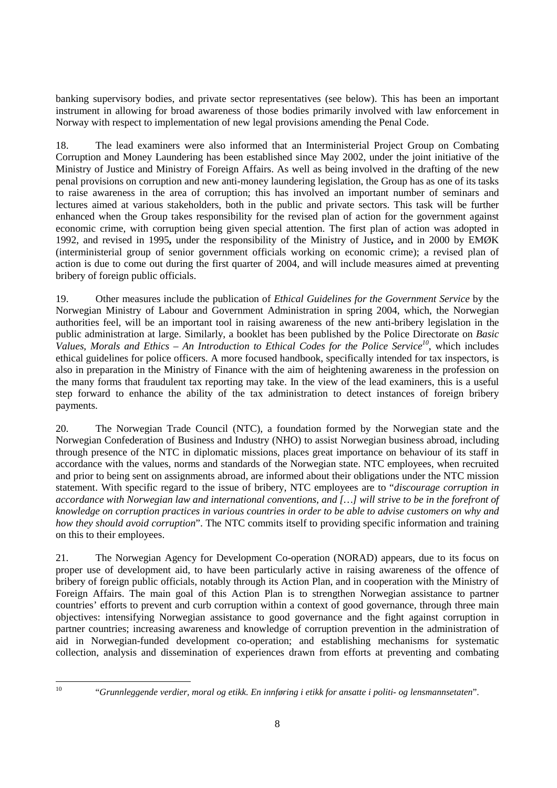banking supervisory bodies, and private sector representatives (see below). This has been an important instrument in allowing for broad awareness of those bodies primarily involved with law enforcement in Norway with respect to implementation of new legal provisions amending the Penal Code.

18. The lead examiners were also informed that an Interministerial Project Group on Combating Corruption and Money Laundering has been established since May 2002, under the joint initiative of the Ministry of Justice and Ministry of Foreign Affairs. As well as being involved in the drafting of the new penal provisions on corruption and new anti-money laundering legislation, the Group has as one of its tasks to raise awareness in the area of corruption; this has involved an important number of seminars and lectures aimed at various stakeholders, both in the public and private sectors. This task will be further enhanced when the Group takes responsibility for the revised plan of action for the government against economic crime, with corruption being given special attention. The first plan of action was adopted in 1992, and revised in 1995**,** under the responsibility of the Ministry of Justice**,** and in 2000 by EMØK (interministerial group of senior government officials working on economic crime); a revised plan of action is due to come out during the first quarter of 2004, and will include measures aimed at preventing bribery of foreign public officials.

19. Other measures include the publication of *Ethical Guidelines for the Government Service* by the Norwegian Ministry of Labour and Government Administration in spring 2004, which, the Norwegian authorities feel, will be an important tool in raising awareness of the new anti-bribery legislation in the public administration at large. Similarly, a booklet has been published by the Police Directorate on *Basic Values, Morals and Ethics – An Introduction to Ethical Codes for the Police Service10*, which includes ethical guidelines for police officers. A more focused handbook, specifically intended for tax inspectors, is also in preparation in the Ministry of Finance with the aim of heightening awareness in the profession on the many forms that fraudulent tax reporting may take. In the view of the lead examiners, this is a useful step forward to enhance the ability of the tax administration to detect instances of foreign bribery payments.

20. The Norwegian Trade Council (NTC), a foundation formed by the Norwegian state and the Norwegian Confederation of Business and Industry (NHO) to assist Norwegian business abroad, including through presence of the NTC in diplomatic missions, places great importance on behaviour of its staff in accordance with the values, norms and standards of the Norwegian state. NTC employees, when recruited and prior to being sent on assignments abroad, are informed about their obligations under the NTC mission statement. With specific regard to the issue of bribery, NTC employees are to "*discourage corruption in accordance with Norwegian law and international conventions, and […] will strive to be in the forefront of knowledge on corruption practices in various countries in order to be able to advise customers on why and how they should avoid corruption*". The NTC commits itself to providing specific information and training on this to their employees.

21. The Norwegian Agency for Development Co-operation (NORAD) appears, due to its focus on proper use of development aid, to have been particularly active in raising awareness of the offence of bribery of foreign public officials, notably through its Action Plan, and in cooperation with the Ministry of Foreign Affairs. The main goal of this Action Plan is to strengthen Norwegian assistance to partner countries' efforts to prevent and curb corruption within a context of good governance, through three main objectives: intensifying Norwegian assistance to good governance and the fight against corruption in partner countries; increasing awareness and knowledge of corruption prevention in the administration of aid in Norwegian-funded development co-operation; and establishing mechanisms for systematic collection, analysis and dissemination of experiences drawn from efforts at preventing and combating

 $10\,$ 

<sup>10 &</sup>quot;*Grunnleggende verdier, moral og etikk. En innføring i etikk for ansatte i politi- og lensmannsetaten*".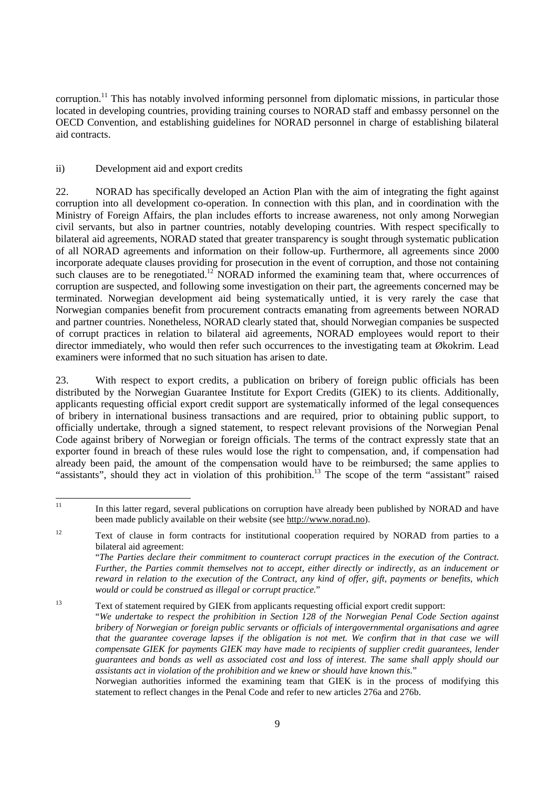corruption.<sup>11</sup> This has notably involved informing personnel from diplomatic missions, in particular those located in developing countries, providing training courses to NORAD staff and embassy personnel on the OECD Convention, and establishing guidelines for NORAD personnel in charge of establishing bilateral aid contracts.

## ii) Development aid and export credits

22. NORAD has specifically developed an Action Plan with the aim of integrating the fight against corruption into all development co-operation. In connection with this plan, and in coordination with the Ministry of Foreign Affairs, the plan includes efforts to increase awareness, not only among Norwegian civil servants, but also in partner countries, notably developing countries. With respect specifically to bilateral aid agreements, NORAD stated that greater transparency is sought through systematic publication of all NORAD agreements and information on their follow-up. Furthermore, all agreements since 2000 incorporate adequate clauses providing for prosecution in the event of corruption, and those not containing such clauses are to be renegotiated.<sup>12</sup> NORAD informed the examining team that, where occurrences of corruption are suspected, and following some investigation on their part, the agreements concerned may be terminated. Norwegian development aid being systematically untied, it is very rarely the case that Norwegian companies benefit from procurement contracts emanating from agreements between NORAD and partner countries. Nonetheless, NORAD clearly stated that, should Norwegian companies be suspected of corrupt practices in relation to bilateral aid agreements, NORAD employees would report to their director immediately, who would then refer such occurrences to the investigating team at Økokrim. Lead examiners were informed that no such situation has arisen to date.

23. With respect to export credits, a publication on bribery of foreign public officials has been distributed by the Norwegian Guarantee Institute for Export Credits (GIEK) to its clients. Additionally, applicants requesting official export credit support are systematically informed of the legal consequences of bribery in international business transactions and are required, prior to obtaining public support, to officially undertake, through a signed statement, to respect relevant provisions of the Norwegian Penal Code against bribery of Norwegian or foreign officials. The terms of the contract expressly state that an exporter found in breach of these rules would lose the right to compensation, and, if compensation had already been paid, the amount of the compensation would have to be reimbursed; the same applies to "assistants", should they act in violation of this prohibition.<sup>13</sup> The scope of the term "assistant" raised

 $11$ In this latter regard, several publications on corruption have already been published by NORAD and have been made publicly available on their website (see http://www.norad.no).

<sup>&</sup>lt;sup>12</sup> Text of clause in form contracts for institutional cooperation required by NORAD from parties to a bilateral aid agreement:

 <sup>&</sup>quot;*The Parties declare their commitment to counteract corrupt practices in the execution of the Contract. Further, the Parties commit themselves not to accept, either directly or indirectly, as an inducement or reward in relation to the execution of the Contract, any kind of offer, gift, payments or benefits, which would or could be construed as illegal or corrupt practice.*"

<sup>13</sup> Text of statement required by GIEK from applicants requesting official export credit support: "*We undertake to respect the prohibition in Section 128 of the Norwegian Penal Code Section against bribery of Norwegian or foreign public servants or officials of intergovernmental organisations and agree that the guarantee coverage lapses if the obligation is not met. We confirm that in that case we will compensate GIEK for payments GIEK may have made to recipients of supplier credit guarantees, lender guarantees and bonds as well as associated cost and loss of interest. The same shall apply should our assistants act in violation of the prohibition and we knew or should have known this.*"

Norwegian authorities informed the examining team that GIEK is in the process of modifying this statement to reflect changes in the Penal Code and refer to new articles 276a and 276b.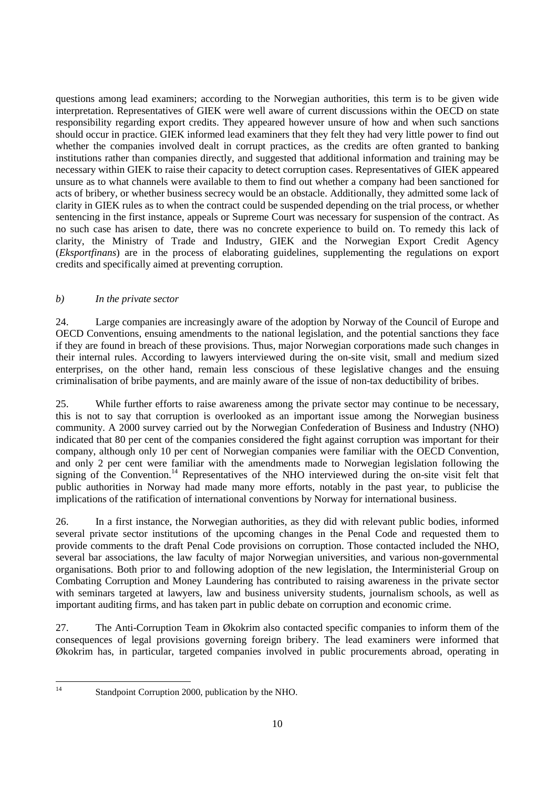questions among lead examiners; according to the Norwegian authorities, this term is to be given wide interpretation. Representatives of GIEK were well aware of current discussions within the OECD on state responsibility regarding export credits. They appeared however unsure of how and when such sanctions should occur in practice. GIEK informed lead examiners that they felt they had very little power to find out whether the companies involved dealt in corrupt practices, as the credits are often granted to banking institutions rather than companies directly, and suggested that additional information and training may be necessary within GIEK to raise their capacity to detect corruption cases. Representatives of GIEK appeared unsure as to what channels were available to them to find out whether a company had been sanctioned for acts of bribery, or whether business secrecy would be an obstacle. Additionally, they admitted some lack of clarity in GIEK rules as to when the contract could be suspended depending on the trial process, or whether sentencing in the first instance, appeals or Supreme Court was necessary for suspension of the contract. As no such case has arisen to date, there was no concrete experience to build on. To remedy this lack of clarity, the Ministry of Trade and Industry, GIEK and the Norwegian Export Credit Agency (*Eksportfinans*) are in the process of elaborating guidelines, supplementing the regulations on export credits and specifically aimed at preventing corruption.

## *b) In the private sector*

24. Large companies are increasingly aware of the adoption by Norway of the Council of Europe and OECD Conventions, ensuing amendments to the national legislation, and the potential sanctions they face if they are found in breach of these provisions. Thus, major Norwegian corporations made such changes in their internal rules. According to lawyers interviewed during the on-site visit, small and medium sized enterprises, on the other hand, remain less conscious of these legislative changes and the ensuing criminalisation of bribe payments, and are mainly aware of the issue of non-tax deductibility of bribes.

25. While further efforts to raise awareness among the private sector may continue to be necessary, this is not to say that corruption is overlooked as an important issue among the Norwegian business community. A 2000 survey carried out by the Norwegian Confederation of Business and Industry (NHO) indicated that 80 per cent of the companies considered the fight against corruption was important for their company, although only 10 per cent of Norwegian companies were familiar with the OECD Convention, and only 2 per cent were familiar with the amendments made to Norwegian legislation following the signing of the Convention.<sup>14</sup> Representatives of the NHO interviewed during the on-site visit felt that public authorities in Norway had made many more efforts, notably in the past year, to publicise the implications of the ratification of international conventions by Norway for international business.

26. In a first instance, the Norwegian authorities, as they did with relevant public bodies, informed several private sector institutions of the upcoming changes in the Penal Code and requested them to provide comments to the draft Penal Code provisions on corruption. Those contacted included the NHO, several bar associations, the law faculty of major Norwegian universities, and various non-governmental organisations. Both prior to and following adoption of the new legislation, the Interministerial Group on Combating Corruption and Money Laundering has contributed to raising awareness in the private sector with seminars targeted at lawyers, law and business university students, journalism schools, as well as important auditing firms, and has taken part in public debate on corruption and economic crime.

27. The Anti-Corruption Team in Økokrim also contacted specific companies to inform them of the consequences of legal provisions governing foreign bribery. The lead examiners were informed that Økokrim has, in particular, targeted companies involved in public procurements abroad, operating in

Standpoint Corruption 2000, publication by the NHO.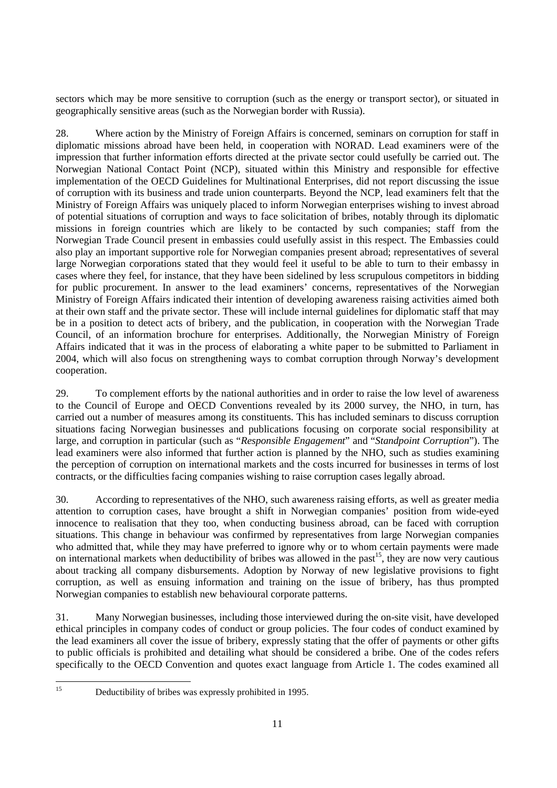sectors which may be more sensitive to corruption (such as the energy or transport sector), or situated in geographically sensitive areas (such as the Norwegian border with Russia).

28. Where action by the Ministry of Foreign Affairs is concerned, seminars on corruption for staff in diplomatic missions abroad have been held, in cooperation with NORAD. Lead examiners were of the impression that further information efforts directed at the private sector could usefully be carried out. The Norwegian National Contact Point (NCP), situated within this Ministry and responsible for effective implementation of the OECD Guidelines for Multinational Enterprises, did not report discussing the issue of corruption with its business and trade union counterparts. Beyond the NCP, lead examiners felt that the Ministry of Foreign Affairs was uniquely placed to inform Norwegian enterprises wishing to invest abroad of potential situations of corruption and ways to face solicitation of bribes, notably through its diplomatic missions in foreign countries which are likely to be contacted by such companies; staff from the Norwegian Trade Council present in embassies could usefully assist in this respect. The Embassies could also play an important supportive role for Norwegian companies present abroad; representatives of several large Norwegian corporations stated that they would feel it useful to be able to turn to their embassy in cases where they feel, for instance, that they have been sidelined by less scrupulous competitors in bidding for public procurement. In answer to the lead examiners' concerns, representatives of the Norwegian Ministry of Foreign Affairs indicated their intention of developing awareness raising activities aimed both at their own staff and the private sector. These will include internal guidelines for diplomatic staff that may be in a position to detect acts of bribery, and the publication, in cooperation with the Norwegian Trade Council, of an information brochure for enterprises. Additionally, the Norwegian Ministry of Foreign Affairs indicated that it was in the process of elaborating a white paper to be submitted to Parliament in 2004, which will also focus on strengthening ways to combat corruption through Norway's development cooperation.

29. To complement efforts by the national authorities and in order to raise the low level of awareness to the Council of Europe and OECD Conventions revealed by its 2000 survey, the NHO, in turn, has carried out a number of measures among its constituents. This has included seminars to discuss corruption situations facing Norwegian businesses and publications focusing on corporate social responsibility at large, and corruption in particular (such as "*Responsible Engagement*" and "*Standpoint Corruption*"). The lead examiners were also informed that further action is planned by the NHO, such as studies examining the perception of corruption on international markets and the costs incurred for businesses in terms of lost contracts, or the difficulties facing companies wishing to raise corruption cases legally abroad.

30. According to representatives of the NHO, such awareness raising efforts, as well as greater media attention to corruption cases, have brought a shift in Norwegian companies' position from wide-eyed innocence to realisation that they too, when conducting business abroad, can be faced with corruption situations. This change in behaviour was confirmed by representatives from large Norwegian companies who admitted that, while they may have preferred to ignore why or to whom certain payments were made on international markets when deductibility of bribes was allowed in the past<sup>15</sup>, they are now very cautious about tracking all company disbursements. Adoption by Norway of new legislative provisions to fight corruption, as well as ensuing information and training on the issue of bribery, has thus prompted Norwegian companies to establish new behavioural corporate patterns.

31. Many Norwegian businesses, including those interviewed during the on-site visit, have developed ethical principles in company codes of conduct or group policies. The four codes of conduct examined by the lead examiners all cover the issue of bribery, expressly stating that the offer of payments or other gifts to public officials is prohibited and detailing what should be considered a bribe. One of the codes refers specifically to the OECD Convention and quotes exact language from Article 1. The codes examined all

<sup>15</sup> Deductibility of bribes was expressly prohibited in 1995.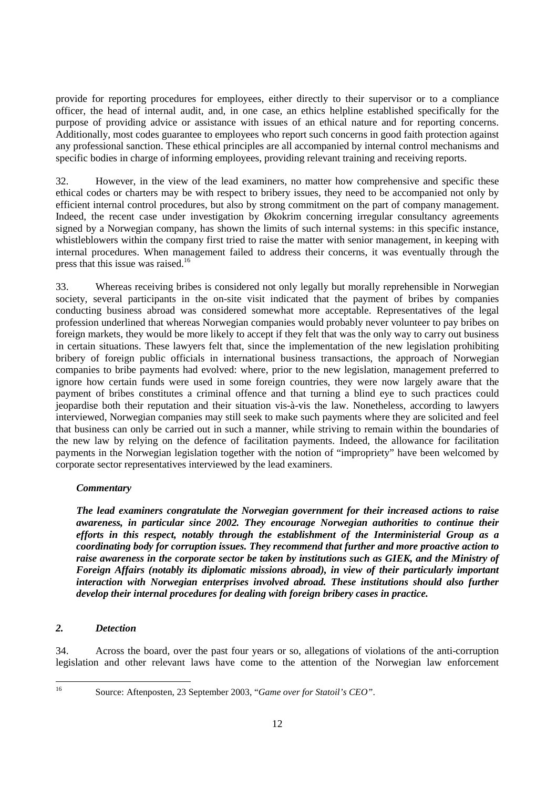provide for reporting procedures for employees, either directly to their supervisor or to a compliance officer, the head of internal audit, and, in one case, an ethics helpline established specifically for the purpose of providing advice or assistance with issues of an ethical nature and for reporting concerns. Additionally, most codes guarantee to employees who report such concerns in good faith protection against any professional sanction. These ethical principles are all accompanied by internal control mechanisms and specific bodies in charge of informing employees, providing relevant training and receiving reports.

32. However, in the view of the lead examiners, no matter how comprehensive and specific these ethical codes or charters may be with respect to bribery issues, they need to be accompanied not only by efficient internal control procedures, but also by strong commitment on the part of company management. Indeed, the recent case under investigation by Økokrim concerning irregular consultancy agreements signed by a Norwegian company, has shown the limits of such internal systems: in this specific instance, whistleblowers within the company first tried to raise the matter with senior management, in keeping with internal procedures. When management failed to address their concerns, it was eventually through the press that this issue was raised.<sup>16</sup>

33. Whereas receiving bribes is considered not only legally but morally reprehensible in Norwegian society, several participants in the on-site visit indicated that the payment of bribes by companies conducting business abroad was considered somewhat more acceptable. Representatives of the legal profession underlined that whereas Norwegian companies would probably never volunteer to pay bribes on foreign markets, they would be more likely to accept if they felt that was the only way to carry out business in certain situations. These lawyers felt that, since the implementation of the new legislation prohibiting bribery of foreign public officials in international business transactions, the approach of Norwegian companies to bribe payments had evolved: where, prior to the new legislation, management preferred to ignore how certain funds were used in some foreign countries, they were now largely aware that the payment of bribes constitutes a criminal offence and that turning a blind eye to such practices could jeopardise both their reputation and their situation vis-à-vis the law. Nonetheless, according to lawyers interviewed, Norwegian companies may still seek to make such payments where they are solicited and feel that business can only be carried out in such a manner, while striving to remain within the boundaries of the new law by relying on the defence of facilitation payments. Indeed, the allowance for facilitation payments in the Norwegian legislation together with the notion of "impropriety" have been welcomed by corporate sector representatives interviewed by the lead examiners.

## *Commentary*

*The lead examiners congratulate the Norwegian government for their increased actions to raise awareness, in particular since 2002. They encourage Norwegian authorities to continue their efforts in this respect, notably through the establishment of the Interministerial Group as a coordinating body for corruption issues. They recommend that further and more proactive action to raise awareness in the corporate sector be taken by institutions such as GIEK, and the Ministry of Foreign Affairs (notably its diplomatic missions abroad), in view of their particularly important interaction with Norwegian enterprises involved abroad. These institutions should also further develop their internal procedures for dealing with foreign bribery cases in practice.* 

## *2. Detection*

34. Across the board, over the past four years or so, allegations of violations of the anti-corruption legislation and other relevant laws have come to the attention of the Norwegian law enforcement

<sup>16</sup> Source: Aftenposten, 23 September 2003, "*Game over for Statoil's CEO"*.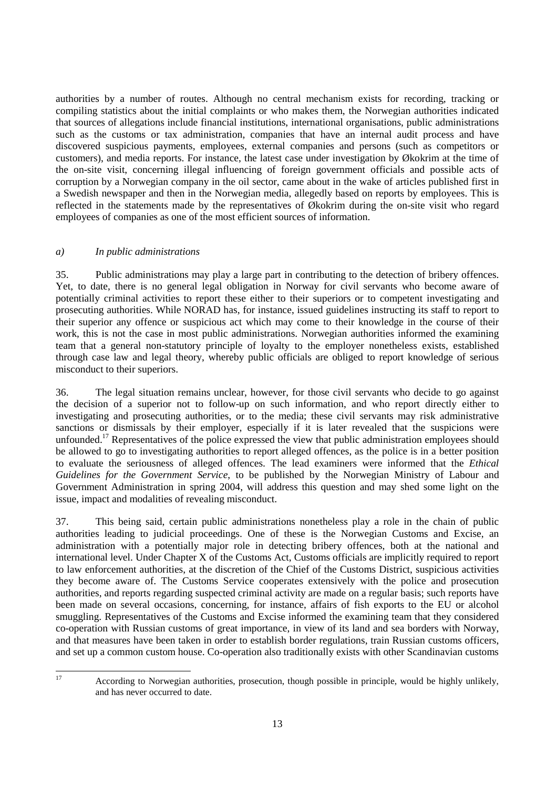authorities by a number of routes. Although no central mechanism exists for recording, tracking or compiling statistics about the initial complaints or who makes them, the Norwegian authorities indicated that sources of allegations include financial institutions, international organisations, public administrations such as the customs or tax administration, companies that have an internal audit process and have discovered suspicious payments, employees, external companies and persons (such as competitors or customers), and media reports. For instance, the latest case under investigation by Økokrim at the time of the on-site visit, concerning illegal influencing of foreign government officials and possible acts of corruption by a Norwegian company in the oil sector, came about in the wake of articles published first in a Swedish newspaper and then in the Norwegian media, allegedly based on reports by employees. This is reflected in the statements made by the representatives of Økokrim during the on-site visit who regard employees of companies as one of the most efficient sources of information.

## *a) In public administrations*

35. Public administrations may play a large part in contributing to the detection of bribery offences. Yet, to date, there is no general legal obligation in Norway for civil servants who become aware of potentially criminal activities to report these either to their superiors or to competent investigating and prosecuting authorities. While NORAD has, for instance, issued guidelines instructing its staff to report to their superior any offence or suspicious act which may come to their knowledge in the course of their work, this is not the case in most public administrations. Norwegian authorities informed the examining team that a general non-statutory principle of loyalty to the employer nonetheless exists, established through case law and legal theory, whereby public officials are obliged to report knowledge of serious misconduct to their superiors.

36. The legal situation remains unclear, however, for those civil servants who decide to go against the decision of a superior not to follow-up on such information, and who report directly either to investigating and prosecuting authorities, or to the media; these civil servants may risk administrative sanctions or dismissals by their employer, especially if it is later revealed that the suspicions were unfounded.<sup>17</sup> Representatives of the police expressed the view that public administration employees should be allowed to go to investigating authorities to report alleged offences, as the police is in a better position to evaluate the seriousness of alleged offences. The lead examiners were informed that the *Ethical Guidelines for the Government Service*, to be published by the Norwegian Ministry of Labour and Government Administration in spring 2004, will address this question and may shed some light on the issue, impact and modalities of revealing misconduct.

37. This being said, certain public administrations nonetheless play a role in the chain of public authorities leading to judicial proceedings. One of these is the Norwegian Customs and Excise, an administration with a potentially major role in detecting bribery offences, both at the national and international level. Under Chapter X of the Customs Act, Customs officials are implicitly required to report to law enforcement authorities, at the discretion of the Chief of the Customs District, suspicious activities they become aware of. The Customs Service cooperates extensively with the police and prosecution authorities, and reports regarding suspected criminal activity are made on a regular basis; such reports have been made on several occasions, concerning, for instance, affairs of fish exports to the EU or alcohol smuggling. Representatives of the Customs and Excise informed the examining team that they considered co-operation with Russian customs of great importance, in view of its land and sea borders with Norway, and that measures have been taken in order to establish border regulations, train Russian customs officers, and set up a common custom house. Co-operation also traditionally exists with other Scandinavian customs

 $17\text{ }$ 

<sup>17</sup> According to Norwegian authorities, prosecution, though possible in principle, would be highly unlikely, and has never occurred to date.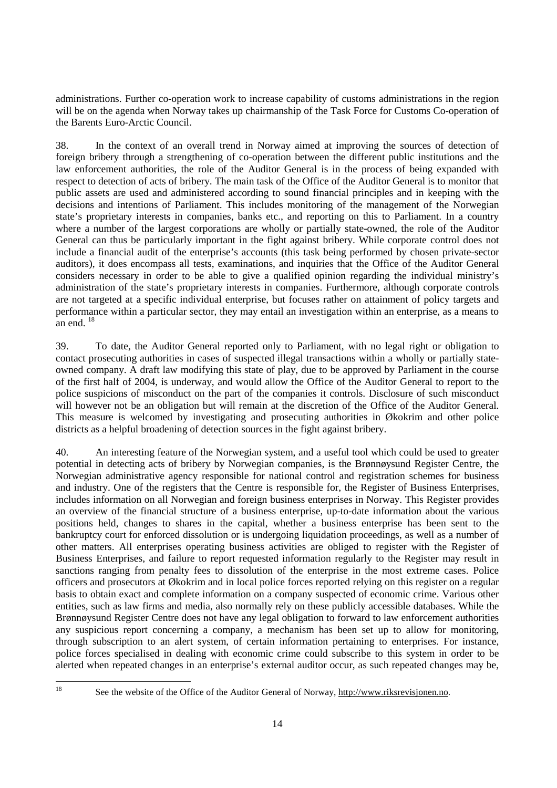administrations. Further co-operation work to increase capability of customs administrations in the region will be on the agenda when Norway takes up chairmanship of the Task Force for Customs Co-operation of the Barents Euro-Arctic Council.

38. In the context of an overall trend in Norway aimed at improving the sources of detection of foreign bribery through a strengthening of co-operation between the different public institutions and the law enforcement authorities, the role of the Auditor General is in the process of being expanded with respect to detection of acts of bribery. The main task of the Office of the Auditor General is to monitor that public assets are used and administered according to sound financial principles and in keeping with the decisions and intentions of Parliament. This includes monitoring of the management of the Norwegian state's proprietary interests in companies, banks etc., and reporting on this to Parliament. In a country where a number of the largest corporations are wholly or partially state-owned, the role of the Auditor General can thus be particularly important in the fight against bribery. While corporate control does not include a financial audit of the enterprise's accounts (this task being performed by chosen private-sector auditors), it does encompass all tests, examinations, and inquiries that the Office of the Auditor General considers necessary in order to be able to give a qualified opinion regarding the individual ministry's administration of the state's proprietary interests in companies. Furthermore, although corporate controls are not targeted at a specific individual enterprise, but focuses rather on attainment of policy targets and performance within a particular sector, they may entail an investigation within an enterprise, as a means to  $\frac{1}{2}$ an end.  $\frac{18}{2}$ 

39. To date, the Auditor General reported only to Parliament, with no legal right or obligation to contact prosecuting authorities in cases of suspected illegal transactions within a wholly or partially stateowned company. A draft law modifying this state of play, due to be approved by Parliament in the course of the first half of 2004, is underway, and would allow the Office of the Auditor General to report to the police suspicions of misconduct on the part of the companies it controls. Disclosure of such misconduct will however not be an obligation but will remain at the discretion of the Office of the Auditor General. This measure is welcomed by investigating and prosecuting authorities in Økokrim and other police districts as a helpful broadening of detection sources in the fight against bribery.

40. An interesting feature of the Norwegian system, and a useful tool which could be used to greater potential in detecting acts of bribery by Norwegian companies, is the Brønnøysund Register Centre, the Norwegian administrative agency responsible for national control and registration schemes for business and industry. One of the registers that the Centre is responsible for, the Register of Business Enterprises, includes information on all Norwegian and foreign business enterprises in Norway. This Register provides an overview of the financial structure of a business enterprise, up-to-date information about the various positions held, changes to shares in the capital, whether a business enterprise has been sent to the bankruptcy court for enforced dissolution or is undergoing liquidation proceedings, as well as a number of other matters. All enterprises operating business activities are obliged to register with the Register of Business Enterprises, and failure to report requested information regularly to the Register may result in sanctions ranging from penalty fees to dissolution of the enterprise in the most extreme cases. Police officers and prosecutors at Økokrim and in local police forces reported relying on this register on a regular basis to obtain exact and complete information on a company suspected of economic crime. Various other entities, such as law firms and media, also normally rely on these publicly accessible databases. While the Brønnøysund Register Centre does not have any legal obligation to forward to law enforcement authorities any suspicious report concerning a company, a mechanism has been set up to allow for monitoring, through subscription to an alert system, of certain information pertaining to enterprises. For instance, police forces specialised in dealing with economic crime could subscribe to this system in order to be alerted when repeated changes in an enterprise's external auditor occur, as such repeated changes may be,

See the website of the Office of the Auditor General of Norway, http://www.riksrevisjonen.no.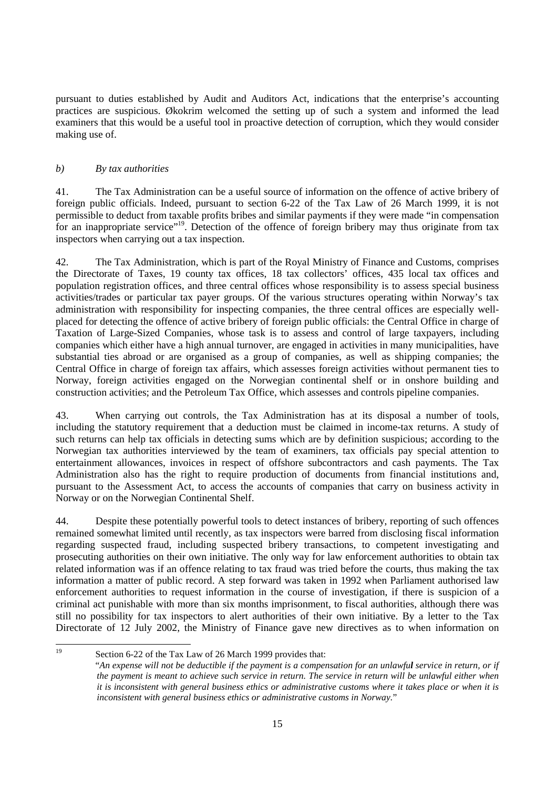pursuant to duties established by Audit and Auditors Act, indications that the enterprise's accounting practices are suspicious. Økokrim welcomed the setting up of such a system and informed the lead examiners that this would be a useful tool in proactive detection of corruption, which they would consider making use of.

## *b) By tax authorities*

41. The Tax Administration can be a useful source of information on the offence of active bribery of foreign public officials. Indeed, pursuant to section 6-22 of the Tax Law of 26 March 1999, it is not permissible to deduct from taxable profits bribes and similar payments if they were made "in compensation for an inappropriate service"<sup>19</sup>. Detection of the offence of foreign bribery may thus originate from tax inspectors when carrying out a tax inspection.

42. The Tax Administration, which is part of the Royal Ministry of Finance and Customs, comprises the Directorate of Taxes, 19 county tax offices, 18 tax collectors' offices, 435 local tax offices and population registration offices, and three central offices whose responsibility is to assess special business activities/trades or particular tax payer groups. Of the various structures operating within Norway's tax administration with responsibility for inspecting companies, the three central offices are especially wellplaced for detecting the offence of active bribery of foreign public officials: the Central Office in charge of Taxation of Large-Sized Companies, whose task is to assess and control of large taxpayers, including companies which either have a high annual turnover, are engaged in activities in many municipalities, have substantial ties abroad or are organised as a group of companies, as well as shipping companies; the Central Office in charge of foreign tax affairs, which assesses foreign activities without permanent ties to Norway, foreign activities engaged on the Norwegian continental shelf or in onshore building and construction activities; and the Petroleum Tax Office, which assesses and controls pipeline companies.

43. When carrying out controls, the Tax Administration has at its disposal a number of tools, including the statutory requirement that a deduction must be claimed in income-tax returns. A study of such returns can help tax officials in detecting sums which are by definition suspicious; according to the Norwegian tax authorities interviewed by the team of examiners, tax officials pay special attention to entertainment allowances, invoices in respect of offshore subcontractors and cash payments. The Tax Administration also has the right to require production of documents from financial institutions and, pursuant to the Assessment Act, to access the accounts of companies that carry on business activity in Norway or on the Norwegian Continental Shelf.

44. Despite these potentially powerful tools to detect instances of bribery, reporting of such offences remained somewhat limited until recently, as tax inspectors were barred from disclosing fiscal information regarding suspected fraud, including suspected bribery transactions, to competent investigating and prosecuting authorities on their own initiative. The only way for law enforcement authorities to obtain tax related information was if an offence relating to tax fraud was tried before the courts, thus making the tax information a matter of public record. A step forward was taken in 1992 when Parliament authorised law enforcement authorities to request information in the course of investigation, if there is suspicion of a criminal act punishable with more than six months imprisonment, to fiscal authorities, although there was still no possibility for tax inspectors to alert authorities of their own initiative. By a letter to the Tax Directorate of 12 July 2002, the Ministry of Finance gave new directives as to when information on

Section 6-22 of the Tax Law of 26 March 1999 provides that:

 <sup>&</sup>quot;*An expense will not be deductible if the payment is a compensation for an unlawful service in return, or if the payment is meant to achieve such service in return. The service in return will be unlawful either when it is inconsistent with general business ethics or administrative customs where it takes place or when it is inconsistent with general business ethics or administrative customs in Norway.*"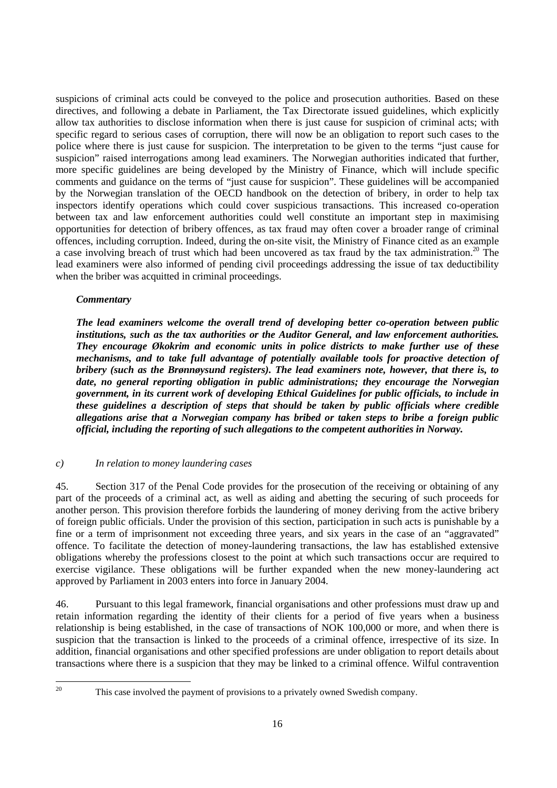suspicions of criminal acts could be conveyed to the police and prosecution authorities. Based on these directives, and following a debate in Parliament, the Tax Directorate issued guidelines, which explicitly allow tax authorities to disclose information when there is just cause for suspicion of criminal acts; with specific regard to serious cases of corruption, there will now be an obligation to report such cases to the police where there is just cause for suspicion. The interpretation to be given to the terms "just cause for suspicion" raised interrogations among lead examiners. The Norwegian authorities indicated that further, more specific guidelines are being developed by the Ministry of Finance, which will include specific comments and guidance on the terms of "just cause for suspicion". These guidelines will be accompanied by the Norwegian translation of the OECD handbook on the detection of bribery, in order to help tax inspectors identify operations which could cover suspicious transactions. This increased co-operation between tax and law enforcement authorities could well constitute an important step in maximising opportunities for detection of bribery offences, as tax fraud may often cover a broader range of criminal offences, including corruption. Indeed, during the on-site visit, the Ministry of Finance cited as an example a case involving breach of trust which had been uncovered as tax fraud by the tax administration.<sup>20</sup> The lead examiners were also informed of pending civil proceedings addressing the issue of tax deductibility when the briber was acquitted in criminal proceedings.

## *Commentary*

*The lead examiners welcome the overall trend of developing better co-operation between public institutions, such as the tax authorities or the Auditor General, and law enforcement authorities. They encourage Økokrim and economic units in police districts to make further use of these mechanisms, and to take full advantage of potentially available tools for proactive detection of bribery (such as the Brønnøysund registers). The lead examiners note, however, that there is, to date, no general reporting obligation in public administrations; they encourage the Norwegian government, in its current work of developing Ethical Guidelines for public officials, to include in these guidelines a description of steps that should be taken by public officials where credible allegations arise that a Norwegian company has bribed or taken steps to bribe a foreign public official, including the reporting of such allegations to the competent authorities in Norway.* 

#### *c) In relation to money laundering cases*

45. Section 317 of the Penal Code provides for the prosecution of the receiving or obtaining of any part of the proceeds of a criminal act, as well as aiding and abetting the securing of such proceeds for another person. This provision therefore forbids the laundering of money deriving from the active bribery of foreign public officials. Under the provision of this section, participation in such acts is punishable by a fine or a term of imprisonment not exceeding three years, and six years in the case of an "aggravated" offence. To facilitate the detection of money-laundering transactions, the law has established extensive obligations whereby the professions closest to the point at which such transactions occur are required to exercise vigilance. These obligations will be further expanded when the new money-laundering act approved by Parliament in 2003 enters into force in January 2004.

46. Pursuant to this legal framework, financial organisations and other professions must draw up and retain information regarding the identity of their clients for a period of five years when a business relationship is being established, in the case of transactions of NOK 100,000 or more, and when there is suspicion that the transaction is linked to the proceeds of a criminal offence, irrespective of its size. In addition, financial organisations and other specified professions are under obligation to report details about transactions where there is a suspicion that they may be linked to a criminal offence. Wilful contravention

 $20<sup>o</sup>$ 

This case involved the payment of provisions to a privately owned Swedish company.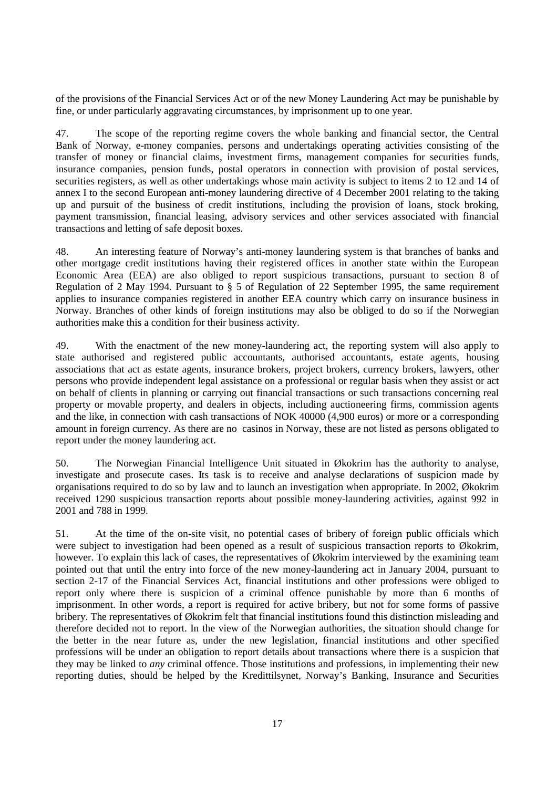of the provisions of the Financial Services Act or of the new Money Laundering Act may be punishable by fine, or under particularly aggravating circumstances, by imprisonment up to one year.

47. The scope of the reporting regime covers the whole banking and financial sector, the Central Bank of Norway, e-money companies, persons and undertakings operating activities consisting of the transfer of money or financial claims, investment firms, management companies for securities funds, insurance companies, pension funds, postal operators in connection with provision of postal services, securities registers, as well as other undertakings whose main activity is subject to items 2 to 12 and 14 of annex I to the second European anti-money laundering directive of 4 December 2001 relating to the taking up and pursuit of the business of credit institutions, including the provision of loans, stock broking, payment transmission, financial leasing, advisory services and other services associated with financial transactions and letting of safe deposit boxes.

48. An interesting feature of Norway's anti-money laundering system is that branches of banks and other mortgage credit institutions having their registered offices in another state within the European Economic Area (EEA) are also obliged to report suspicious transactions, pursuant to section 8 of Regulation of 2 May 1994. Pursuant to § 5 of Regulation of 22 September 1995, the same requirement applies to insurance companies registered in another EEA country which carry on insurance business in Norway. Branches of other kinds of foreign institutions may also be obliged to do so if the Norwegian authorities make this a condition for their business activity.

49. With the enactment of the new money-laundering act, the reporting system will also apply to state authorised and registered public accountants, authorised accountants, estate agents, housing associations that act as estate agents, insurance brokers, project brokers, currency brokers, lawyers, other persons who provide independent legal assistance on a professional or regular basis when they assist or act on behalf of clients in planning or carrying out financial transactions or such transactions concerning real property or movable property, and dealers in objects, including auctioneering firms, commission agents and the like, in connection with cash transactions of NOK 40000 (4,900 euros) or more or a corresponding amount in foreign currency. As there are no casinos in Norway, these are not listed as persons obligated to report under the money laundering act.

50. The Norwegian Financial Intelligence Unit situated in Økokrim has the authority to analyse, investigate and prosecute cases. Its task is to receive and analyse declarations of suspicion made by organisations required to do so by law and to launch an investigation when appropriate. In 2002, Økokrim received 1290 suspicious transaction reports about possible money-laundering activities, against 992 in 2001 and 788 in 1999.

51. At the time of the on-site visit, no potential cases of bribery of foreign public officials which were subject to investigation had been opened as a result of suspicious transaction reports to Økokrim, however. To explain this lack of cases, the representatives of Økokrim interviewed by the examining team pointed out that until the entry into force of the new money-laundering act in January 2004, pursuant to section 2-17 of the Financial Services Act, financial institutions and other professions were obliged to report only where there is suspicion of a criminal offence punishable by more than 6 months of imprisonment. In other words, a report is required for active bribery, but not for some forms of passive bribery. The representatives of Økokrim felt that financial institutions found this distinction misleading and therefore decided not to report. In the view of the Norwegian authorities, the situation should change for the better in the near future as, under the new legislation, financial institutions and other specified professions will be under an obligation to report details about transactions where there is a suspicion that they may be linked to *any* criminal offence. Those institutions and professions, in implementing their new reporting duties, should be helped by the Kredittilsynet, Norway's Banking, Insurance and Securities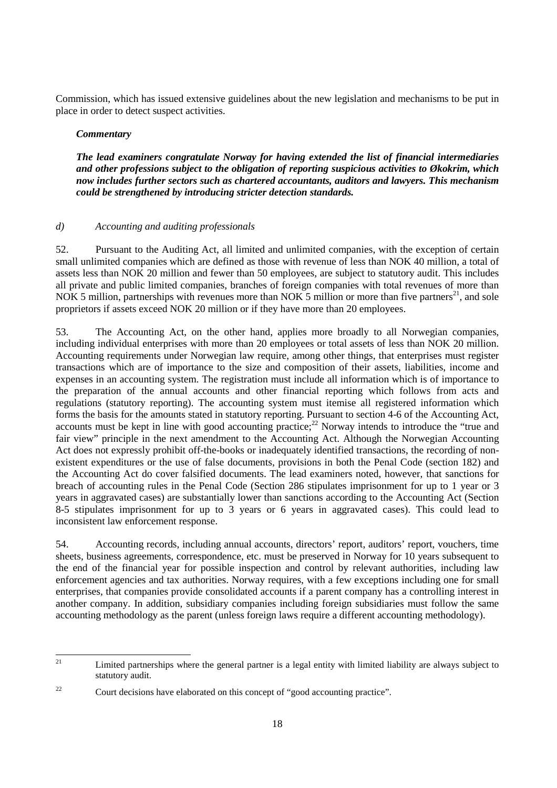Commission, which has issued extensive guidelines about the new legislation and mechanisms to be put in place in order to detect suspect activities.

#### *Commentary*

*The lead examiners congratulate Norway for having extended the list of financial intermediaries and other professions subject to the obligation of reporting suspicious activities to Økokrim, which now includes further sectors such as chartered accountants, auditors and lawyers. This mechanism could be strengthened by introducing stricter detection standards.* 

#### *d) Accounting and auditing professionals*

52. Pursuant to the Auditing Act, all limited and unlimited companies, with the exception of certain small unlimited companies which are defined as those with revenue of less than NOK 40 million, a total of assets less than NOK 20 million and fewer than 50 employees*,* are subject to statutory audit. This includes all private and public limited companies, branches of foreign companies with total revenues of more than NOK 5 million, partnerships with revenues more than NOK 5 million or more than five partners<sup>21</sup>, and sole proprietors if assets exceed NOK 20 million or if they have more than 20 employees.

53. The Accounting Act, on the other hand, applies more broadly to all Norwegian companies, including individual enterprises with more than 20 employees or total assets of less than NOK 20 million. Accounting requirements under Norwegian law require, among other things, that enterprises must register transactions which are of importance to the size and composition of their assets, liabilities, income and expenses in an accounting system. The registration must include all information which is of importance to the preparation of the annual accounts and other financial reporting which follows from acts and regulations (statutory reporting). The accounting system must itemise all registered information which forms the basis for the amounts stated in statutory reporting. Pursuant to section 4-6 of the Accounting Act, accounts must be kept in line with good accounting practice;<sup>22</sup> Norway intends to introduce the "true and fair view" principle in the next amendment to the Accounting Act. Although the Norwegian Accounting Act does not expressly prohibit off-the-books or inadequately identified transactions, the recording of nonexistent expenditures or the use of false documents, provisions in both the Penal Code (section 182) and the Accounting Act do cover falsified documents. The lead examiners noted, however, that sanctions for breach of accounting rules in the Penal Code (Section 286 stipulates imprisonment for up to 1 year or 3 years in aggravated cases) are substantially lower than sanctions according to the Accounting Act (Section 8-5 stipulates imprisonment for up to 3 years or 6 years in aggravated cases). This could lead to inconsistent law enforcement response.

54. Accounting records, including annual accounts, directors' report, auditors' report, vouchers, time sheets, business agreements, correspondence, etc. must be preserved in Norway for 10 years subsequent to the end of the financial year for possible inspection and control by relevant authorities, including law enforcement agencies and tax authorities. Norway requires, with a few exceptions including one for small enterprises, that companies provide consolidated accounts if a parent company has a controlling interest in another company. In addition, subsidiary companies including foreign subsidiaries must follow the same accounting methodology as the parent (unless foreign laws require a different accounting methodology).

 $21$ 21 Limited partnerships where the general partner is a legal entity with limited liability are always subject to statutory audit.

<sup>&</sup>lt;sup>22</sup> Court decisions have elaborated on this concept of "good accounting practice".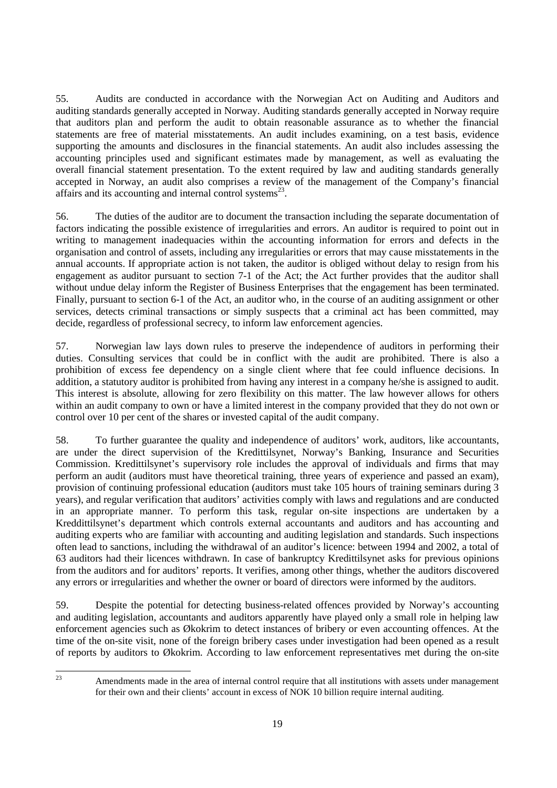55. Audits are conducted in accordance with the Norwegian Act on Auditing and Auditors and auditing standards generally accepted in Norway. Auditing standards generally accepted in Norway require that auditors plan and perform the audit to obtain reasonable assurance as to whether the financial statements are free of material misstatements. An audit includes examining, on a test basis, evidence supporting the amounts and disclosures in the financial statements. An audit also includes assessing the accounting principles used and significant estimates made by management, as well as evaluating the overall financial statement presentation. To the extent required by law and auditing standards generally accepted in Norway, an audit also comprises a review of the management of the Company's financial affairs and its accounting and internal control systems $^{23}$ .

56. The duties of the auditor are to document the transaction including the separate documentation of factors indicating the possible existence of irregularities and errors. An auditor is required to point out in writing to management inadequacies within the accounting information for errors and defects in the organisation and control of assets, including any irregularities or errors that may cause misstatements in the annual accounts. If appropriate action is not taken, the auditor is obliged without delay to resign from his engagement as auditor pursuant to section 7-1 of the Act; the Act further provides that the auditor shall without undue delay inform the Register of Business Enterprises that the engagement has been terminated. Finally, pursuant to section 6-1 of the Act, an auditor who, in the course of an auditing assignment or other services, detects criminal transactions or simply suspects that a criminal act has been committed, may decide, regardless of professional secrecy, to inform law enforcement agencies.

57. Norwegian law lays down rules to preserve the independence of auditors in performing their duties. Consulting services that could be in conflict with the audit are prohibited. There is also a prohibition of excess fee dependency on a single client where that fee could influence decisions. In addition, a statutory auditor is prohibited from having any interest in a company he/she is assigned to audit. This interest is absolute, allowing for zero flexibility on this matter. The law however allows for others within an audit company to own or have a limited interest in the company provided that they do not own or control over 10 per cent of the shares or invested capital of the audit company.

58. To further guarantee the quality and independence of auditors' work, auditors, like accountants, are under the direct supervision of the Kredittilsynet, Norway's Banking, Insurance and Securities Commission. Kredittilsynet's supervisory role includes the approval of individuals and firms that may perform an audit (auditors must have theoretical training, three years of experience and passed an exam), provision of continuing professional education (auditors must take 105 hours of training seminars during 3 years), and regular verification that auditors' activities comply with laws and regulations and are conducted in an appropriate manner. To perform this task, regular on-site inspections are undertaken by a Kreddittilsynet's department which controls external accountants and auditors and has accounting and auditing experts who are familiar with accounting and auditing legislation and standards. Such inspections often lead to sanctions, including the withdrawal of an auditor's licence: between 1994 and 2002, a total of 63 auditors had their licences withdrawn. In case of bankruptcy Kredittilsynet asks for previous opinions from the auditors and for auditors' reports. It verifies, among other things, whether the auditors discovered any errors or irregularities and whether the owner or board of directors were informed by the auditors.

59. Despite the potential for detecting business-related offences provided by Norway's accounting and auditing legislation, accountants and auditors apparently have played only a small role in helping law enforcement agencies such as Økokrim to detect instances of bribery or even accounting offences. At the time of the on-site visit, none of the foreign bribery cases under investigation had been opened as a result of reports by auditors to Økokrim. According to law enforcement representatives met during the on-site

Amendments made in the area of internal control require that all institutions with assets under management for their own and their clients' account in excess of NOK 10 billion require internal auditing.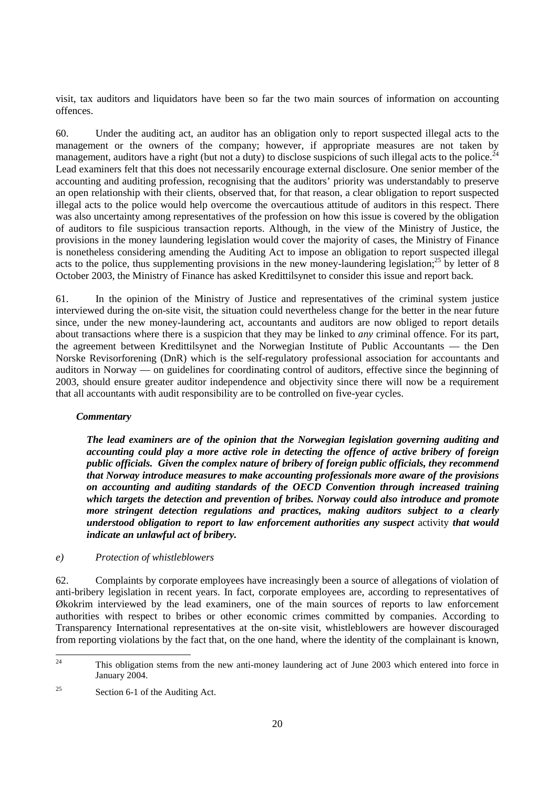visit, tax auditors and liquidators have been so far the two main sources of information on accounting offences.

60. Under the auditing act, an auditor has an obligation only to report suspected illegal acts to the management or the owners of the company; however, if appropriate measures are not taken by management, auditors have a right (but not a duty) to disclose suspicions of such illegal acts to the police.<sup>2</sup> Lead examiners felt that this does not necessarily encourage external disclosure. One senior member of the accounting and auditing profession, recognising that the auditors' priority was understandably to preserve an open relationship with their clients, observed that, for that reason, a clear obligation to report suspected illegal acts to the police would help overcome the overcautious attitude of auditors in this respect. There was also uncertainty among representatives of the profession on how this issue is covered by the obligation of auditors to file suspicious transaction reports. Although, in the view of the Ministry of Justice, the provisions in the money laundering legislation would cover the majority of cases, the Ministry of Finance is nonetheless considering amending the Auditing Act to impose an obligation to report suspected illegal acts to the police, thus supplementing provisions in the new money-laundering legislation;<sup>25</sup> by letter of 8 October 2003, the Ministry of Finance has asked Kredittilsynet to consider this issue and report back.

61. In the opinion of the Ministry of Justice and representatives of the criminal system justice interviewed during the on-site visit, the situation could nevertheless change for the better in the near future since, under the new money-laundering act, accountants and auditors are now obliged to report details about transactions where there is a suspicion that they may be linked to *any* criminal offence. For its part, the agreement between Kredittilsynet and the Norwegian Institute of Public Accountants — the Den Norske Revisorforening (DnR) which is the self-regulatory professional association for accountants and auditors in Norway — on guidelines for coordinating control of auditors, effective since the beginning of 2003, should ensure greater auditor independence and objectivity since there will now be a requirement that all accountants with audit responsibility are to be controlled on five-year cycles.

## *Commentary*

*The lead examiners are of the opinion that the Norwegian legislation governing auditing and accounting could play a more active role in detecting the offence of active bribery of foreign public officials. Given the complex nature of bribery of foreign public officials, they recommend that Norway introduce measures to make accounting professionals more aware of the provisions on accounting and auditing standards of the OECD Convention through increased training which targets the detection and prevention of bribes. Norway could also introduce and promote more stringent detection regulations and practices, making auditors subject to a clearly understood obligation to report to law enforcement authorities any suspect activity that would indicate an unlawful act of bribery.* 

#### *e) Protection of whistleblowers*

62. Complaints by corporate employees have increasingly been a source of allegations of violation of anti-bribery legislation in recent years. In fact, corporate employees are, according to representatives of Økokrim interviewed by the lead examiners, one of the main sources of reports to law enforcement authorities with respect to bribes or other economic crimes committed by companies. According to Transparency International representatives at the on-site visit, whistleblowers are however discouraged from reporting violations by the fact that, on the one hand, where the identity of the complainant is known,

 $\overline{24}$ This obligation stems from the new anti-money laundering act of June 2003 which entered into force in January 2004.

<sup>25</sup> Section 6-1 of the Auditing Act.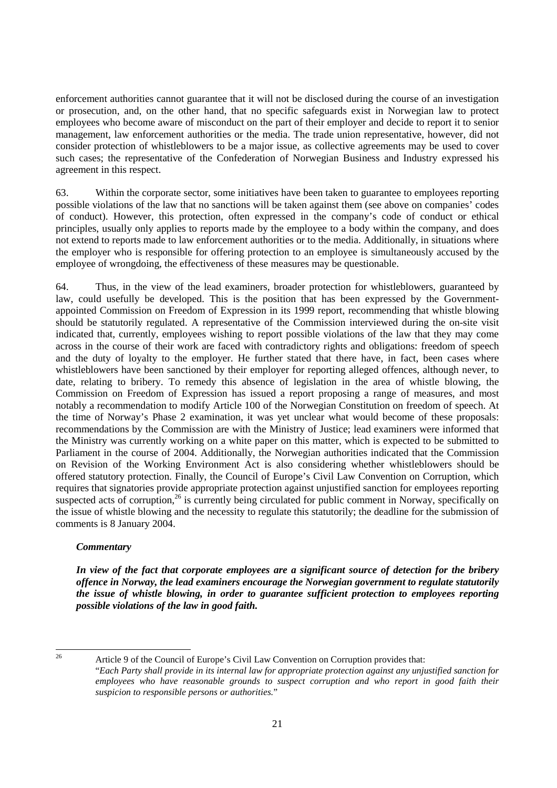enforcement authorities cannot guarantee that it will not be disclosed during the course of an investigation or prosecution, and, on the other hand, that no specific safeguards exist in Norwegian law to protect employees who become aware of misconduct on the part of their employer and decide to report it to senior management, law enforcement authorities or the media. The trade union representative, however, did not consider protection of whistleblowers to be a major issue, as collective agreements may be used to cover such cases; the representative of the Confederation of Norwegian Business and Industry expressed his agreement in this respect.

63. Within the corporate sector, some initiatives have been taken to guarantee to employees reporting possible violations of the law that no sanctions will be taken against them (see above on companies' codes of conduct). However, this protection, often expressed in the company's code of conduct or ethical principles, usually only applies to reports made by the employee to a body within the company, and does not extend to reports made to law enforcement authorities or to the media. Additionally, in situations where the employer who is responsible for offering protection to an employee is simultaneously accused by the employee of wrongdoing, the effectiveness of these measures may be questionable.

64. Thus, in the view of the lead examiners, broader protection for whistleblowers, guaranteed by law, could usefully be developed. This is the position that has been expressed by the Governmentappointed Commission on Freedom of Expression in its 1999 report, recommending that whistle blowing should be statutorily regulated. A representative of the Commission interviewed during the on-site visit indicated that, currently, employees wishing to report possible violations of the law that they may come across in the course of their work are faced with contradictory rights and obligations: freedom of speech and the duty of loyalty to the employer. He further stated that there have, in fact, been cases where whistleblowers have been sanctioned by their employer for reporting alleged offences, although never, to date, relating to bribery. To remedy this absence of legislation in the area of whistle blowing, the Commission on Freedom of Expression has issued a report proposing a range of measures, and most notably a recommendation to modify Article 100 of the Norwegian Constitution on freedom of speech. At the time of Norway's Phase 2 examination, it was yet unclear what would become of these proposals: recommendations by the Commission are with the Ministry of Justice; lead examiners were informed that the Ministry was currently working on a white paper on this matter, which is expected to be submitted to Parliament in the course of 2004. Additionally, the Norwegian authorities indicated that the Commission on Revision of the Working Environment Act is also considering whether whistleblowers should be offered statutory protection. Finally, the Council of Europe's Civil Law Convention on Corruption, which requires that signatories provide appropriate protection against unjustified sanction for employees reporting suspected acts of corruption, $^{26}$  is currently being circulated for public comment in Norway, specifically on the issue of whistle blowing and the necessity to regulate this statutorily; the deadline for the submission of comments is 8 January 2004.

## *Commentary*

*In view of the fact that corporate employees are a significant source of detection for the bribery offence in Norway, the lead examiners encourage the Norwegian government to regulate statutorily the issue of whistle blowing, in order to guarantee sufficient protection to employees reporting possible violations of the law in good faith.* 

<sup>26</sup> 

Article 9 of the Council of Europe's Civil Law Convention on Corruption provides that:

 <sup>&</sup>quot;*Each Party shall provide in its internal law for appropriate protection against any unjustified sanction for employees who have reasonable grounds to suspect corruption and who report in good faith their suspicion to responsible persons or authorities.*"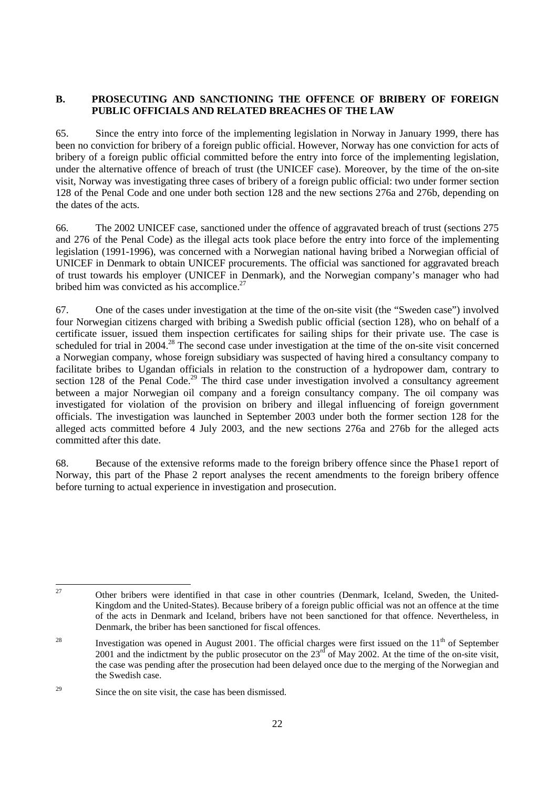## **B. PROSECUTING AND SANCTIONING THE OFFENCE OF BRIBERY OF FOREIGN PUBLIC OFFICIALS AND RELATED BREACHES OF THE LAW**

65. Since the entry into force of the implementing legislation in Norway in January 1999, there has been no conviction for bribery of a foreign public official. However, Norway has one conviction for acts of bribery of a foreign public official committed before the entry into force of the implementing legislation, under the alternative offence of breach of trust (the UNICEF case). Moreover, by the time of the on-site visit, Norway was investigating three cases of bribery of a foreign public official: two under former section 128 of the Penal Code and one under both section 128 and the new sections 276a and 276b, depending on the dates of the acts.

66. The 2002 UNICEF case, sanctioned under the offence of aggravated breach of trust (sections 275 and 276 of the Penal Code) as the illegal acts took place before the entry into force of the implementing legislation (1991-1996), was concerned with a Norwegian national having bribed a Norwegian official of UNICEF in Denmark to obtain UNICEF procurements. The official was sanctioned for aggravated breach of trust towards his employer (UNICEF in Denmark), and the Norwegian company's manager who had bribed him was convicted as his accomplice. $27$ 

67. One of the cases under investigation at the time of the on-site visit (the "Sweden case") involved four Norwegian citizens charged with bribing a Swedish public official (section 128), who on behalf of a certificate issuer, issued them inspection certificates for sailing ships for their private use. The case is scheduled for trial in  $2004<sup>28</sup>$ . The second case under investigation at the time of the on-site visit concerned a Norwegian company, whose foreign subsidiary was suspected of having hired a consultancy company to facilitate bribes to Ugandan officials in relation to the construction of a hydropower dam, contrary to section 128 of the Penal Code.<sup>29</sup> The third case under investigation involved a consultancy agreement between a major Norwegian oil company and a foreign consultancy company. The oil company was investigated for violation of the provision on bribery and illegal influencing of foreign government officials. The investigation was launched in September 2003 under both the former section 128 for the alleged acts committed before 4 July 2003, and the new sections 276a and 276b for the alleged acts committed after this date.

68. Because of the extensive reforms made to the foreign bribery offence since the Phase1 report of Norway, this part of the Phase 2 report analyses the recent amendments to the foreign bribery offence before turning to actual experience in investigation and prosecution.

 $\overline{27}$ 27 Other bribers were identified in that case in other countries (Denmark, Iceland, Sweden, the United-Kingdom and the United-States). Because bribery of a foreign public official was not an offence at the time of the acts in Denmark and Iceland, bribers have not been sanctioned for that offence. Nevertheless, in Denmark, the briber has been sanctioned for fiscal offences.

<sup>&</sup>lt;sup>28</sup> Investigation was opened in August 2001. The official charges were first issued on the  $11<sup>th</sup>$  of September 2001 and the indictment by the public prosecutor on the  $23<sup>rd</sup>$  of May 2002. At the time of the on-site visit, the case was pending after the prosecution had been delayed once due to the merging of the Norwegian and the Swedish case.

<sup>&</sup>lt;sup>29</sup> Since the on site visit, the case has been dismissed.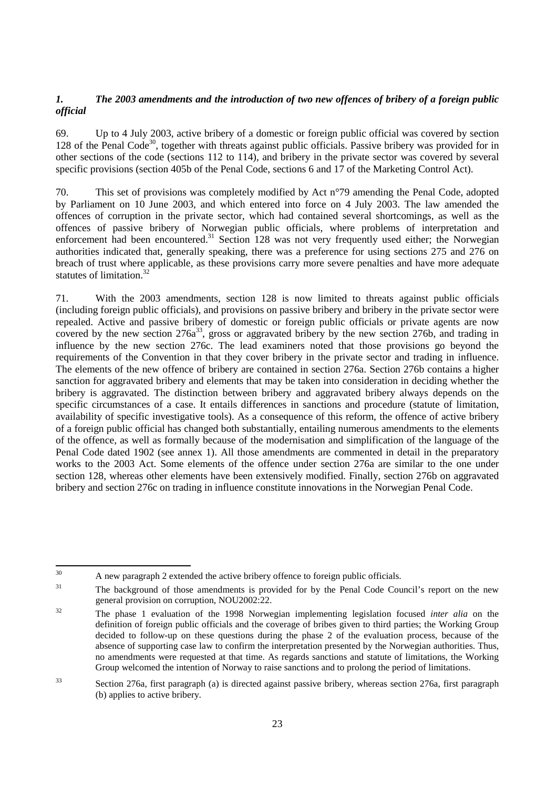## *1. The 2003 amendments and the introduction of two new offences of bribery of a foreign public official*

69. Up to 4 July 2003, active bribery of a domestic or foreign public official was covered by section 128 of the Penal Code<sup>30</sup>, together with threats against public officials. Passive bribery was provided for in other sections of the code (sections 112 to 114), and bribery in the private sector was covered by several specific provisions (section 405b of the Penal Code, sections 6 and 17 of the Marketing Control Act).

70. This set of provisions was completely modified by Act n°79 amending the Penal Code, adopted by Parliament on 10 June 2003, and which entered into force on 4 July 2003. The law amended the offences of corruption in the private sector, which had contained several shortcomings, as well as the offences of passive bribery of Norwegian public officials, where problems of interpretation and enforcement had been encountered.<sup>31</sup> Section 128 was not very frequently used either; the Norwegian authorities indicated that, generally speaking, there was a preference for using sections 275 and 276 on breach of trust where applicable, as these provisions carry more severe penalties and have more adequate statutes of limitation.<sup>32</sup>

71. With the 2003 amendments, section 128 is now limited to threats against public officials (including foreign public officials), and provisions on passive bribery and bribery in the private sector were repealed. Active and passive bribery of domestic or foreign public officials or private agents are now covered by the new section 276a<sup>33</sup>, gross or aggravated bribery by the new section 276b, and trading in influence by the new section 276c. The lead examiners noted that those provisions go beyond the requirements of the Convention in that they cover bribery in the private sector and trading in influence. The elements of the new offence of bribery are contained in section 276a. Section 276b contains a higher sanction for aggravated bribery and elements that may be taken into consideration in deciding whether the bribery is aggravated. The distinction between bribery and aggravated bribery always depends on the specific circumstances of a case. It entails differences in sanctions and procedure (statute of limitation, availability of specific investigative tools). As a consequence of this reform, the offence of active bribery of a foreign public official has changed both substantially, entailing numerous amendments to the elements of the offence, as well as formally because of the modernisation and simplification of the language of the Penal Code dated 1902 (see annex 1). All those amendments are commented in detail in the preparatory works to the 2003 Act. Some elements of the offence under section 276a are similar to the one under section 128, whereas other elements have been extensively modified. Finally, section 276b on aggravated bribery and section 276c on trading in influence constitute innovations in the Norwegian Penal Code.

<sup>30</sup> A new paragraph 2 extended the active bribery offence to foreign public officials.

<sup>&</sup>lt;sup>31</sup> The background of those amendments is provided for by the Penal Code Council's report on the new

general provision on corruption, NOU2002:22. 32 The phase 1 evaluation of the 1998 Norwegian implementing legislation focused *inter alia* on the definition of foreign public officials and the coverage of bribes given to third parties; the Working Group decided to follow-up on these questions during the phase 2 of the evaluation process, because of the absence of supporting case law to confirm the interpretation presented by the Norwegian authorities. Thus, no amendments were requested at that time. As regards sanctions and statute of limitations, the Working Group welcomed the intention of Norway to raise sanctions and to prolong the period of limitations.

<sup>33</sup> Section 276a, first paragraph (a) is directed against passive bribery, whereas section 276a, first paragraph (b) applies to active bribery.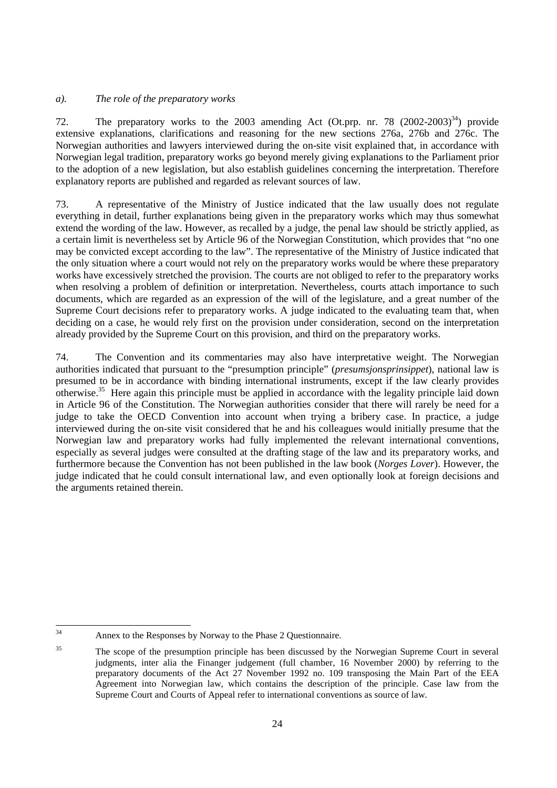#### *a). The role of the preparatory works*

72. The preparatory works to the 2003 amending Act (Ot.prp. nr. 78  $(2002-2003)^{34}$ ) provide extensive explanations, clarifications and reasoning for the new sections 276a, 276b and 276c. The Norwegian authorities and lawyers interviewed during the on-site visit explained that, in accordance with Norwegian legal tradition, preparatory works go beyond merely giving explanations to the Parliament prior to the adoption of a new legislation, but also establish guidelines concerning the interpretation. Therefore explanatory reports are published and regarded as relevant sources of law.

73. A representative of the Ministry of Justice indicated that the law usually does not regulate everything in detail, further explanations being given in the preparatory works which may thus somewhat extend the wording of the law. However, as recalled by a judge, the penal law should be strictly applied, as a certain limit is nevertheless set by Article 96 of the Norwegian Constitution, which provides that "no one may be convicted except according to the law". The representative of the Ministry of Justice indicated that the only situation where a court would not rely on the preparatory works would be where these preparatory works have excessively stretched the provision. The courts are not obliged to refer to the preparatory works when resolving a problem of definition or interpretation. Nevertheless, courts attach importance to such documents, which are regarded as an expression of the will of the legislature, and a great number of the Supreme Court decisions refer to preparatory works. A judge indicated to the evaluating team that, when deciding on a case, he would rely first on the provision under consideration, second on the interpretation already provided by the Supreme Court on this provision, and third on the preparatory works.

74. The Convention and its commentaries may also have interpretative weight. The Norwegian authorities indicated that pursuant to the "presumption principle" (*presumsjonsprinsippet*), national law is presumed to be in accordance with binding international instruments, except if the law clearly provides otherwise.<sup>35</sup> Here again this principle must be applied in accordance with the legality principle laid down in Article 96 of the Constitution. The Norwegian authorities consider that there will rarely be need for a judge to take the OECD Convention into account when trying a bribery case. In practice, a judge interviewed during the on-site visit considered that he and his colleagues would initially presume that the Norwegian law and preparatory works had fully implemented the relevant international conventions, especially as several judges were consulted at the drafting stage of the law and its preparatory works, and furthermore because the Convention has not been published in the law book (*Norges Lover*). However, the judge indicated that he could consult international law, and even optionally look at foreign decisions and the arguments retained therein.

<sup>34</sup> Annex to the Responses by Norway to the Phase 2 Questionnaire.

<sup>&</sup>lt;sup>35</sup> The scope of the presumption principle has been discussed by the Norwegian Supreme Court in several judgments, inter alia the Finanger judgement (full chamber, 16 November 2000) by referring to the preparatory documents of the Act 27 November 1992 no. 109 transposing the Main Part of the EEA Agreement into Norwegian law, which contains the description of the principle. Case law from the Supreme Court and Courts of Appeal refer to international conventions as source of law.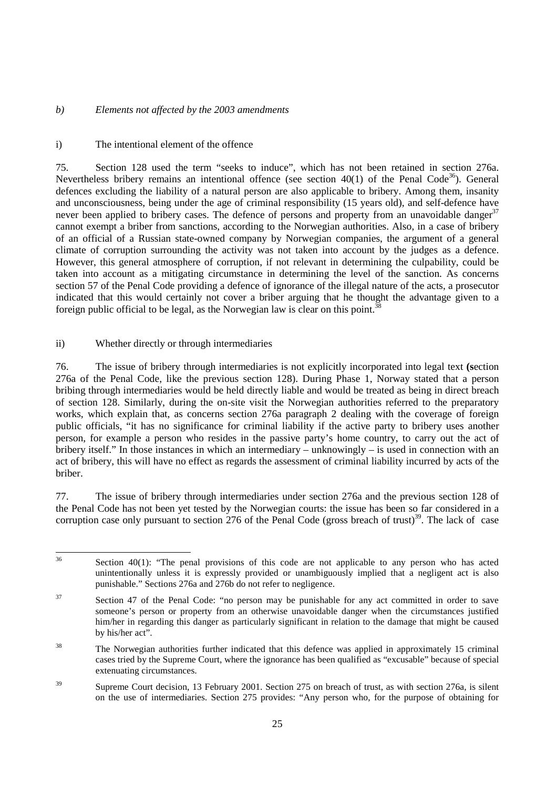## *b) Elements not affected by the 2003 amendments*

## i) The intentional element of the offence

75. Section 128 used the term "seeks to induce", which has not been retained in section 276a. Nevertheless bribery remains an intentional offence (see section  $40(1)$  of the Penal Code<sup>36</sup>). General defences excluding the liability of a natural person are also applicable to bribery. Among them, insanity and unconsciousness, being under the age of criminal responsibility (15 years old), and self-defence have never been applied to bribery cases. The defence of persons and property from an unavoidable danger  $37$ cannot exempt a briber from sanctions, according to the Norwegian authorities. Also, in a case of bribery of an official of a Russian state-owned company by Norwegian companies, the argument of a general climate of corruption surrounding the activity was not taken into account by the judges as a defence. However, this general atmosphere of corruption, if not relevant in determining the culpability, could be taken into account as a mitigating circumstance in determining the level of the sanction. As concerns section 57 of the Penal Code providing a defence of ignorance of the illegal nature of the acts, a prosecutor indicated that this would certainly not cover a briber arguing that he thought the advantage given to a foreign public official to be legal, as the Norwegian law is clear on this point.<sup>3</sup>

## ii) Whether directly or through intermediaries

76. The issue of bribery through intermediaries is not explicitly incorporated into legal text **(s**ection 276a of the Penal Code, like the previous section 128). During Phase 1, Norway stated that a person bribing through intermediaries would be held directly liable and would be treated as being in direct breach of section 128. Similarly, during the on-site visit the Norwegian authorities referred to the preparatory works, which explain that, as concerns section 276a paragraph 2 dealing with the coverage of foreign public officials, "it has no significance for criminal liability if the active party to bribery uses another person, for example a person who resides in the passive party's home country, to carry out the act of bribery itself." In those instances in which an intermediary – unknowingly – is used in connection with an act of bribery, this will have no effect as regards the assessment of criminal liability incurred by acts of the briber.

77. The issue of bribery through intermediaries under section 276a and the previous section 128 of the Penal Code has not been yet tested by the Norwegian courts: the issue has been so far considered in a corruption case only pursuant to section 276 of the Penal Code (gross breach of trust)<sup>39</sup>. The lack of case

<sup>36</sup> Section 40(1): "The penal provisions of this code are not applicable to any person who has acted unintentionally unless it is expressly provided or unambiguously implied that a negligent act is also punishable." Sections 276a and 276b do not refer to negligence.

<sup>&</sup>lt;sup>37</sup> Section 47 of the Penal Code: "no person may be punishable for any act committed in order to save someone's person or property from an otherwise unavoidable danger when the circumstances justified him/her in regarding this danger as particularly significant in relation to the damage that might be caused by his/her act".

<sup>&</sup>lt;sup>38</sup> The Norwegian authorities further indicated that this defence was applied in approximately 15 criminal cases tried by the Supreme Court, where the ignorance has been qualified as "excusable" because of special extenuating circumstances.

<sup>&</sup>lt;sup>39</sup> Supreme Court decision, 13 February 2001. Section 275 on breach of trust, as with section 276a, is silent on the use of intermediaries. Section 275 provides: "Any person who, for the purpose of obtaining for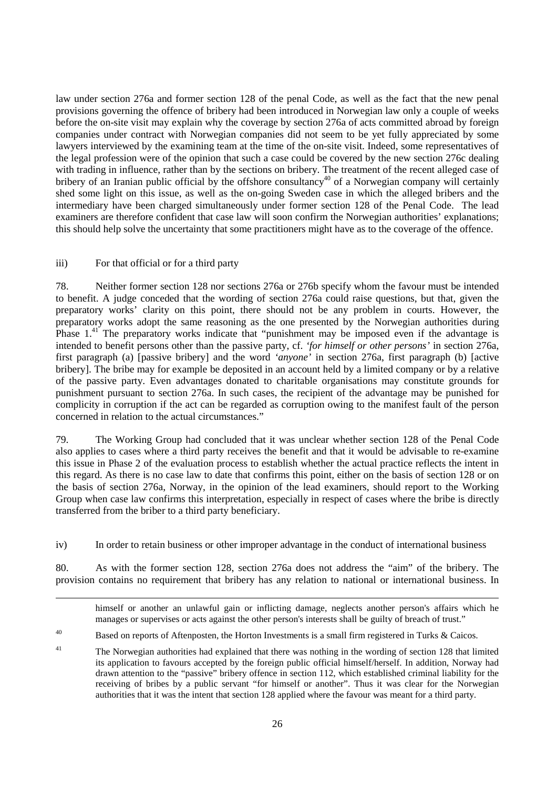law under section 276a and former section 128 of the penal Code, as well as the fact that the new penal provisions governing the offence of bribery had been introduced in Norwegian law only a couple of weeks before the on-site visit may explain why the coverage by section 276a of acts committed abroad by foreign companies under contract with Norwegian companies did not seem to be yet fully appreciated by some lawyers interviewed by the examining team at the time of the on-site visit. Indeed, some representatives of the legal profession were of the opinion that such a case could be covered by the new section 276c dealing with trading in influence, rather than by the sections on bribery. The treatment of the recent alleged case of bribery of an Iranian public official by the offshore consultancy<sup>40</sup> of a Norwegian company will certainly shed some light on this issue, as well as the on-going Sweden case in which the alleged bribers and the intermediary have been charged simultaneously under former section 128 of the Penal Code.The lead examiners are therefore confident that case law will soon confirm the Norwegian authorities' explanations; this should help solve the uncertainty that some practitioners might have as to the coverage of the offence.

#### iii) For that official or for a third party

<u>.</u>

78. Neither former section 128 nor sections 276a or 276b specify whom the favour must be intended to benefit. A judge conceded that the wording of section 276a could raise questions, but that, given the preparatory works' clarity on this point, there should not be any problem in courts. However, the preparatory works adopt the same reasoning as the one presented by the Norwegian authorities during Phase 1.<sup>41</sup> The preparatory works indicate that "punishment may be imposed even if the advantage is intended to benefit persons other than the passive party, cf. *'for himself or other persons'* in section 276a, first paragraph (a) [passive bribery] and the word *'anyone'* in section 276a, first paragraph (b) [active bribery]. The bribe may for example be deposited in an account held by a limited company or by a relative of the passive party. Even advantages donated to charitable organisations may constitute grounds for punishment pursuant to section 276a. In such cases, the recipient of the advantage may be punished for complicity in corruption if the act can be regarded as corruption owing to the manifest fault of the person concerned in relation to the actual circumstances."

79. The Working Group had concluded that it was unclear whether section 128 of the Penal Code also applies to cases where a third party receives the benefit and that it would be advisable to re-examine this issue in Phase 2 of the evaluation process to establish whether the actual practice reflects the intent in this regard. As there is no case law to date that confirms this point, either on the basis of section 128 or on the basis of section 276a, Norway, in the opinion of the lead examiners, should report to the Working Group when case law confirms this interpretation, especially in respect of cases where the bribe is directly transferred from the briber to a third party beneficiary.

iv) In order to retain business or other improper advantage in the conduct of international business

80. As with the former section 128, section 276a does not address the "aim" of the bribery. The provision contains no requirement that bribery has any relation to national or international business. In

himself or another an unlawful gain or inflicting damage, neglects another person's affairs which he manages or supervises or acts against the other person's interests shall be guilty of breach of trust."

<sup>40</sup> Based on reports of Aftenposten, the Horton Investments is a small firm registered in Turks & Caicos.

<sup>41</sup> The Norwegian authorities had explained that there was nothing in the wording of section 128 that limited its application to favours accepted by the foreign public official himself/herself. In addition, Norway had drawn attention to the "passive" bribery offence in section 112, which established criminal liability for the receiving of bribes by a public servant "for himself or another". Thus it was clear for the Norwegian authorities that it was the intent that section 128 applied where the favour was meant for a third party.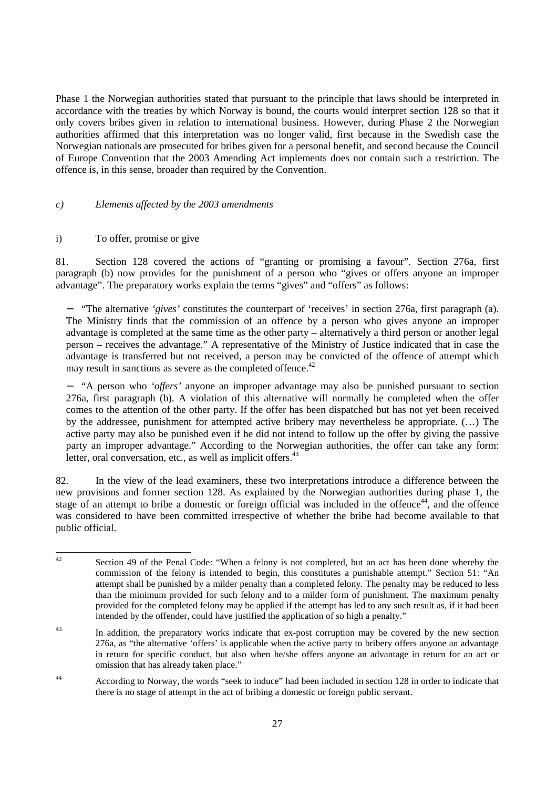Phase 1 the Norwegian authorities stated that pursuant to the principle that laws should be interpreted in accordance with the treaties by which Norway is bound, the courts would interpret section 128 so that it only covers bribes given in relation to international business. However, during Phase 2 the Norwegian authorities affirmed that this interpretation was no longer valid, first because in the Swedish case the Norwegian nationals are prosecuted for bribes given for a personal benefit, and second because the Council of Europe Convention that the 2003 Amending Act implements does not contain such a restriction. The offence is, in this sense, broader than required by the Convention.

## *c) Elements affected by the 2003 amendments*

#### i) To offer, promise or give

81. Section 128 covered the actions of "granting or promising a favour". Section 276a, first paragraph (b) now provides for the punishment of a person who "gives or offers anyone an improper advantage". The preparatory works explain the terms "gives" and "offers" as follows:

− "The alternative *'gives'* constitutes the counterpart of 'receives' in section 276a, first paragraph (a). The Ministry finds that the commission of an offence by a person who gives anyone an improper advantage is completed at the same time as the other party – alternatively a third person or another legal person – receives the advantage." A representative of the Ministry of Justice indicated that in case the advantage is transferred but not received, a person may be convicted of the offence of attempt which may result in sanctions as severe as the completed offence.<sup>42</sup>

− "A person who *'offers'* anyone an improper advantage may also be punished pursuant to section 276a, first paragraph (b). A violation of this alternative will normally be completed when the offer comes to the attention of the other party. If the offer has been dispatched but has not yet been received by the addressee, punishment for attempted active bribery may nevertheless be appropriate. (…) The active party may also be punished even if he did not intend to follow up the offer by giving the passive party an improper advantage." According to the Norwegian authorities, the offer can take any form: letter, oral conversation, etc., as well as implicit offers.<sup>43</sup>

82. In the view of the lead examiners, these two interpretations introduce a difference between the new provisions and former section 128. As explained by the Norwegian authorities during phase 1, the stage of an attempt to bribe a domestic or foreign official was included in the offence<sup>44</sup>, and the offence was considered to have been committed irrespective of whether the bribe had become available to that public official.

 $42$ Section 49 of the Penal Code: "When a felony is not completed, but an act has been done whereby the commission of the felony is intended to begin, this constitutes a punishable attempt." Section 51: "An attempt shall be punished by a milder penalty than a completed felony. The penalty may be reduced to less than the minimum provided for such felony and to a milder form of punishment. The maximum penalty provided for the completed felony may be applied if the attempt has led to any such result as, if it had been intended by the offender, could have justified the application of so high a penalty."

<sup>&</sup>lt;sup>43</sup> In addition, the preparatory works indicate that ex-post corruption may be covered by the new section 276a, as "the alternative 'offers' is applicable when the active party to bribery offers anyone an advantage in return for specific conduct, but also when he/she offers anyone an advantage in return for an act or omission that has already taken place."

<sup>44</sup> According to Norway, the words "seek to induce" had been included in section 128 in order to indicate that there is no stage of attempt in the act of bribing a domestic or foreign public servant.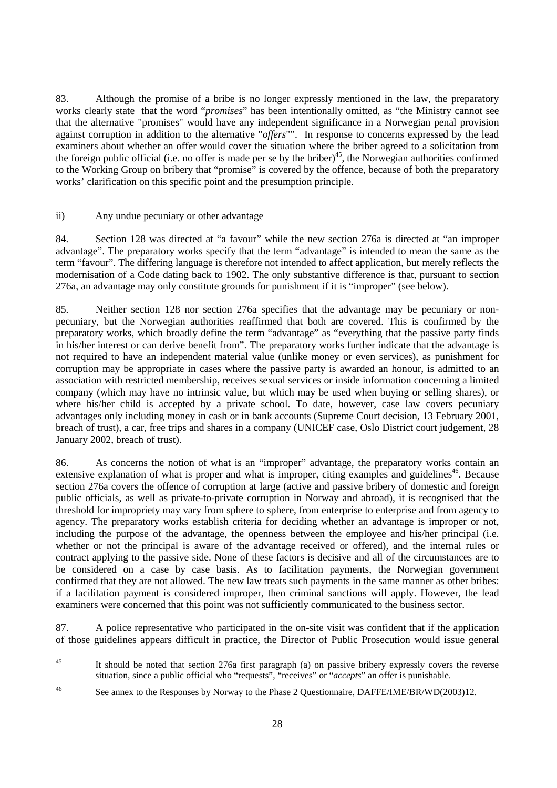83. Although the promise of a bribe is no longer expressly mentioned in the law, the preparatory works clearly state that the word "*promises*" has been intentionally omitted, as "the Ministry cannot see that the alternative "promises" would have any independent significance in a Norwegian penal provision against corruption in addition to the alternative "*offers*"". In response to concerns expressed by the lead examiners about whether an offer would cover the situation where the briber agreed to a solicitation from the foreign public official (i.e. no offer is made per se by the briber)<sup>45</sup>, the Norwegian authorities confirmed to the Working Group on bribery that "promise" is covered by the offence, because of both the preparatory works' clarification on this specific point and the presumption principle.

## ii) Any undue pecuniary or other advantage

84. Section 128 was directed at "a favour" while the new section 276a is directed at "an improper advantage". The preparatory works specify that the term "advantage" is intended to mean the same as the term "favour". The differing language is therefore not intended to affect application, but merely reflects the modernisation of a Code dating back to 1902. The only substantive difference is that, pursuant to section 276a, an advantage may only constitute grounds for punishment if it is "improper" (see below).

85. Neither section 128 nor section 276a specifies that the advantage may be pecuniary or nonpecuniary, but the Norwegian authorities reaffirmed that both are covered. This is confirmed by the preparatory works, which broadly define the term "advantage" as "everything that the passive party finds in his/her interest or can derive benefit from". The preparatory works further indicate that the advantage is not required to have an independent material value (unlike money or even services), as punishment for corruption may be appropriate in cases where the passive party is awarded an honour, is admitted to an association with restricted membership, receives sexual services or inside information concerning a limited company (which may have no intrinsic value, but which may be used when buying or selling shares), or where his/her child is accepted by a private school. To date, however, case law covers pecuniary advantages only including money in cash or in bank accounts (Supreme Court decision, 13 February 2001, breach of trust), a car, free trips and shares in a company (UNICEF case, Oslo District court judgement, 28 January 2002, breach of trust).

86. As concerns the notion of what is an "improper" advantage, the preparatory works contain an extensive explanation of what is proper and what is improper, citing examples and guidelines<sup>46</sup>. Because section 276a covers the offence of corruption at large (active and passive bribery of domestic and foreign public officials, as well as private-to-private corruption in Norway and abroad), it is recognised that the threshold for impropriety may vary from sphere to sphere, from enterprise to enterprise and from agency to agency. The preparatory works establish criteria for deciding whether an advantage is improper or not, including the purpose of the advantage, the openness between the employee and his/her principal (i.e. whether or not the principal is aware of the advantage received or offered), and the internal rules or contract applying to the passive side. None of these factors is decisive and all of the circumstances are to be considered on a case by case basis. As to facilitation payments, the Norwegian government confirmed that they are not allowed. The new law treats such payments in the same manner as other bribes: if a facilitation payment is considered improper, then criminal sanctions will apply. However, the lead examiners were concerned that this point was not sufficiently communicated to the business sector.

87. A police representative who participated in the on-site visit was confident that if the application of those guidelines appears difficult in practice, the Director of Public Prosecution would issue general

 $45$ It should be noted that section 276a first paragraph (a) on passive bribery expressly covers the reverse situation, since a public official who "requests", "receives" or "*accepts*" an offer is punishable.

<sup>&</sup>lt;sup>46</sup> See annex to the Responses by Norway to the Phase 2 Questionnaire, DAFFE/IME/BR/WD(2003)12.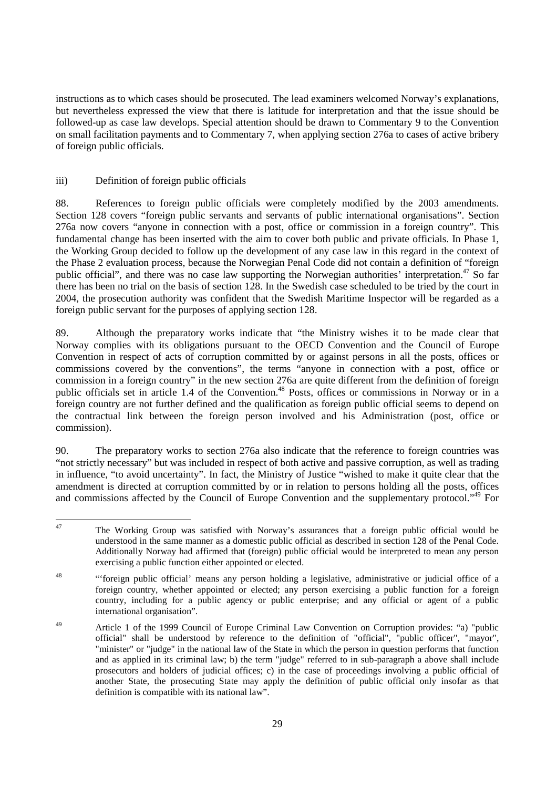instructions as to which cases should be prosecuted. The lead examiners welcomed Norway's explanations, but nevertheless expressed the view that there is latitude for interpretation and that the issue should be followed-up as case law develops. Special attention should be drawn to Commentary 9 to the Convention on small facilitation payments and to Commentary 7, when applying section 276a to cases of active bribery of foreign public officials.

## iii) Definition of foreign public officials

88. References to foreign public officials were completely modified by the 2003 amendments. Section 128 covers "foreign public servants and servants of public international organisations". Section 276a now covers "anyone in connection with a post, office or commission in a foreign country". This fundamental change has been inserted with the aim to cover both public and private officials. In Phase 1, the Working Group decided to follow up the development of any case law in this regard in the context of the Phase 2 evaluation process, because the Norwegian Penal Code did not contain a definition of "foreign public official", and there was no case law supporting the Norwegian authorities' interpretation.<sup>47</sup> So far there has been no trial on the basis of section 128. In the Swedish case scheduled to be tried by the court in 2004, the prosecution authority was confident that the Swedish Maritime Inspector will be regarded as a foreign public servant for the purposes of applying section 128.

89. Although the preparatory works indicate that "the Ministry wishes it to be made clear that Norway complies with its obligations pursuant to the OECD Convention and the Council of Europe Convention in respect of acts of corruption committed by or against persons in all the posts, offices or commissions covered by the conventions", the terms "anyone in connection with a post, office or commission in a foreign country" in the new section 276a are quite different from the definition of foreign public officials set in article 1.4 of the Convention.<sup>48</sup> Posts, offices or commissions in Norway or in a foreign country are not further defined and the qualification as foreign public official seems to depend on the contractual link between the foreign person involved and his Administration (post, office or commission).

90. The preparatory works to section 276a also indicate that the reference to foreign countries was "not strictly necessary" but was included in respect of both active and passive corruption, as well as trading in influence, "to avoid uncertainty". In fact, the Ministry of Justice "wished to make it quite clear that the amendment is directed at corruption committed by or in relation to persons holding all the posts, offices and commissions affected by the Council of Europe Convention and the supplementary protocol."<sup>49</sup> For

 $\Delta$ 7 47 The Working Group was satisfied with Norway's assurances that a foreign public official would be understood in the same manner as a domestic public official as described in section 128 of the Penal Code. Additionally Norway had affirmed that (foreign) public official would be interpreted to mean any person exercising a public function either appointed or elected.

<sup>48 &</sup>quot;'foreign public official' means any person holding a legislative, administrative or judicial office of a foreign country, whether appointed or elected; any person exercising a public function for a foreign country, including for a public agency or public enterprise; and any official or agent of a public international organisation".

<sup>49</sup> Article 1 of the 1999 Council of Europe Criminal Law Convention on Corruption provides: "a) "public official" shall be understood by reference to the definition of "official", "public officer", "mayor", "minister" or "judge" in the national law of the State in which the person in question performs that function and as applied in its criminal law; b) the term "judge" referred to in sub-paragraph a above shall include prosecutors and holders of judicial offices; c) in the case of proceedings involving a public official of another State, the prosecuting State may apply the definition of public official only insofar as that definition is compatible with its national law".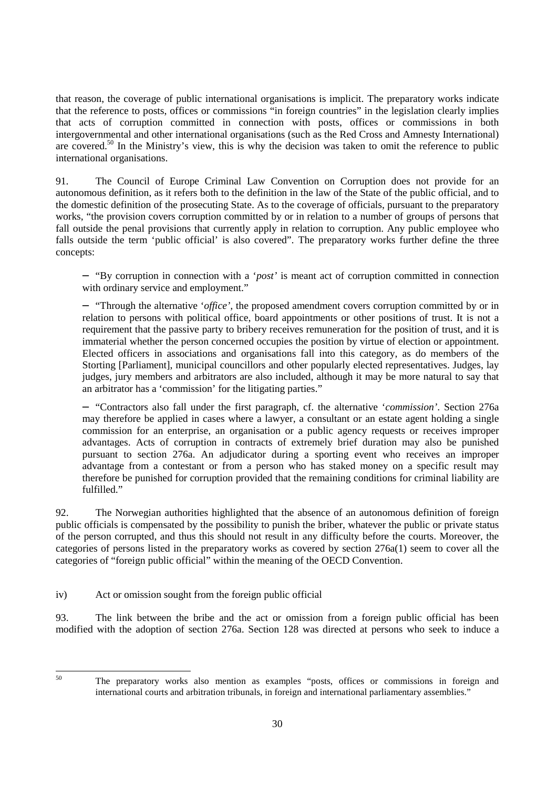that reason, the coverage of public international organisations is implicit. The preparatory works indicate that the reference to posts, offices or commissions "in foreign countries" in the legislation clearly implies that acts of corruption committed in connection with posts, offices or commissions in both intergovernmental and other international organisations (such as the Red Cross and Amnesty International) are covered.<sup>50</sup> In the Ministry's view, this is why the decision was taken to omit the reference to public international organisations.

91. The Council of Europe Criminal Law Convention on Corruption does not provide for an autonomous definition, as it refers both to the definition in the law of the State of the public official, and to the domestic definition of the prosecuting State. As to the coverage of officials, pursuant to the preparatory works, "the provision covers corruption committed by or in relation to a number of groups of persons that fall outside the penal provisions that currently apply in relation to corruption. Any public employee who falls outside the term 'public official' is also covered". The preparatory works further define the three concepts:

− "By corruption in connection with a '*post'* is meant act of corruption committed in connection with ordinary service and employment."

− "Through the alternative '*office',* the proposed amendment covers corruption committed by or in relation to persons with political office, board appointments or other positions of trust. It is not a requirement that the passive party to bribery receives remuneration for the position of trust, and it is immaterial whether the person concerned occupies the position by virtue of election or appointment. Elected officers in associations and organisations fall into this category, as do members of the Storting [Parliament], municipal councillors and other popularly elected representatives. Judges, lay judges, jury members and arbitrators are also included, although it may be more natural to say that an arbitrator has a 'commission' for the litigating parties."

− "Contractors also fall under the first paragraph, cf. the alternative '*commission'*. Section 276a may therefore be applied in cases where a lawyer, a consultant or an estate agent holding a single commission for an enterprise, an organisation or a public agency requests or receives improper advantages. Acts of corruption in contracts of extremely brief duration may also be punished pursuant to section 276a. An adjudicator during a sporting event who receives an improper advantage from a contestant or from a person who has staked money on a specific result may therefore be punished for corruption provided that the remaining conditions for criminal liability are fulfilled."

92. The Norwegian authorities highlighted that the absence of an autonomous definition of foreign public officials is compensated by the possibility to punish the briber, whatever the public or private status of the person corrupted, and thus this should not result in any difficulty before the courts. Moreover, the categories of persons listed in the preparatory works as covered by section 276a(1) seem to cover all the categories of "foreign public official" within the meaning of the OECD Convention.

iv) Act or omission sought from the foreign public official

93. The link between the bribe and the act or omission from a foreign public official has been modified with the adoption of section 276a. Section 128 was directed at persons who seek to induce a

The preparatory works also mention as examples "posts, offices or commissions in foreign and international courts and arbitration tribunals, in foreign and international parliamentary assemblies."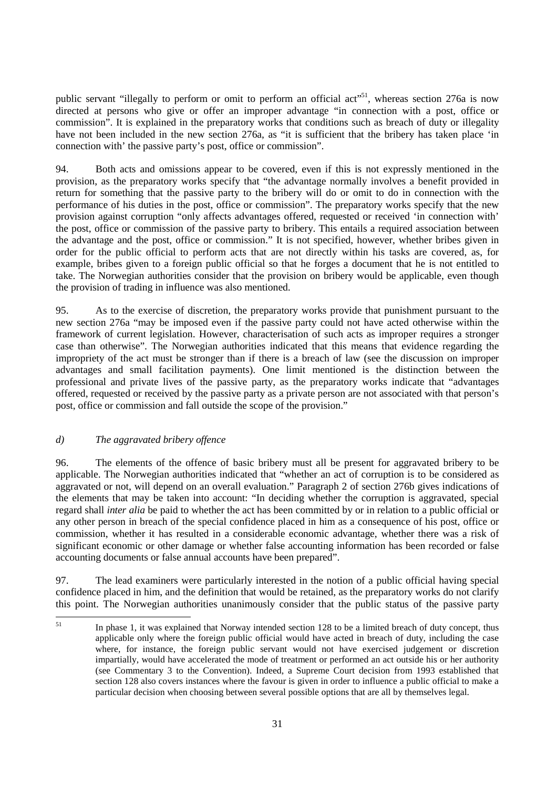public servant "illegally to perform or omit to perform an official act"<sup>51</sup>, whereas section 276a is now directed at persons who give or offer an improper advantage "in connection with a post, office or commission". It is explained in the preparatory works that conditions such as breach of duty or illegality have not been included in the new section 276a, as "it is sufficient that the bribery has taken place 'in connection with' the passive party's post, office or commission".

94. Both acts and omissions appear to be covered, even if this is not expressly mentioned in the provision, as the preparatory works specify that "the advantage normally involves a benefit provided in return for something that the passive party to the bribery will do or omit to do in connection with the performance of his duties in the post, office or commission". The preparatory works specify that the new provision against corruption "only affects advantages offered, requested or received 'in connection with' the post, office or commission of the passive party to bribery. This entails a required association between the advantage and the post, office or commission." It is not specified, however, whether bribes given in order for the public official to perform acts that are not directly within his tasks are covered, as, for example, bribes given to a foreign public official so that he forges a document that he is not entitled to take. The Norwegian authorities consider that the provision on bribery would be applicable, even though the provision of trading in influence was also mentioned.

95. As to the exercise of discretion, the preparatory works provide that punishment pursuant to the new section 276a "may be imposed even if the passive party could not have acted otherwise within the framework of current legislation. However, characterisation of such acts as improper requires a stronger case than otherwise". The Norwegian authorities indicated that this means that evidence regarding the impropriety of the act must be stronger than if there is a breach of law (see the discussion on improper advantages and small facilitation payments). One limit mentioned is the distinction between the professional and private lives of the passive party, as the preparatory works indicate that "advantages offered, requested or received by the passive party as a private person are not associated with that person's post, office or commission and fall outside the scope of the provision."

## *d) The aggravated bribery offence*

96. The elements of the offence of basic bribery must all be present for aggravated bribery to be applicable. The Norwegian authorities indicated that "whether an act of corruption is to be considered as aggravated or not, will depend on an overall evaluation." Paragraph 2 of section 276b gives indications of the elements that may be taken into account: "In deciding whether the corruption is aggravated, special regard shall *inter alia* be paid to whether the act has been committed by or in relation to a public official or any other person in breach of the special confidence placed in him as a consequence of his post, office or commission, whether it has resulted in a considerable economic advantage, whether there was a risk of significant economic or other damage or whether false accounting information has been recorded or false accounting documents or false annual accounts have been prepared".

97. The lead examiners were particularly interested in the notion of a public official having special confidence placed in him, and the definition that would be retained, as the preparatory works do not clarify this point. The Norwegian authorities unanimously consider that the public status of the passive party

 $51$ In phase 1, it was explained that Norway intended section 128 to be a limited breach of duty concept, thus applicable only where the foreign public official would have acted in breach of duty, including the case where, for instance, the foreign public servant would not have exercised judgement or discretion impartially, would have accelerated the mode of treatment or performed an act outside his or her authority (see Commentary 3 to the Convention). Indeed, a Supreme Court decision from 1993 established that section 128 also covers instances where the favour is given in order to influence a public official to make a particular decision when choosing between several possible options that are all by themselves legal.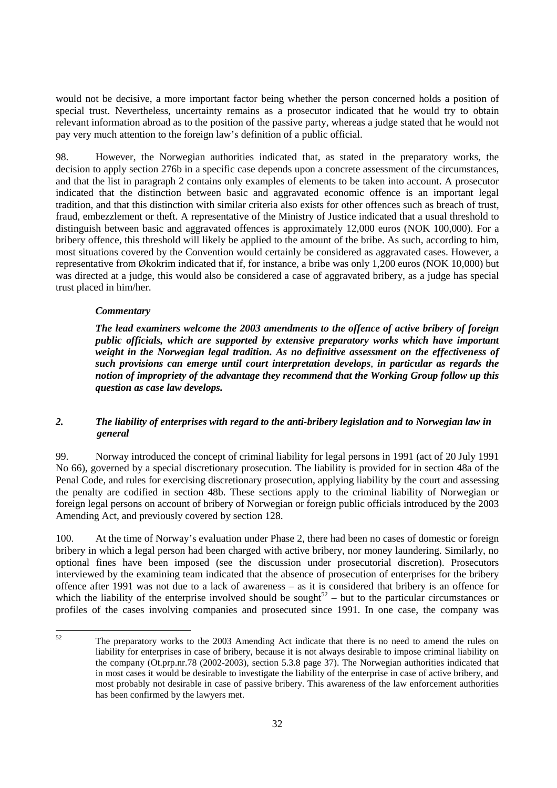would not be decisive, a more important factor being whether the person concerned holds a position of special trust. Nevertheless, uncertainty remains as a prosecutor indicated that he would try to obtain relevant information abroad as to the position of the passive party, whereas a judge stated that he would not pay very much attention to the foreign law's definition of a public official.

98. However, the Norwegian authorities indicated that, as stated in the preparatory works, the decision to apply section 276b in a specific case depends upon a concrete assessment of the circumstances, and that the list in paragraph 2 contains only examples of elements to be taken into account. A prosecutor indicated that the distinction between basic and aggravated economic offence is an important legal tradition, and that this distinction with similar criteria also exists for other offences such as breach of trust, fraud, embezzlement or theft. A representative of the Ministry of Justice indicated that a usual threshold to distinguish between basic and aggravated offences is approximately 12,000 euros (NOK 100,000). For a bribery offence, this threshold will likely be applied to the amount of the bribe. As such, according to him, most situations covered by the Convention would certainly be considered as aggravated cases. However, a representative from Økokrim indicated that if, for instance, a bribe was only 1,200 euros (NOK 10,000) but was directed at a judge, this would also be considered a case of aggravated bribery, as a judge has special trust placed in him/her.

#### *Commentary*

*The lead examiners welcome the 2003 amendments to the offence of active bribery of foreign public officials, which are supported by extensive preparatory works which have important weight in the Norwegian legal tradition. As no definitive assessment on the effectiveness of such provisions can emerge until court interpretation develops*, *in particular as regards the notion of impropriety of the advantage they recommend that the Working Group follow up this question as case law develops.* 

## *2. The liability of enterprises with regard to the anti-bribery legislation and to Norwegian law in general*

99. Norway introduced the concept of criminal liability for legal persons in 1991 (act of 20 July 1991 No 66), governed by a special discretionary prosecution. The liability is provided for in section 48a of the Penal Code, and rules for exercising discretionary prosecution, applying liability by the court and assessing the penalty are codified in section 48b. These sections apply to the criminal liability of Norwegian or foreign legal persons on account of bribery of Norwegian or foreign public officials introduced by the 2003 Amending Act, and previously covered by section 128.

100. At the time of Norway's evaluation under Phase 2, there had been no cases of domestic or foreign bribery in which a legal person had been charged with active bribery, nor money laundering. Similarly, no optional fines have been imposed (see the discussion under prosecutorial discretion). Prosecutors interviewed by the examining team indicated that the absence of prosecution of enterprises for the bribery offence after 1991 was not due to a lack of awareness – as it is considered that bribery is an offence for which the liability of the enterprise involved should be sought<sup>52</sup> – but to the particular circumstances or profiles of the cases involving companies and prosecuted since 1991. In one case, the company was

 $52$ The preparatory works to the 2003 Amending Act indicate that there is no need to amend the rules on liability for enterprises in case of bribery, because it is not always desirable to impose criminal liability on the company (Ot.prp.nr.78 (2002-2003), section 5.3.8 page 37). The Norwegian authorities indicated that in most cases it would be desirable to investigate the liability of the enterprise in case of active bribery, and most probably not desirable in case of passive bribery. This awareness of the law enforcement authorities has been confirmed by the lawyers met.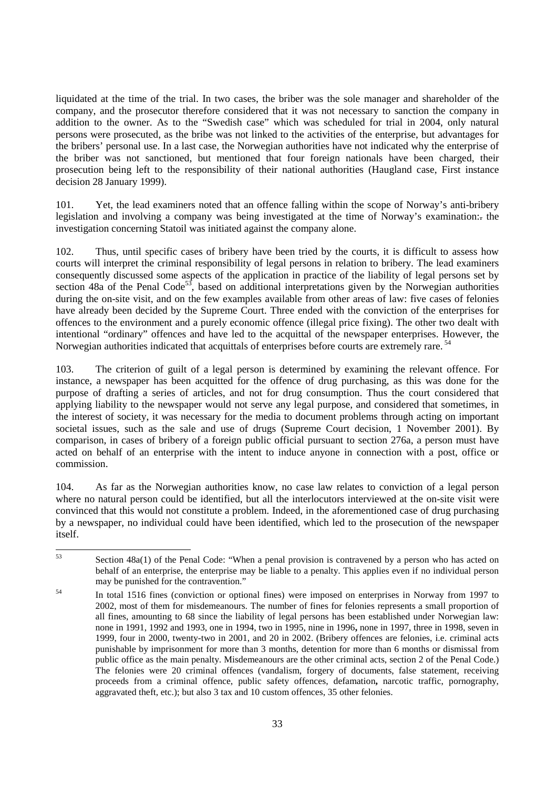liquidated at the time of the trial. In two cases, the briber was the sole manager and shareholder of the company, and the prosecutor therefore considered that it was not necessary to sanction the company in addition to the owner. As to the "Swedish case" which was scheduled for trial in 2004, only natural persons were prosecuted, as the bribe was not linked to the activities of the enterprise, but advantages for the bribers' personal use. In a last case, the Norwegian authorities have not indicated why the enterprise of the briber was not sanctioned, but mentioned that four foreign nationals have been charged, their prosecution being left to the responsibility of their national authorities (Haugland case, First instance decision 28 January 1999).

101. Yet, the lead examiners noted that an offence falling within the scope of Norway's anti-bribery legislation and involving a company was being investigated at the time of Norway's examination:. the investigation concerning Statoil was initiated against the company alone.

102. Thus, until specific cases of bribery have been tried by the courts, it is difficult to assess how courts will interpret the criminal responsibility of legal persons in relation to bribery. The lead examiners consequently discussed some aspects of the application in practice of the liability of legal persons set by section 48a of the Penal Code<sup>55</sup>, based on additional interpretations given by the Norwegian authorities during the on-site visit, and on the few examples available from other areas of law: five cases of felonies have already been decided by the Supreme Court. Three ended with the conviction of the enterprises for offences to the environment and a purely economic offence (illegal price fixing). The other two dealt with intentional "ordinary" offences and have led to the acquittal of the newspaper enterprises. However, the Norwegian authorities indicated that acquittals of enterprises before courts are extremely rare.<sup>54</sup>

103. The criterion of guilt of a legal person is determined by examining the relevant offence. For instance, a newspaper has been acquitted for the offence of drug purchasing, as this was done for the purpose of drafting a series of articles, and not for drug consumption. Thus the court considered that applying liability to the newspaper would not serve any legal purpose, and considered that sometimes, in the interest of society, it was necessary for the media to document problems through acting on important societal issues, such as the sale and use of drugs (Supreme Court decision, 1 November 2001). By comparison, in cases of bribery of a foreign public official pursuant to section 276a, a person must have acted on behalf of an enterprise with the intent to induce anyone in connection with a post, office or commission.

104. As far as the Norwegian authorities know, no case law relates to conviction of a legal person where no natural person could be identified, but all the interlocutors interviewed at the on-site visit were convinced that this would not constitute a problem. Indeed, in the aforementioned case of drug purchasing by a newspaper, no individual could have been identified, which led to the prosecution of the newspaper itself.

 $53$ Section 48a(1) of the Penal Code: "When a penal provision is contravened by a person who has acted on behalf of an enterprise, the enterprise may be liable to a penalty. This applies even if no individual person may be punished for the contravention."

<sup>&</sup>lt;sup>54</sup> In total 1516 fines (conviction or optional fines) were imposed on enterprises in Norway from 1997 to 2002, most of them for misdemeanours. The number of fines for felonies represents a small proportion of all fines, amounting to 68 since the liability of legal persons has been established under Norwegian law: none in 1991, 1992 and 1993, one in 1994, two in 1995, nine in 1996**,** none in 1997, three in 1998, seven in 1999, four in 2000, twenty-two in 2001, and 20 in 2002. (Bribery offences are felonies, i.e. criminal acts punishable by imprisonment for more than 3 months, detention for more than 6 months or dismissal from public office as the main penalty. Misdemeanours are the other criminal acts, section 2 of the Penal Code.) The felonies were 20 criminal offences (vandalism, forgery of documents, false statement, receiving proceeds from a criminal offence, public safety offences, defamation**,** narcotic traffic, pornography, aggravated theft, etc.); but also 3 tax and 10 custom offences, 35 other felonies.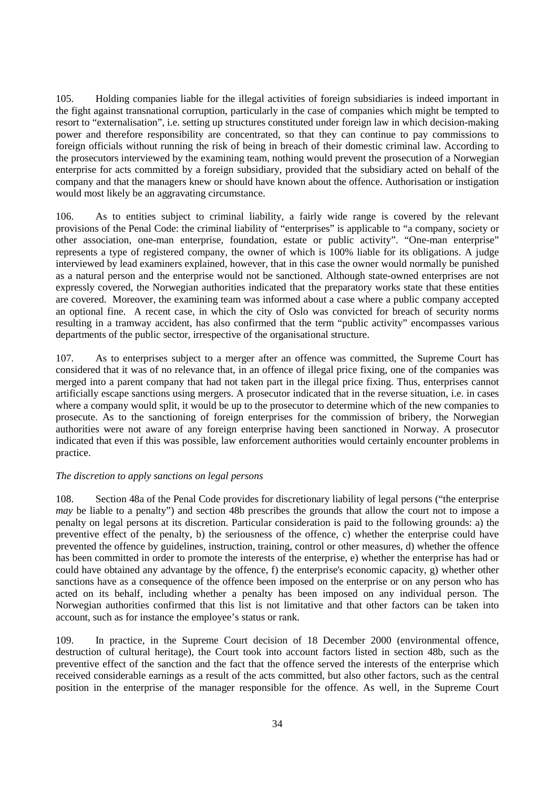105. Holding companies liable for the illegal activities of foreign subsidiaries is indeed important in the fight against transnational corruption, particularly in the case of companies which might be tempted to resort to "externalisation", i.e. setting up structures constituted under foreign law in which decision-making power and therefore responsibility are concentrated, so that they can continue to pay commissions to foreign officials without running the risk of being in breach of their domestic criminal law. According to the prosecutors interviewed by the examining team, nothing would prevent the prosecution of a Norwegian enterprise for acts committed by a foreign subsidiary, provided that the subsidiary acted on behalf of the company and that the managers knew or should have known about the offence. Authorisation or instigation would most likely be an aggravating circumstance.

106. As to entities subject to criminal liability, a fairly wide range is covered by the relevant provisions of the Penal Code: the criminal liability of "enterprises" is applicable to "a company, society or other association, one-man enterprise, foundation, estate or public activity". "One-man enterprise" represents a type of registered company, the owner of which is 100% liable for its obligations. A judge interviewed by lead examiners explained, however, that in this case the owner would normally be punished as a natural person and the enterprise would not be sanctioned. Although state-owned enterprises are not expressly covered, the Norwegian authorities indicated that the preparatory works state that these entities are covered. Moreover, the examining team was informed about a case where a public company accepted an optional fine. A recent case, in which the city of Oslo was convicted for breach of security norms resulting in a tramway accident, has also confirmed that the term "public activity" encompasses various departments of the public sector, irrespective of the organisational structure.

107. As to enterprises subject to a merger after an offence was committed, the Supreme Court has considered that it was of no relevance that, in an offence of illegal price fixing, one of the companies was merged into a parent company that had not taken part in the illegal price fixing. Thus, enterprises cannot artificially escape sanctions using mergers. A prosecutor indicated that in the reverse situation, i.e. in cases where a company would split, it would be up to the prosecutor to determine which of the new companies to prosecute. As to the sanctioning of foreign enterprises for the commission of bribery, the Norwegian authorities were not aware of any foreign enterprise having been sanctioned in Norway. A prosecutor indicated that even if this was possible, law enforcement authorities would certainly encounter problems in practice.

## *The discretion to apply sanctions on legal persons*

108. Section 48a of the Penal Code provides for discretionary liability of legal persons ("the enterprise *may* be liable to a penalty") and section 48b prescribes the grounds that allow the court not to impose a penalty on legal persons at its discretion. Particular consideration is paid to the following grounds: a) the preventive effect of the penalty, b) the seriousness of the offence, c) whether the enterprise could have prevented the offence by guidelines, instruction, training, control or other measures, d) whether the offence has been committed in order to promote the interests of the enterprise, e) whether the enterprise has had or could have obtained any advantage by the offence, f) the enterprise's economic capacity, g) whether other sanctions have as a consequence of the offence been imposed on the enterprise or on any person who has acted on its behalf, including whether a penalty has been imposed on any individual person. The Norwegian authorities confirmed that this list is not limitative and that other factors can be taken into account, such as for instance the employee's status or rank.

109. In practice, in the Supreme Court decision of 18 December 2000 (environmental offence, destruction of cultural heritage), the Court took into account factors listed in section 48b, such as the preventive effect of the sanction and the fact that the offence served the interests of the enterprise which received considerable earnings as a result of the acts committed, but also other factors, such as the central position in the enterprise of the manager responsible for the offence. As well, in the Supreme Court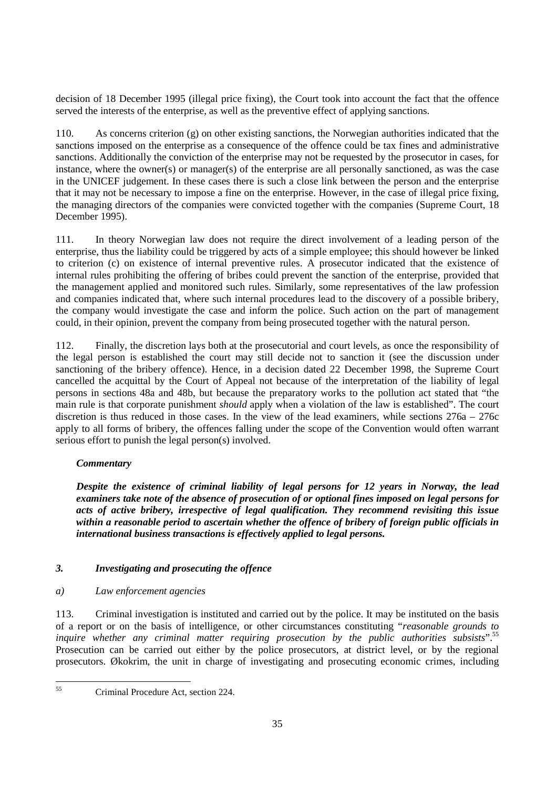decision of 18 December 1995 (illegal price fixing), the Court took into account the fact that the offence served the interests of the enterprise, as well as the preventive effect of applying sanctions.

110. As concerns criterion (g) on other existing sanctions, the Norwegian authorities indicated that the sanctions imposed on the enterprise as a consequence of the offence could be tax fines and administrative sanctions. Additionally the conviction of the enterprise may not be requested by the prosecutor in cases, for instance, where the owner(s) or manager(s) of the enterprise are all personally sanctioned, as was the case in the UNICEF judgement. In these cases there is such a close link between the person and the enterprise that it may not be necessary to impose a fine on the enterprise. However, in the case of illegal price fixing, the managing directors of the companies were convicted together with the companies (Supreme Court, 18 December 1995).

111. In theory Norwegian law does not require the direct involvement of a leading person of the enterprise, thus the liability could be triggered by acts of a simple employee; this should however be linked to criterion (c) on existence of internal preventive rules. A prosecutor indicated that the existence of internal rules prohibiting the offering of bribes could prevent the sanction of the enterprise, provided that the management applied and monitored such rules. Similarly, some representatives of the law profession and companies indicated that, where such internal procedures lead to the discovery of a possible bribery, the company would investigate the case and inform the police. Such action on the part of management could, in their opinion, prevent the company from being prosecuted together with the natural person.

112. Finally, the discretion lays both at the prosecutorial and court levels, as once the responsibility of the legal person is established the court may still decide not to sanction it (see the discussion under sanctioning of the bribery offence). Hence, in a decision dated 22 December 1998, the Supreme Court cancelled the acquittal by the Court of Appeal not because of the interpretation of the liability of legal persons in sections 48a and 48b, but because the preparatory works to the pollution act stated that "the main rule is that corporate punishment *should* apply when a violation of the law is established". The court discretion is thus reduced in those cases. In the view of the lead examiners, while sections 276a – 276c apply to all forms of bribery, the offences falling under the scope of the Convention would often warrant serious effort to punish the legal person(s) involved.

## *Commentary*

*Despite the existence of criminal liability of legal persons for 12 years in Norway, the lead examiners take note of the absence of prosecution of or optional fines imposed on legal persons for acts of active bribery, irrespective of legal qualification. They recommend revisiting this issue within a reasonable period to ascertain whether the offence of bribery of foreign public officials in international business transactions is effectively applied to legal persons.* 

## *3. Investigating and prosecuting the offence*

## *a) Law enforcement agencies*

113. Criminal investigation is instituted and carried out by the police. It may be instituted on the basis of a report or on the basis of intelligence, or other circumstances constituting "*reasonable grounds to inquire whether any criminal matter requiring prosecution by the public authorities subsists*".55 Prosecution can be carried out either by the police prosecutors, at district level, or by the regional prosecutors. Økokrim, the unit in charge of investigating and prosecuting economic crimes, including

<sup>55</sup> Criminal Procedure Act, section 224.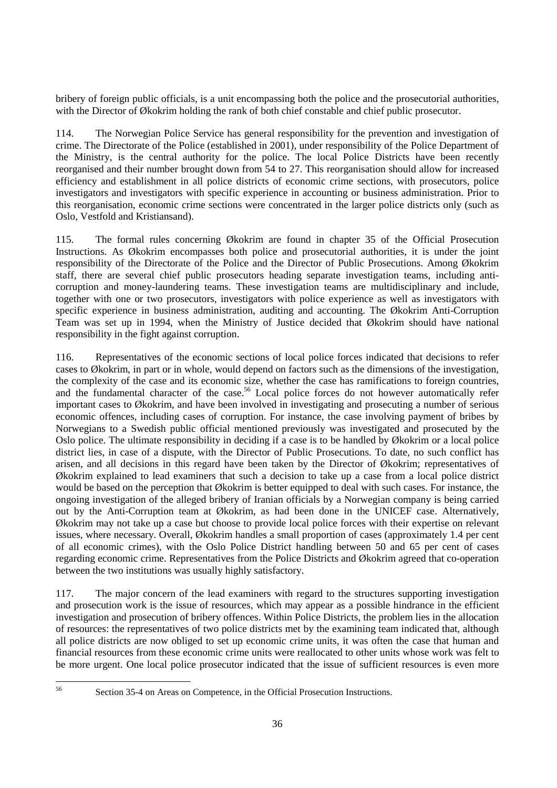bribery of foreign public officials, is a unit encompassing both the police and the prosecutorial authorities, with the Director of Økokrim holding the rank of both chief constable and chief public prosecutor.

114. The Norwegian Police Service has general responsibility for the prevention and investigation of crime. The Directorate of the Police (established in 2001), under responsibility of the Police Department of the Ministry, is the central authority for the police. The local Police Districts have been recently reorganised and their number brought down from 54 to 27. This reorganisation should allow for increased efficiency and establishment in all police districts of economic crime sections, with prosecutors, police investigators and investigators with specific experience in accounting or business administration. Prior to this reorganisation, economic crime sections were concentrated in the larger police districts only (such as Oslo, Vestfold and Kristiansand).

115. The formal rules concerning Økokrim are found in chapter 35 of the Official Prosecution Instructions. As Økokrim encompasses both police and prosecutorial authorities, it is under the joint responsibility of the Directorate of the Police and the Director of Public Prosecutions. Among Økokrim staff, there are several chief public prosecutors heading separate investigation teams, including anticorruption and money-laundering teams. These investigation teams are multidisciplinary and include, together with one or two prosecutors, investigators with police experience as well as investigators with specific experience in business administration, auditing and accounting. The Økokrim Anti-Corruption Team was set up in 1994, when the Ministry of Justice decided that Økokrim should have national responsibility in the fight against corruption.

116. Representatives of the economic sections of local police forces indicated that decisions to refer cases to Økokrim, in part or in whole, would depend on factors such as the dimensions of the investigation, the complexity of the case and its economic size, whether the case has ramifications to foreign countries, and the fundamental character of the case.<sup>56</sup> Local police forces do not however automatically refer important cases to Økokrim, and have been involved in investigating and prosecuting a number of serious economic offences, including cases of corruption. For instance, the case involving payment of bribes by Norwegians to a Swedish public official mentioned previously was investigated and prosecuted by the Oslo police. The ultimate responsibility in deciding if a case is to be handled by Økokrim or a local police district lies, in case of a dispute, with the Director of Public Prosecutions. To date, no such conflict has arisen, and all decisions in this regard have been taken by the Director of Økokrim; representatives of Økokrim explained to lead examiners that such a decision to take up a case from a local police district would be based on the perception that Økokrim is better equipped to deal with such cases. For instance, the ongoing investigation of the alleged bribery of Iranian officials by a Norwegian company is being carried out by the Anti-Corruption team at Økokrim, as had been done in the UNICEF case. Alternatively, Økokrim may not take up a case but choose to provide local police forces with their expertise on relevant issues, where necessary. Overall, Økokrim handles a small proportion of cases (approximately 1.4 per cent of all economic crimes), with the Oslo Police District handling between 50 and 65 per cent of cases regarding economic crime. Representatives from the Police Districts and Økokrim agreed that co-operation between the two institutions was usually highly satisfactory.

117. The major concern of the lead examiners with regard to the structures supporting investigation and prosecution work is the issue of resources, which may appear as a possible hindrance in the efficient investigation and prosecution of bribery offences. Within Police Districts, the problem lies in the allocation of resources: the representatives of two police districts met by the examining team indicated that, although all police districts are now obliged to set up economic crime units, it was often the case that human and financial resources from these economic crime units were reallocated to other units whose work was felt to be more urgent. One local police prosecutor indicated that the issue of sufficient resources is even more

Section 35-4 on Areas on Competence, in the Official Prosecution Instructions.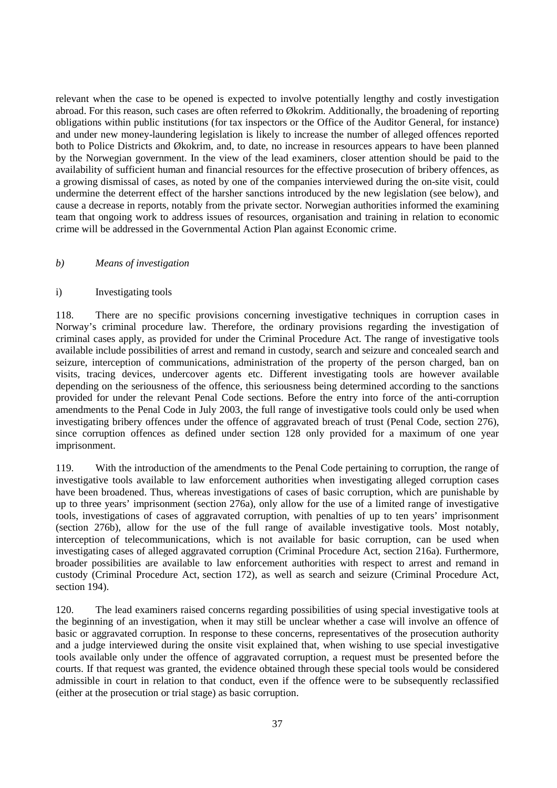relevant when the case to be opened is expected to involve potentially lengthy and costly investigation abroad. For this reason, such cases are often referred to Økokrim. Additionally, the broadening of reporting obligations within public institutions (for tax inspectors or the Office of the Auditor General, for instance) and under new money-laundering legislation is likely to increase the number of alleged offences reported both to Police Districts and Økokrim, and, to date, no increase in resources appears to have been planned by the Norwegian government. In the view of the lead examiners, closer attention should be paid to the availability of sufficient human and financial resources for the effective prosecution of bribery offences, as a growing dismissal of cases, as noted by one of the companies interviewed during the on-site visit, could undermine the deterrent effect of the harsher sanctions introduced by the new legislation (see below), and cause a decrease in reports, notably from the private sector. Norwegian authorities informed the examining team that ongoing work to address issues of resources, organisation and training in relation to economic crime will be addressed in the Governmental Action Plan against Economic crime.

## *b) Means of investigation*

#### i) Investigating tools

118. There are no specific provisions concerning investigative techniques in corruption cases in Norway's criminal procedure law. Therefore, the ordinary provisions regarding the investigation of criminal cases apply, as provided for under the Criminal Procedure Act. The range of investigative tools available include possibilities of arrest and remand in custody, search and seizure and concealed search and seizure, interception of communications, administration of the property of the person charged, ban on visits, tracing devices, undercover agents etc. Different investigating tools are however available depending on the seriousness of the offence, this seriousness being determined according to the sanctions provided for under the relevant Penal Code sections. Before the entry into force of the anti-corruption amendments to the Penal Code in July 2003, the full range of investigative tools could only be used when investigating bribery offences under the offence of aggravated breach of trust (Penal Code, section 276), since corruption offences as defined under section 128 only provided for a maximum of one year imprisonment.

119. With the introduction of the amendments to the Penal Code pertaining to corruption, the range of investigative tools available to law enforcement authorities when investigating alleged corruption cases have been broadened. Thus, whereas investigations of cases of basic corruption, which are punishable by up to three years' imprisonment (section 276a), only allow for the use of a limited range of investigative tools, investigations of cases of aggravated corruption, with penalties of up to ten years' imprisonment (section 276b), allow for the use of the full range of available investigative tools. Most notably, interception of telecommunications, which is not available for basic corruption, can be used when investigating cases of alleged aggravated corruption (Criminal Procedure Act, section 216a). Furthermore, broader possibilities are available to law enforcement authorities with respect to arrest and remand in custody (Criminal Procedure Act, section 172), as well as search and seizure (Criminal Procedure Act, section 194).

120. The lead examiners raised concerns regarding possibilities of using special investigative tools at the beginning of an investigation, when it may still be unclear whether a case will involve an offence of basic or aggravated corruption. In response to these concerns, representatives of the prosecution authority and a judge interviewed during the onsite visit explained that, when wishing to use special investigative tools available only under the offence of aggravated corruption, a request must be presented before the courts. If that request was granted, the evidence obtained through these special tools would be considered admissible in court in relation to that conduct, even if the offence were to be subsequently reclassified (either at the prosecution or trial stage) as basic corruption.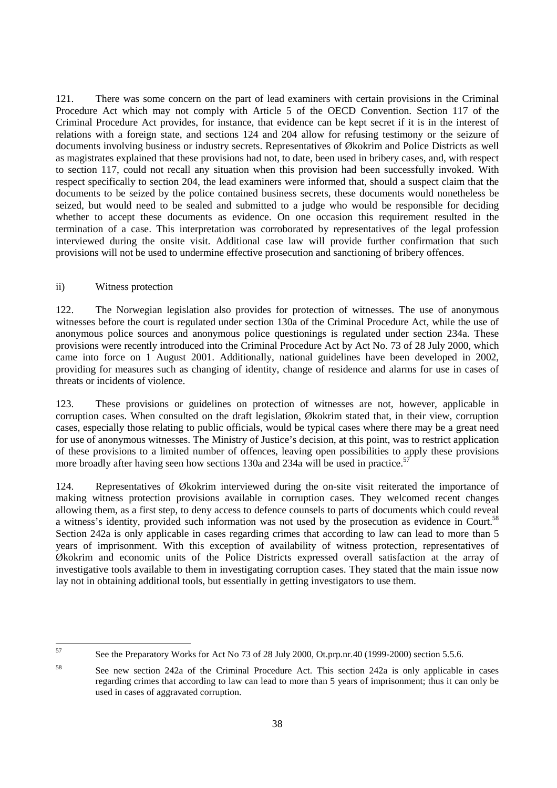121. There was some concern on the part of lead examiners with certain provisions in the Criminal Procedure Act which may not comply with Article 5 of the OECD Convention. Section 117 of the Criminal Procedure Act provides, for instance, that evidence can be kept secret if it is in the interest of relations with a foreign state, and sections 124 and 204 allow for refusing testimony or the seizure of documents involving business or industry secrets. Representatives of Økokrim and Police Districts as well as magistrates explained that these provisions had not, to date, been used in bribery cases, and, with respect to section 117, could not recall any situation when this provision had been successfully invoked. With respect specifically to section 204, the lead examiners were informed that, should a suspect claim that the documents to be seized by the police contained business secrets, these documents would nonetheless be seized, but would need to be sealed and submitted to a judge who would be responsible for deciding whether to accept these documents as evidence. On one occasion this requirement resulted in the termination of a case. This interpretation was corroborated by representatives of the legal profession interviewed during the onsite visit. Additional case law will provide further confirmation that such provisions will not be used to undermine effective prosecution and sanctioning of bribery offences.

## ii) Witness protection

122. The Norwegian legislation also provides for protection of witnesses. The use of anonymous witnesses before the court is regulated under section 130a of the Criminal Procedure Act, while the use of anonymous police sources and anonymous police questionings is regulated under section 234a. These provisions were recently introduced into the Criminal Procedure Act by Act No. 73 of 28 July 2000, which came into force on 1 August 2001. Additionally, national guidelines have been developed in 2002, providing for measures such as changing of identity, change of residence and alarms for use in cases of threats or incidents of violence.

123. These provisions or guidelines on protection of witnesses are not, however, applicable in corruption cases. When consulted on the draft legislation, Økokrim stated that, in their view, corruption cases, especially those relating to public officials, would be typical cases where there may be a great need for use of anonymous witnesses. The Ministry of Justice's decision, at this point, was to restrict application of these provisions to a limited number of offences, leaving open possibilities to apply these provisions more broadly after having seen how sections 130a and 234a will be used in practice.

124. Representatives of Økokrim interviewed during the on-site visit reiterated the importance of making witness protection provisions available in corruption cases. They welcomed recent changes allowing them, as a first step, to deny access to defence counsels to parts of documents which could reveal a witness's identity, provided such information was not used by the prosecution as evidence in Court.<sup>58</sup> Section 242a is only applicable in cases regarding crimes that according to law can lead to more than 5 years of imprisonment. With this exception of availability of witness protection, representatives of Økokrim and economic units of the Police Districts expressed overall satisfaction at the array of investigative tools available to them in investigating corruption cases. They stated that the main issue now lay not in obtaining additional tools, but essentially in getting investigators to use them.

<sup>57</sup> 

See the Preparatory Works for Act No 73 of 28 July 2000, Ot.prp.nr.40 (1999-2000) section 5.5.6.

<sup>58</sup> See new section 242a of the Criminal Procedure Act. This section 242a is only applicable in cases regarding crimes that according to law can lead to more than 5 years of imprisonment; thus it can only be used in cases of aggravated corruption.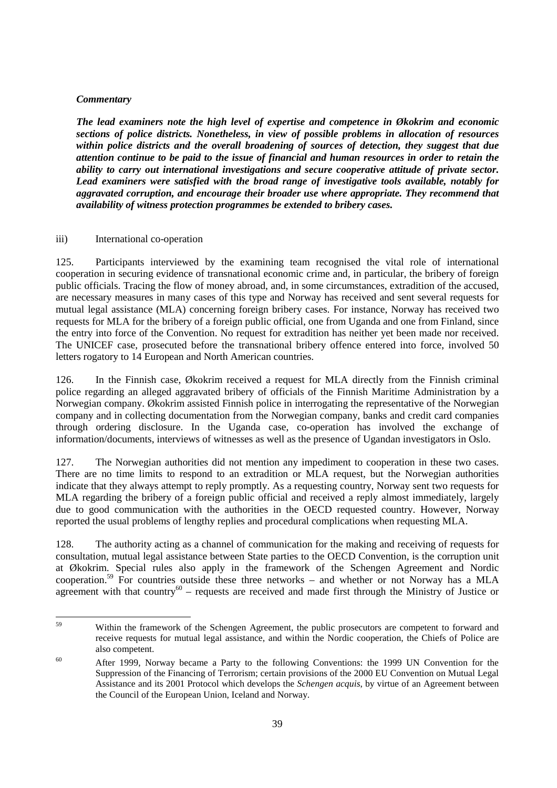#### *Commentary*

*The lead examiners note the high level of expertise and competence in Økokrim and economic sections of police districts. Nonetheless, in view of possible problems in allocation of resources within police districts and the overall broadening of sources of detection, they suggest that due attention continue to be paid to the issue of financial and human resources in order to retain the ability to carry out international investigations and secure cooperative attitude of private sector. Lead examiners were satisfied with the broad range of investigative tools available, notably for aggravated corruption, and encourage their broader use where appropriate. They recommend that availability of witness protection programmes be extended to bribery cases.* 

#### iii) International co-operation

125. Participants interviewed by the examining team recognised the vital role of international cooperation in securing evidence of transnational economic crime and, in particular, the bribery of foreign public officials. Tracing the flow of money abroad, and, in some circumstances, extradition of the accused, are necessary measures in many cases of this type and Norway has received and sent several requests for mutual legal assistance (MLA) concerning foreign bribery cases. For instance, Norway has received two requests for MLA for the bribery of a foreign public official, one from Uganda and one from Finland, since the entry into force of the Convention. No request for extradition has neither yet been made nor received. The UNICEF case, prosecuted before the transnational bribery offence entered into force, involved 50 letters rogatory to 14 European and North American countries.

126. In the Finnish case, Økokrim received a request for MLA directly from the Finnish criminal police regarding an alleged aggravated bribery of officials of the Finnish Maritime Administration by a Norwegian company. Økokrim assisted Finnish police in interrogating the representative of the Norwegian company and in collecting documentation from the Norwegian company, banks and credit card companies through ordering disclosure. In the Uganda case, co-operation has involved the exchange of information/documents, interviews of witnesses as well as the presence of Ugandan investigators in Oslo.

127. The Norwegian authorities did not mention any impediment to cooperation in these two cases. There are no time limits to respond to an extradition or MLA request, but the Norwegian authorities indicate that they always attempt to reply promptly. As a requesting country, Norway sent two requests for MLA regarding the bribery of a foreign public official and received a reply almost immediately, largely due to good communication with the authorities in the OECD requested country. However, Norway reported the usual problems of lengthy replies and procedural complications when requesting MLA.

128. The authority acting as a channel of communication for the making and receiving of requests for consultation, mutual legal assistance between State parties to the OECD Convention, is the corruption unit at Økokrim. Special rules also apply in the framework of the Schengen Agreement and Nordic cooperation.<sup>59</sup> For countries outside these three networks – and whether or not Norway has a MLA agreement with that country<sup>60</sup> – requests are received and made first through the Ministry of Justice or

 $59$ Within the framework of the Schengen Agreement, the public prosecutors are competent to forward and receive requests for mutual legal assistance, and within the Nordic cooperation, the Chiefs of Police are also competent.

<sup>60</sup> After 1999, Norway became a Party to the following Conventions: the 1999 UN Convention for the Suppression of the Financing of Terrorism; certain provisions of the 2000 EU Convention on Mutual Legal Assistance and its 2001 Protocol which develops the *Schengen acquis*, by virtue of an Agreement between the Council of the European Union, Iceland and Norway.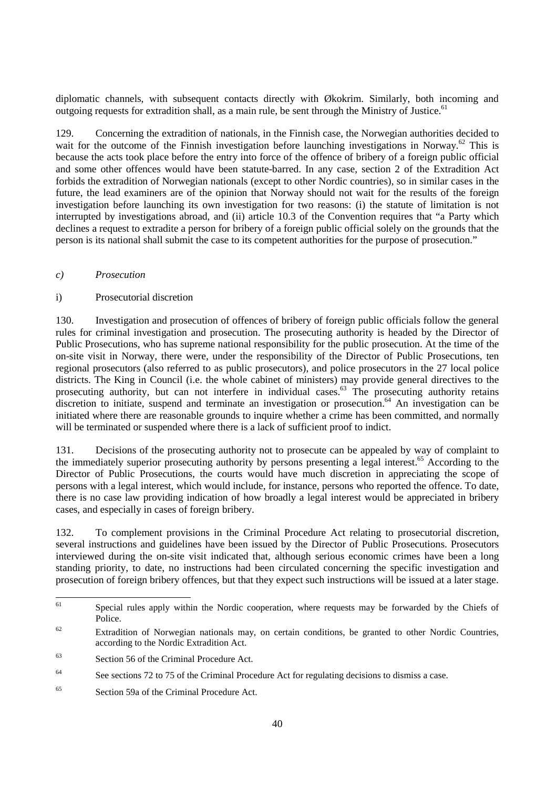diplomatic channels, with subsequent contacts directly with Økokrim. Similarly, both incoming and outgoing requests for extradition shall, as a main rule, be sent through the Ministry of Justice.<sup>61</sup>

129. Concerning the extradition of nationals, in the Finnish case, the Norwegian authorities decided to wait for the outcome of the Finnish investigation before launching investigations in Norway.<sup>62</sup> This is because the acts took place before the entry into force of the offence of bribery of a foreign public official and some other offences would have been statute-barred. In any case, section 2 of the Extradition Act forbids the extradition of Norwegian nationals (except to other Nordic countries), so in similar cases in the future, the lead examiners are of the opinion that Norway should not wait for the results of the foreign investigation before launching its own investigation for two reasons: (i) the statute of limitation is not interrupted by investigations abroad, and (ii) article 10.3 of the Convention requires that "a Party which declines a request to extradite a person for bribery of a foreign public official solely on the grounds that the person is its national shall submit the case to its competent authorities for the purpose of prosecution."

*c) Prosecution* 

#### i) Prosecutorial discretion

130. Investigation and prosecution of offences of bribery of foreign public officials follow the general rules for criminal investigation and prosecution. The prosecuting authority is headed by the Director of Public Prosecutions, who has supreme national responsibility for the public prosecution. At the time of the on-site visit in Norway, there were, under the responsibility of the Director of Public Prosecutions, ten regional prosecutors (also referred to as public prosecutors), and police prosecutors in the 27 local police districts. The King in Council (i.e. the whole cabinet of ministers) may provide general directives to the prosecuting authority, but can not interfere in individual cases.<sup>63</sup> The prosecuting authority retains discretion to initiate, suspend and terminate an investigation or prosecution.<sup>64</sup> An investigation can be initiated where there are reasonable grounds to inquire whether a crime has been committed, and normally will be terminated or suspended where there is a lack of sufficient proof to indict.

131. Decisions of the prosecuting authority not to prosecute can be appealed by way of complaint to the immediately superior prosecuting authority by persons presenting a legal interest.<sup>65</sup> According to the Director of Public Prosecutions, the courts would have much discretion in appreciating the scope of persons with a legal interest, which would include, for instance, persons who reported the offence. To date, there is no case law providing indication of how broadly a legal interest would be appreciated in bribery cases, and especially in cases of foreign bribery.

132. To complement provisions in the Criminal Procedure Act relating to prosecutorial discretion, several instructions and guidelines have been issued by the Director of Public Prosecutions. Prosecutors interviewed during the on-site visit indicated that, although serious economic crimes have been a long standing priority, to date, no instructions had been circulated concerning the specific investigation and prosecution of foreign bribery offences, but that they expect such instructions will be issued at a later stage.

<sup>61</sup> Special rules apply within the Nordic cooperation, where requests may be forwarded by the Chiefs of Police.

 $62$  Extradition of Norwegian nationals may, on certain conditions, be granted to other Nordic Countries, according to the Nordic Extradition Act.

<sup>63</sup> Section 56 of the Criminal Procedure Act.

<sup>&</sup>lt;sup>64</sup> See sections 72 to 75 of the Criminal Procedure Act for regulating decisions to dismiss a case.

<sup>65</sup> Section 59a of the Criminal Procedure Act.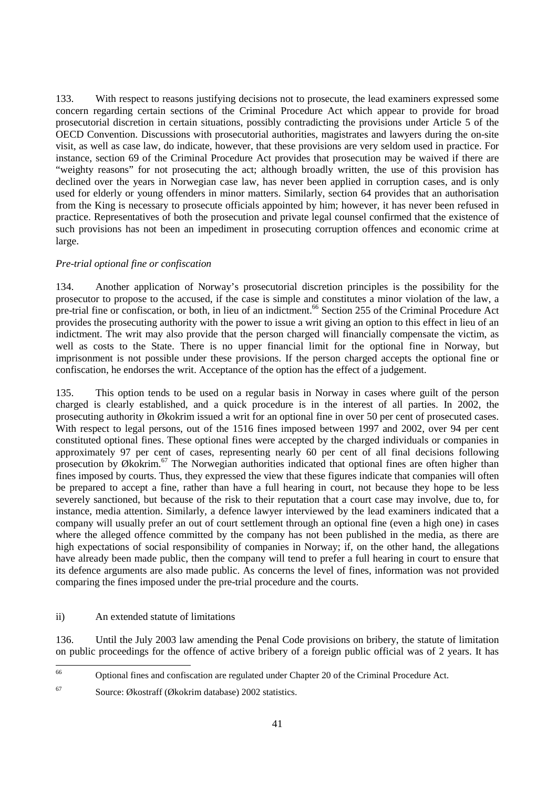133. With respect to reasons justifying decisions not to prosecute, the lead examiners expressed some concern regarding certain sections of the Criminal Procedure Act which appear to provide for broad prosecutorial discretion in certain situations, possibly contradicting the provisions under Article 5 of the OECD Convention. Discussions with prosecutorial authorities, magistrates and lawyers during the on-site visit, as well as case law, do indicate, however, that these provisions are very seldom used in practice. For instance, section 69 of the Criminal Procedure Act provides that prosecution may be waived if there are "weighty reasons" for not prosecuting the act; although broadly written, the use of this provision has declined over the years in Norwegian case law, has never been applied in corruption cases, and is only used for elderly or young offenders in minor matters. Similarly, section 64 provides that an authorisation from the King is necessary to prosecute officials appointed by him; however, it has never been refused in practice. Representatives of both the prosecution and private legal counsel confirmed that the existence of such provisions has not been an impediment in prosecuting corruption offences and economic crime at large.

#### *Pre-trial optional fine or confiscation*

134. Another application of Norway's prosecutorial discretion principles is the possibility for the prosecutor to propose to the accused, if the case is simple and constitutes a minor violation of the law, a pre-trial fine or confiscation, or both, in lieu of an indictment.<sup>66</sup> Section 255 of the Criminal Procedure Act provides the prosecuting authority with the power to issue a writ giving an option to this effect in lieu of an indictment. The writ may also provide that the person charged will financially compensate the victim, as well as costs to the State. There is no upper financial limit for the optional fine in Norway, but imprisonment is not possible under these provisions. If the person charged accepts the optional fine or confiscation, he endorses the writ. Acceptance of the option has the effect of a judgement.

135. This option tends to be used on a regular basis in Norway in cases where guilt of the person charged is clearly established, and a quick procedure is in the interest of all parties. In 2002, the prosecuting authority in Økokrim issued a writ for an optional fine in over 50 per cent of prosecuted cases. With respect to legal persons, out of the 1516 fines imposed between 1997 and 2002, over 94 per cent constituted optional fines. These optional fines were accepted by the charged individuals or companies in approximately 97 per cent of cases, representing nearly 60 per cent of all final decisions following prosecution by Økokrim.<sup>67</sup> The Norwegian authorities indicated that optional fines are often higher than fines imposed by courts. Thus, they expressed the view that these figures indicate that companies will often be prepared to accept a fine, rather than have a full hearing in court, not because they hope to be less severely sanctioned, but because of the risk to their reputation that a court case may involve, due to, for instance, media attention. Similarly, a defence lawyer interviewed by the lead examiners indicated that a company will usually prefer an out of court settlement through an optional fine (even a high one) in cases where the alleged offence committed by the company has not been published in the media, as there are high expectations of social responsibility of companies in Norway; if, on the other hand, the allegations have already been made public, then the company will tend to prefer a full hearing in court to ensure that its defence arguments are also made public. As concerns the level of fines, information was not provided comparing the fines imposed under the pre-trial procedure and the courts.

#### ii) An extended statute of limitations

136. Until the July 2003 law amending the Penal Code provisions on bribery, the statute of limitation on public proceedings for the offence of active bribery of a foreign public official was of 2 years. It has

<sup>66</sup> 66 Optional fines and confiscation are regulated under Chapter 20 of the Criminal Procedure Act.

<sup>67</sup> Source: Økostraff (Økokrim database) 2002 statistics.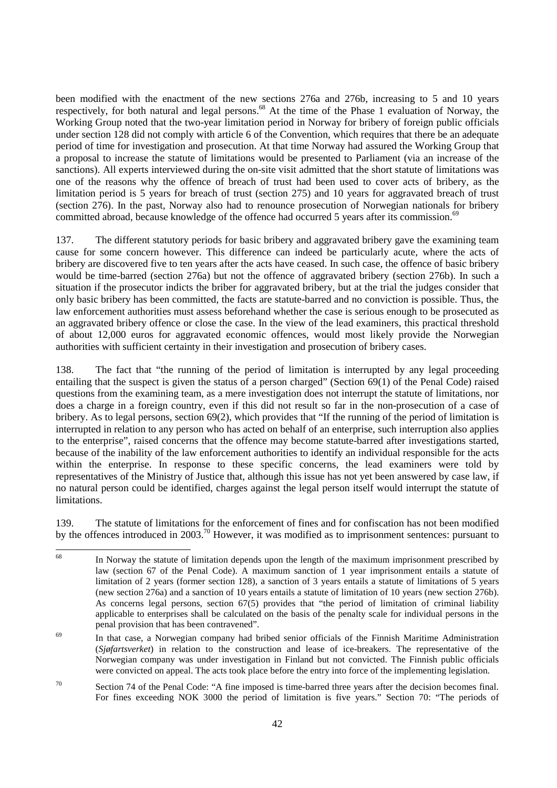been modified with the enactment of the new sections 276a and 276b, increasing to 5 and 10 years respectively, for both natural and legal persons.<sup>68</sup> At the time of the Phase 1 evaluation of Norway, the Working Group noted that the two-year limitation period in Norway for bribery of foreign public officials under section 128 did not comply with article 6 of the Convention, which requires that there be an adequate period of time for investigation and prosecution. At that time Norway had assured the Working Group that a proposal to increase the statute of limitations would be presented to Parliament (via an increase of the sanctions). All experts interviewed during the on-site visit admitted that the short statute of limitations was one of the reasons why the offence of breach of trust had been used to cover acts of bribery, as the limitation period is 5 years for breach of trust (section 275) and 10 years for aggravated breach of trust (section 276). In the past, Norway also had to renounce prosecution of Norwegian nationals for bribery committed abroad, because knowledge of the offence had occurred 5 years after its commission.<sup>69</sup>

137. The different statutory periods for basic bribery and aggravated bribery gave the examining team cause for some concern however. This difference can indeed be particularly acute, where the acts of bribery are discovered five to ten years after the acts have ceased. In such case, the offence of basic bribery would be time-barred (section 276a) but not the offence of aggravated bribery (section 276b). In such a situation if the prosecutor indicts the briber for aggravated bribery, but at the trial the judges consider that only basic bribery has been committed, the facts are statute-barred and no conviction is possible. Thus, the law enforcement authorities must assess beforehand whether the case is serious enough to be prosecuted as an aggravated bribery offence or close the case. In the view of the lead examiners, this practical threshold of about 12,000 euros for aggravated economic offences, would most likely provide the Norwegian authorities with sufficient certainty in their investigation and prosecution of bribery cases.

138. The fact that "the running of the period of limitation is interrupted by any legal proceeding entailing that the suspect is given the status of a person charged" (Section 69(1) of the Penal Code) raised questions from the examining team, as a mere investigation does not interrupt the statute of limitations, nor does a charge in a foreign country, even if this did not result so far in the non-prosecution of a case of bribery. As to legal persons, section 69(2), which provides that "If the running of the period of limitation is interrupted in relation to any person who has acted on behalf of an enterprise, such interruption also applies to the enterprise", raised concerns that the offence may become statute-barred after investigations started, because of the inability of the law enforcement authorities to identify an individual responsible for the acts within the enterprise. In response to these specific concerns, the lead examiners were told by representatives of the Ministry of Justice that, although this issue has not yet been answered by case law, if no natural person could be identified, charges against the legal person itself would interrupt the statute of limitations.

139. The statute of limitations for the enforcement of fines and for confiscation has not been modified by the offences introduced in 2003.<sup>70</sup> However, it was modified as to imprisonment sentences: pursuant to

<sup>68</sup> In Norway the statute of limitation depends upon the length of the maximum imprisonment prescribed by law (section 67 of the Penal Code). A maximum sanction of 1 year imprisonment entails a statute of limitation of 2 years (former section 128), a sanction of 3 years entails a statute of limitations of 5 years (new section 276a) and a sanction of 10 years entails a statute of limitation of 10 years (new section 276b). As concerns legal persons, section 67(5) provides that "the period of limitation of criminal liability applicable to enterprises shall be calculated on the basis of the penalty scale for individual persons in the penal provision that has been contravened".

 $^{69}$  In that case, a Norwegian company had bribed senior officials of the Finnish Maritime Administration (*Sjøfartsverket*) in relation to the construction and lease of ice-breakers. The representative of the Norwegian company was under investigation in Finland but not convicted. The Finnish public officials were convicted on appeal. The acts took place before the entry into force of the implementing legislation.

<sup>70</sup> Section 74 of the Penal Code: "A fine imposed is time-barred three years after the decision becomes final. For fines exceeding NOK 3000 the period of limitation is five years." Section 70: "The periods of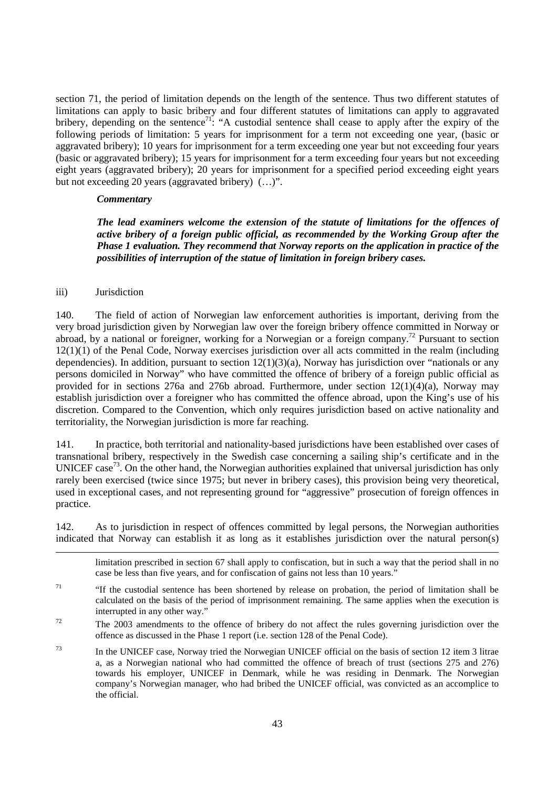section 71, the period of limitation depends on the length of the sentence. Thus two different statutes of limitations can apply to basic bribery and four different statutes of limitations can apply to aggravated bribery, depending on the sentence<sup>71</sup>: "A custodial sentence shall cease to apply after the expiry of the following periods of limitation: 5 years for imprisonment for a term not exceeding one year, (basic or aggravated bribery); 10 years for imprisonment for a term exceeding one year but not exceeding four years (basic or aggravated bribery); 15 years for imprisonment for a term exceeding four years but not exceeding eight years (aggravated bribery); 20 years for imprisonment for a specified period exceeding eight years but not exceeding 20 years (aggravated bribery) (…)".

#### *Commentary*

*The lead examiners welcome the extension of the statute of limitations for the offences of active bribery of a foreign public official, as recommended by the Working Group after the Phase 1 evaluation. They recommend that Norway reports on the application in practice of the possibilities of interruption of the statue of limitation in foreign bribery cases.* 

#### iii) Jurisdiction

-

140. The field of action of Norwegian law enforcement authorities is important, deriving from the very broad jurisdiction given by Norwegian law over the foreign bribery offence committed in Norway or abroad, by a national or foreigner, working for a Norwegian or a foreign company.72 Pursuant to section 12(1)(1) of the Penal Code, Norway exercises jurisdiction over all acts committed in the realm (including dependencies). In addition, pursuant to section  $12(1)(3)(a)$ , Norway has jurisdiction over "nationals or any persons domiciled in Norway" who have committed the offence of bribery of a foreign public official as provided for in sections 276a and 276b abroad. Furthermore, under section  $12(1)(4)(a)$ , Norway may establish jurisdiction over a foreigner who has committed the offence abroad, upon the King's use of his discretion. Compared to the Convention, which only requires jurisdiction based on active nationality and territoriality, the Norwegian jurisdiction is more far reaching.

141. In practice, both territorial and nationality-based jurisdictions have been established over cases of transnational bribery, respectively in the Swedish case concerning a sailing ship's certificate and in the UNICEF case<sup>73</sup>. On the other hand, the Norwegian authorities explained that universal jurisdiction has only rarely been exercised (twice since 1975; but never in bribery cases), this provision being very theoretical, used in exceptional cases, and not representing ground for "aggressive" prosecution of foreign offences in practice.

142. As to jurisdiction in respect of offences committed by legal persons, the Norwegian authorities indicated that Norway can establish it as long as it establishes jurisdiction over the natural person(s)

limitation prescribed in section 67 shall apply to confiscation, but in such a way that the period shall in no case be less than five years, and for confiscation of gains not less than 10 years."

 $^{71}$  "If the custodial sentence has been shortened by release on probation, the period of limitation shall be calculated on the basis of the period of imprisonment remaining. The same applies when the execution is interrupted in any other way."

 $72$  The 2003 amendments to the offence of bribery do not affect the rules governing jurisdiction over the offence as discussed in the Phase 1 report (i.e. section 128 of the Penal Code).

 $^{73}$  In the UNICEF case, Norway tried the Norwegian UNICEF official on the basis of section 12 item 3 litrae a, as a Norwegian national who had committed the offence of breach of trust (sections 275 and 276) towards his employer, UNICEF in Denmark, while he was residing in Denmark. The Norwegian company's Norwegian manager, who had bribed the UNICEF official, was convicted as an accomplice to the official.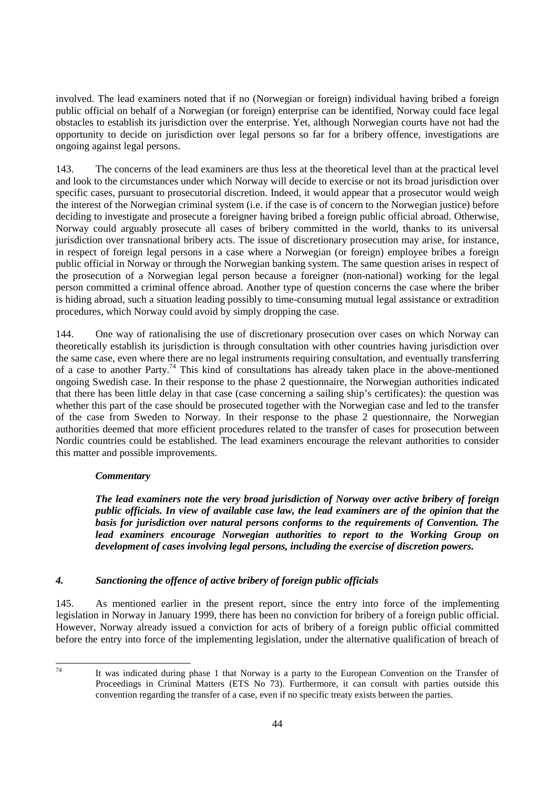involved. The lead examiners noted that if no (Norwegian or foreign) individual having bribed a foreign public official on behalf of a Norwegian (or foreign) enterprise can be identified, Norway could face legal obstacles to establish its jurisdiction over the enterprise. Yet, although Norwegian courts have not had the opportunity to decide on jurisdiction over legal persons so far for a bribery offence, investigations are ongoing against legal persons.

143. The concerns of the lead examiners are thus less at the theoretical level than at the practical level and look to the circumstances under which Norway will decide to exercise or not its broad jurisdiction over specific cases, pursuant to prosecutorial discretion. Indeed, it would appear that a prosecutor would weigh the interest of the Norwegian criminal system (i.e. if the case is of concern to the Norwegian justice) before deciding to investigate and prosecute a foreigner having bribed a foreign public official abroad. Otherwise, Norway could arguably prosecute all cases of bribery committed in the world, thanks to its universal jurisdiction over transnational bribery acts. The issue of discretionary prosecution may arise, for instance, in respect of foreign legal persons in a case where a Norwegian (or foreign) employee bribes a foreign public official in Norway or through the Norwegian banking system. The same question arises in respect of the prosecution of a Norwegian legal person because a foreigner (non-national) working for the legal person committed a criminal offence abroad. Another type of question concerns the case where the briber is hiding abroad, such a situation leading possibly to time-consuming mutual legal assistance or extradition procedures, which Norway could avoid by simply dropping the case.

144. One way of rationalising the use of discretionary prosecution over cases on which Norway can theoretically establish its jurisdiction is through consultation with other countries having jurisdiction over the same case, even where there are no legal instruments requiring consultation, and eventually transferring of a case to another Party.<sup>74</sup> This kind of consultations has already taken place in the above-mentioned ongoing Swedish case. In their response to the phase 2 questionnaire, the Norwegian authorities indicated that there has been little delay in that case (case concerning a sailing ship's certificates): the question was whether this part of the case should be prosecuted together with the Norwegian case and led to the transfer of the case from Sweden to Norway. In their response to the phase 2 questionnaire, the Norwegian authorities deemed that more efficient procedures related to the transfer of cases for prosecution between Nordic countries could be established. The lead examiners encourage the relevant authorities to consider this matter and possible improvements.

## *Commentary*

*The lead examiners note the very broad jurisdiction of Norway over active bribery of foreign public officials. In view of available case law, the lead examiners are of the opinion that the basis for jurisdiction over natural persons conforms to the requirements of Convention. The lead examiners encourage Norwegian authorities to report to the Working Group on development of cases involving legal persons, including the exercise of discretion powers.* 

## *4. Sanctioning the offence of active bribery of foreign public officials*

145. As mentioned earlier in the present report, since the entry into force of the implementing legislation in Norway in January 1999, there has been no conviction for bribery of a foreign public official. However, Norway already issued a conviction for acts of bribery of a foreign public official committed before the entry into force of the implementing legislation, under the alternative qualification of breach of

It was indicated during phase 1 that Norway is a party to the European Convention on the Transfer of Proceedings in Criminal Matters (ETS No 73). Furthermore, it can consult with parties outside this convention regarding the transfer of a case, even if no specific treaty exists between the parties.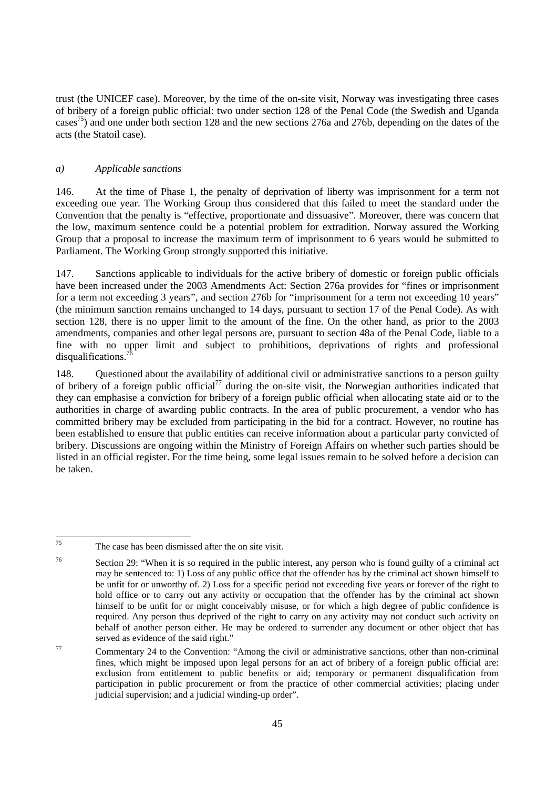trust (the UNICEF case). Moreover, by the time of the on-site visit, Norway was investigating three cases of bribery of a foreign public official: two under section 128 of the Penal Code (the Swedish and Uganda cases<sup>75</sup>) and one under both section 128 and the new sections 276a and 276b, depending on the dates of the acts (the Statoil case).

## *a) Applicable sanctions*

146. At the time of Phase 1, the penalty of deprivation of liberty was imprisonment for a term not exceeding one year. The Working Group thus considered that this failed to meet the standard under the Convention that the penalty is "effective, proportionate and dissuasive". Moreover, there was concern that the low, maximum sentence could be a potential problem for extradition. Norway assured the Working Group that a proposal to increase the maximum term of imprisonment to 6 years would be submitted to Parliament. The Working Group strongly supported this initiative.

147. Sanctions applicable to individuals for the active bribery of domestic or foreign public officials have been increased under the 2003 Amendments Act: Section 276a provides for "fines or imprisonment for a term not exceeding 3 years", and section 276b for "imprisonment for a term not exceeding 10 years" (the minimum sanction remains unchanged to 14 days, pursuant to section 17 of the Penal Code). As with section 128, there is no upper limit to the amount of the fine. On the other hand, as prior to the 2003 amendments, companies and other legal persons are, pursuant to section 48a of the Penal Code, liable to a fine with no upper limit and subject to prohibitions, deprivations of rights and professional disqualifications.<sup>7</sup>

148. Questioned about the availability of additional civil or administrative sanctions to a person guilty of bribery of a foreign public official<sup>77</sup> during the on-site visit, the Norwegian authorities indicated that they can emphasise a conviction for bribery of a foreign public official when allocating state aid or to the authorities in charge of awarding public contracts. In the area of public procurement, a vendor who has committed bribery may be excluded from participating in the bid for a contract. However, no routine has been established to ensure that public entities can receive information about a particular party convicted of bribery. Discussions are ongoing within the Ministry of Foreign Affairs on whether such parties should be listed in an official register. For the time being, some legal issues remain to be solved before a decision can be taken.

 $75$ The case has been dismissed after the on site visit.

<sup>76</sup> Section 29: "When it is so required in the public interest, any person who is found guilty of a criminal act may be sentenced to: 1) Loss of any public office that the offender has by the criminal act shown himself to be unfit for or unworthy of. 2) Loss for a specific period not exceeding five years or forever of the right to hold office or to carry out any activity or occupation that the offender has by the criminal act shown himself to be unfit for or might conceivably misuse, or for which a high degree of public confidence is required. Any person thus deprived of the right to carry on any activity may not conduct such activity on behalf of another person either. He may be ordered to surrender any document or other object that has served as evidence of the said right."

<sup>77</sup> Commentary 24 to the Convention: "Among the civil or administrative sanctions, other than non-criminal fines, which might be imposed upon legal persons for an act of bribery of a foreign public official are: exclusion from entitlement to public benefits or aid; temporary or permanent disqualification from participation in public procurement or from the practice of other commercial activities; placing under judicial supervision; and a judicial winding-up order".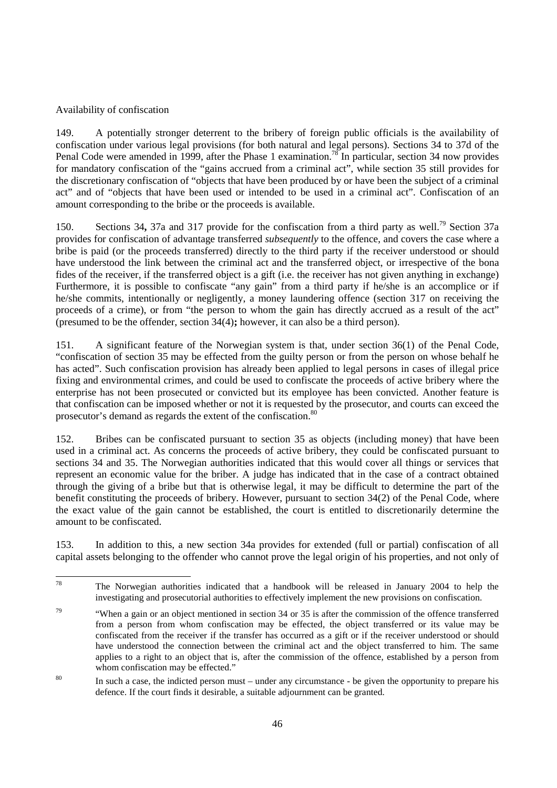#### Availability of confiscation

149. A potentially stronger deterrent to the bribery of foreign public officials is the availability of confiscation under various legal provisions (for both natural and legal persons). Sections 34 to 37d of the Penal Code were amended in 1999, after the Phase 1 examination.<sup>78</sup> In particular, section 34 now provides for mandatory confiscation of the "gains accrued from a criminal act", while section 35 still provides for the discretionary confiscation of "objects that have been produced by or have been the subject of a criminal act" and of "objects that have been used or intended to be used in a criminal act". Confiscation of an amount corresponding to the bribe or the proceeds is available.

150. Sections 34**,** 37a and 317 provide for the confiscation from a third party as well.79 Section 37a provides for confiscation of advantage transferred *subsequently* to the offence, and covers the case where a bribe is paid (or the proceeds transferred) directly to the third party if the receiver understood or should have understood the link between the criminal act and the transferred object, or irrespective of the bona fides of the receiver, if the transferred object is a gift (i.e. the receiver has not given anything in exchange) Furthermore, it is possible to confiscate "any gain" from a third party if he/she is an accomplice or if he/she commits, intentionally or negligently, a money laundering offence (section 317 on receiving the proceeds of a crime), or from "the person to whom the gain has directly accrued as a result of the act" (presumed to be the offender, section 34(4)**;** however, it can also be a third person).

151. A significant feature of the Norwegian system is that, under section 36(1) of the Penal Code, "confiscation of section 35 may be effected from the guilty person or from the person on whose behalf he has acted". Such confiscation provision has already been applied to legal persons in cases of illegal price fixing and environmental crimes, and could be used to confiscate the proceeds of active bribery where the enterprise has not been prosecuted or convicted but its employee has been convicted. Another feature is that confiscation can be imposed whether or not it is requested by the prosecutor, and courts can exceed the prosecutor's demand as regards the extent of the confiscation.<sup>80</sup>

152. Bribes can be confiscated pursuant to section 35 as objects (including money) that have been used in a criminal act. As concerns the proceeds of active bribery, they could be confiscated pursuant to sections 34 and 35. The Norwegian authorities indicated that this would cover all things or services that represent an economic value for the briber. A judge has indicated that in the case of a contract obtained through the giving of a bribe but that is otherwise legal, it may be difficult to determine the part of the benefit constituting the proceeds of bribery. However, pursuant to section 34(2) of the Penal Code, where the exact value of the gain cannot be established, the court is entitled to discretionarily determine the amount to be confiscated.

153. In addition to this, a new section 34a provides for extended (full or partial) confiscation of all capital assets belonging to the offender who cannot prove the legal origin of his properties, and not only of

<sup>78</sup> The Norwegian authorities indicated that a handbook will be released in January 2004 to help the investigating and prosecutorial authorities to effectively implement the new provisions on confiscation.

<sup>&</sup>lt;sup>79</sup> "When a gain or an object mentioned in section 34 or 35 is after the commission of the offence transferred from a person from whom confiscation may be effected, the object transferred or its value may be confiscated from the receiver if the transfer has occurred as a gift or if the receiver understood or should have understood the connection between the criminal act and the object transferred to him. The same applies to a right to an object that is, after the commission of the offence, established by a person from

whom confiscation may be effected."<br>
<sup>80</sup> In such a case, the indicted person must – under any circumstance - be given the opportunity to prepare his defence. If the court finds it desirable, a suitable adjournment can be granted.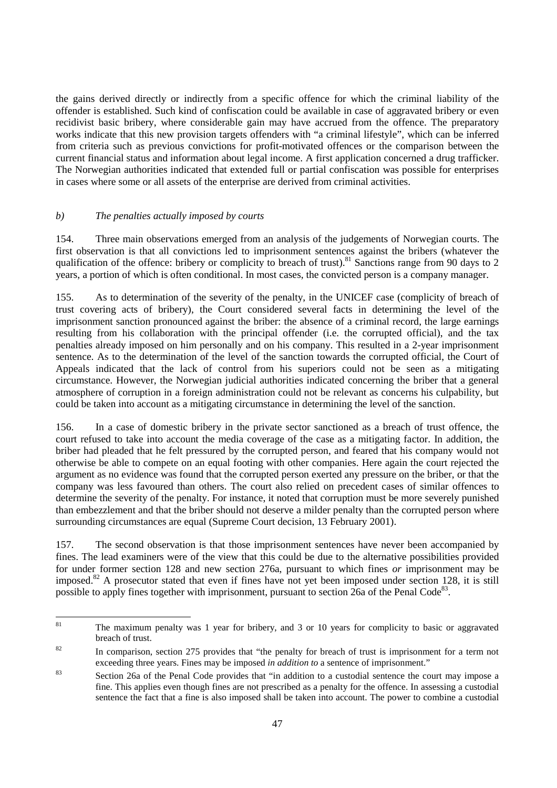the gains derived directly or indirectly from a specific offence for which the criminal liability of the offender is established. Such kind of confiscation could be available in case of aggravated bribery or even recidivist basic bribery, where considerable gain may have accrued from the offence. The preparatory works indicate that this new provision targets offenders with "a criminal lifestyle", which can be inferred from criteria such as previous convictions for profit-motivated offences or the comparison between the current financial status and information about legal income. A first application concerned a drug trafficker. The Norwegian authorities indicated that extended full or partial confiscation was possible for enterprises in cases where some or all assets of the enterprise are derived from criminal activities.

## *b) The penalties actually imposed by courts*

154. Three main observations emerged from an analysis of the judgements of Norwegian courts. The first observation is that all convictions led to imprisonment sentences against the bribers (whatever the qualification of the offence: bribery or complicity to breach of trust).<sup>81</sup> Sanctions range from 90 days to 2 years, a portion of which is often conditional. In most cases, the convicted person is a company manager.

155. As to determination of the severity of the penalty, in the UNICEF case (complicity of breach of trust covering acts of bribery), the Court considered several facts in determining the level of the imprisonment sanction pronounced against the briber: the absence of a criminal record, the large earnings resulting from his collaboration with the principal offender (i.e. the corrupted official), and the tax penalties already imposed on him personally and on his company. This resulted in a 2-year imprisonment sentence. As to the determination of the level of the sanction towards the corrupted official, the Court of Appeals indicated that the lack of control from his superiors could not be seen as a mitigating circumstance. However, the Norwegian judicial authorities indicated concerning the briber that a general atmosphere of corruption in a foreign administration could not be relevant as concerns his culpability, but could be taken into account as a mitigating circumstance in determining the level of the sanction.

156. In a case of domestic bribery in the private sector sanctioned as a breach of trust offence, the court refused to take into account the media coverage of the case as a mitigating factor. In addition, the briber had pleaded that he felt pressured by the corrupted person, and feared that his company would not otherwise be able to compete on an equal footing with other companies. Here again the court rejected the argument as no evidence was found that the corrupted person exerted any pressure on the briber, or that the company was less favoured than others. The court also relied on precedent cases of similar offences to determine the severity of the penalty. For instance, it noted that corruption must be more severely punished than embezzlement and that the briber should not deserve a milder penalty than the corrupted person where surrounding circumstances are equal (Supreme Court decision, 13 February 2001).

157. The second observation is that those imprisonment sentences have never been accompanied by fines. The lead examiners were of the view that this could be due to the alternative possibilities provided for under former section 128 and new section 276a, pursuant to which fines *or* imprisonment may be imposed.<sup>82</sup> A prosecutor stated that even if fines have not yet been imposed under section 128, it is still possible to apply fines together with imprisonment, pursuant to section  $26a$  of the Penal Code<sup>83</sup>.

 $\overline{81}$ The maximum penalty was 1 year for bribery, and 3 or 10 years for complicity to basic or aggravated breach of trust.

 $82$  In comparison, section 275 provides that "the penalty for breach of trust is imprisonment for a term not exceeding three years. Fines may be imposed *in addition to* a sentence of imprisonment."

<sup>83</sup> Section 26a of the Penal Code provides that "in addition to a custodial sentence the court may impose a fine. This applies even though fines are not prescribed as a penalty for the offence. In assessing a custodial sentence the fact that a fine is also imposed shall be taken into account. The power to combine a custodial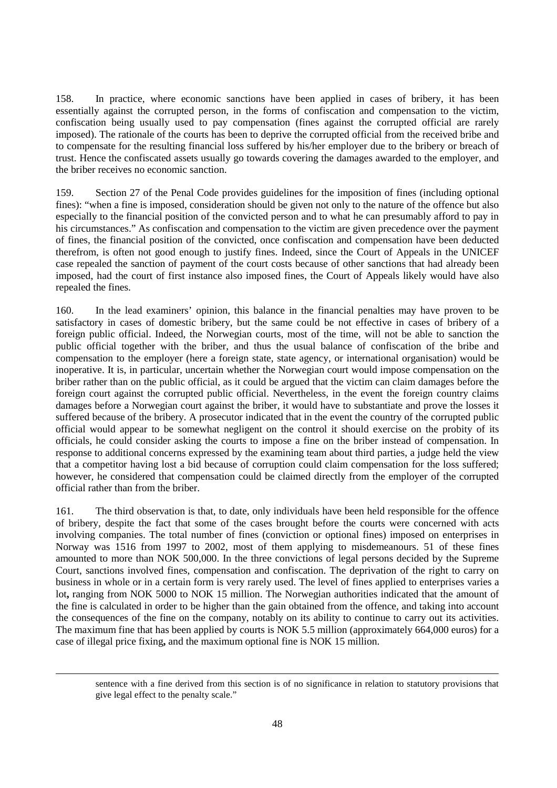158. In practice, where economic sanctions have been applied in cases of bribery, it has been essentially against the corrupted person, in the forms of confiscation and compensation to the victim, confiscation being usually used to pay compensation (fines against the corrupted official are rarely imposed). The rationale of the courts has been to deprive the corrupted official from the received bribe and to compensate for the resulting financial loss suffered by his/her employer due to the bribery or breach of trust. Hence the confiscated assets usually go towards covering the damages awarded to the employer, and the briber receives no economic sanction.

159. Section 27 of the Penal Code provides guidelines for the imposition of fines (including optional fines): "when a fine is imposed, consideration should be given not only to the nature of the offence but also especially to the financial position of the convicted person and to what he can presumably afford to pay in his circumstances." As confiscation and compensation to the victim are given precedence over the payment of fines, the financial position of the convicted, once confiscation and compensation have been deducted therefrom, is often not good enough to justify fines. Indeed, since the Court of Appeals in the UNICEF case repealed the sanction of payment of the court costs because of other sanctions that had already been imposed, had the court of first instance also imposed fines, the Court of Appeals likely would have also repealed the fines.

160. In the lead examiners' opinion, this balance in the financial penalties may have proven to be satisfactory in cases of domestic bribery, but the same could be not effective in cases of bribery of a foreign public official. Indeed, the Norwegian courts, most of the time, will not be able to sanction the public official together with the briber, and thus the usual balance of confiscation of the bribe and compensation to the employer (here a foreign state, state agency, or international organisation) would be inoperative. It is, in particular, uncertain whether the Norwegian court would impose compensation on the briber rather than on the public official, as it could be argued that the victim can claim damages before the foreign court against the corrupted public official. Nevertheless, in the event the foreign country claims damages before a Norwegian court against the briber, it would have to substantiate and prove the losses it suffered because of the bribery. A prosecutor indicated that in the event the country of the corrupted public official would appear to be somewhat negligent on the control it should exercise on the probity of its officials, he could consider asking the courts to impose a fine on the briber instead of compensation. In response to additional concerns expressed by the examining team about third parties, a judge held the view that a competitor having lost a bid because of corruption could claim compensation for the loss suffered; however, he considered that compensation could be claimed directly from the employer of the corrupted official rather than from the briber.

161. The third observation is that, to date, only individuals have been held responsible for the offence of bribery, despite the fact that some of the cases brought before the courts were concerned with acts involving companies. The total number of fines (conviction or optional fines) imposed on enterprises in Norway was 1516 from 1997 to 2002, most of them applying to misdemeanours. 51 of these fines amounted to more than NOK 500,000. In the three convictions of legal persons decided by the Supreme Court, sanctions involved fines, compensation and confiscation. The deprivation of the right to carry on business in whole or in a certain form is very rarely used. The level of fines applied to enterprises varies a lot**,** ranging from NOK 5000 to NOK 15 million. The Norwegian authorities indicated that the amount of the fine is calculated in order to be higher than the gain obtained from the offence, and taking into account the consequences of the fine on the company, notably on its ability to continue to carry out its activities. The maximum fine that has been applied by courts is NOK 5.5 million (approximately 664,000 euros) for a case of illegal price fixing**,** and the maximum optional fine is NOK 15 million.

sentence with a fine derived from this section is of no significance in relation to statutory provisions that give legal effect to the penalty scale."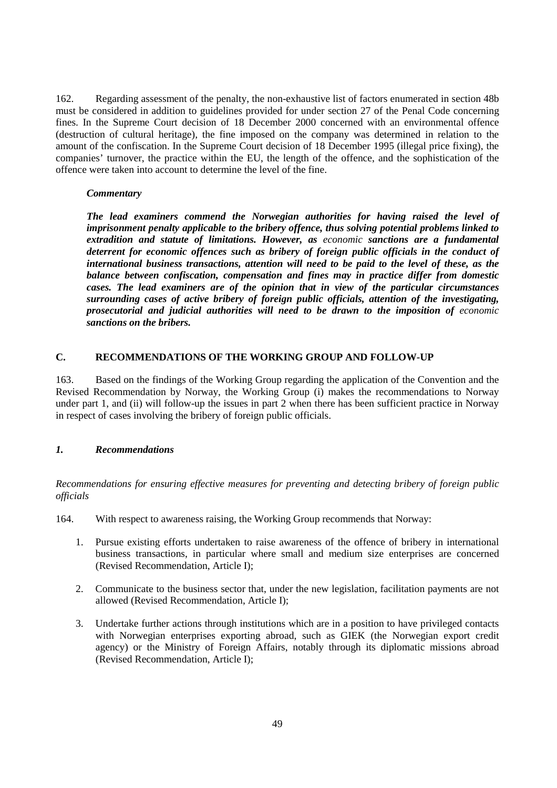162. Regarding assessment of the penalty, the non-exhaustive list of factors enumerated in section 48b must be considered in addition to guidelines provided for under section 27 of the Penal Code concerning fines. In the Supreme Court decision of 18 December 2000 concerned with an environmental offence (destruction of cultural heritage), the fine imposed on the company was determined in relation to the amount of the confiscation. In the Supreme Court decision of 18 December 1995 (illegal price fixing), the companies' turnover, the practice within the EU, the length of the offence, and the sophistication of the offence were taken into account to determine the level of the fine.

#### *Commentary*

*The lead examiners commend the Norwegian authorities for having raised the level of imprisonment penalty applicable to the bribery offence, thus solving potential problems linked to extradition and statute of limitations. However, as economic sanctions are a fundamental deterrent for economic offences such as bribery of foreign public officials in the conduct of international business transactions, attention will need to be paid to the level of these, as the balance between confiscation, compensation and fines may in practice differ from domestic cases. The lead examiners are of the opinion that in view of the particular circumstances surrounding cases of active bribery of foreign public officials, attention of the investigating,*  **prosecutorial and judicial authorities will need to be drawn to the imposition of economic** *sanctions on the bribers.* 

## **C. RECOMMENDATIONS OF THE WORKING GROUP AND FOLLOW-UP**

163. Based on the findings of the Working Group regarding the application of the Convention and the Revised Recommendation by Norway, the Working Group (i) makes the recommendations to Norway under part 1, and (ii) will follow-up the issues in part 2 when there has been sufficient practice in Norway in respect of cases involving the bribery of foreign public officials.

#### *1. Recommendations*

*Recommendations for ensuring effective measures for preventing and detecting bribery of foreign public officials* 

- 164. With respect to awareness raising, the Working Group recommends that Norway:
	- 1. Pursue existing efforts undertaken to raise awareness of the offence of bribery in international business transactions, in particular where small and medium size enterprises are concerned (Revised Recommendation, Article I);
	- 2. Communicate to the business sector that, under the new legislation, facilitation payments are not allowed (Revised Recommendation, Article I);
	- 3. Undertake further actions through institutions which are in a position to have privileged contacts with Norwegian enterprises exporting abroad, such as GIEK (the Norwegian export credit agency) or the Ministry of Foreign Affairs, notably through its diplomatic missions abroad (Revised Recommendation, Article I);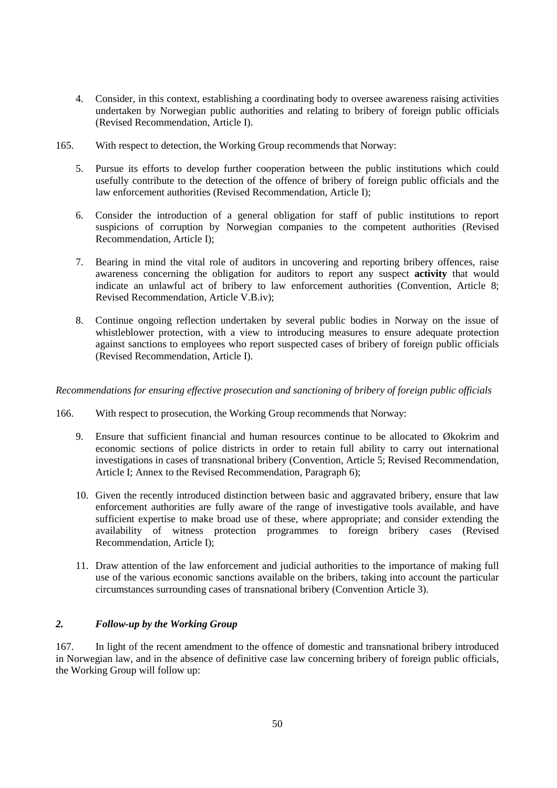- 4. Consider, in this context, establishing a coordinating body to oversee awareness raising activities undertaken by Norwegian public authorities and relating to bribery of foreign public officials (Revised Recommendation, Article I).
- 165. With respect to detection, the Working Group recommends that Norway:
	- 5. Pursue its efforts to develop further cooperation between the public institutions which could usefully contribute to the detection of the offence of bribery of foreign public officials and the law enforcement authorities (Revised Recommendation, Article I);
	- 6. Consider the introduction of a general obligation for staff of public institutions to report suspicions of corruption by Norwegian companies to the competent authorities (Revised Recommendation, Article I);
	- 7. Bearing in mind the vital role of auditors in uncovering and reporting bribery offences, raise awareness concerning the obligation for auditors to report any suspect **activity** that would indicate an unlawful act of bribery to law enforcement authorities (Convention, Article 8; Revised Recommendation, Article V.B.iv);
	- 8. Continue ongoing reflection undertaken by several public bodies in Norway on the issue of whistleblower protection, with a view to introducing measures to ensure adequate protection against sanctions to employees who report suspected cases of bribery of foreign public officials (Revised Recommendation, Article I).

#### *Recommendations for ensuring effective prosecution and sanctioning of bribery of foreign public officials*

- 166. With respect to prosecution, the Working Group recommends that Norway:
	- 9. Ensure that sufficient financial and human resources continue to be allocated to Økokrim and economic sections of police districts in order to retain full ability to carry out international investigations in cases of transnational bribery (Convention, Article 5; Revised Recommendation, Article I; Annex to the Revised Recommendation, Paragraph 6);
	- 10. Given the recently introduced distinction between basic and aggravated bribery, ensure that law enforcement authorities are fully aware of the range of investigative tools available, and have sufficient expertise to make broad use of these, where appropriate; and consider extending the availability of witness protection programmes to foreign bribery cases (Revised Recommendation, Article I);
	- 11. Draw attention of the law enforcement and judicial authorities to the importance of making full use of the various economic sanctions available on the bribers, taking into account the particular circumstances surrounding cases of transnational bribery (Convention Article 3).

## *2. Follow-up by the Working Group*

167. In light of the recent amendment to the offence of domestic and transnational bribery introduced in Norwegian law, and in the absence of definitive case law concerning bribery of foreign public officials, the Working Group will follow up: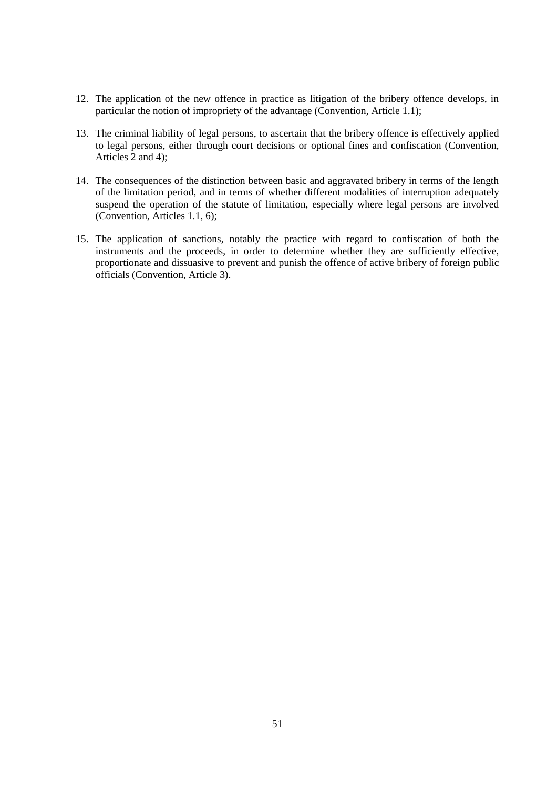- 12. The application of the new offence in practice as litigation of the bribery offence develops, in particular the notion of impropriety of the advantage (Convention, Article 1.1);
- 13. The criminal liability of legal persons, to ascertain that the bribery offence is effectively applied to legal persons, either through court decisions or optional fines and confiscation (Convention, Articles 2 and 4);
- 14. The consequences of the distinction between basic and aggravated bribery in terms of the length of the limitation period, and in terms of whether different modalities of interruption adequately suspend the operation of the statute of limitation, especially where legal persons are involved (Convention, Articles 1.1, 6);
- 15. The application of sanctions, notably the practice with regard to confiscation of both the instruments and the proceeds, in order to determine whether they are sufficiently effective, proportionate and dissuasive to prevent and punish the offence of active bribery of foreign public officials (Convention, Article 3).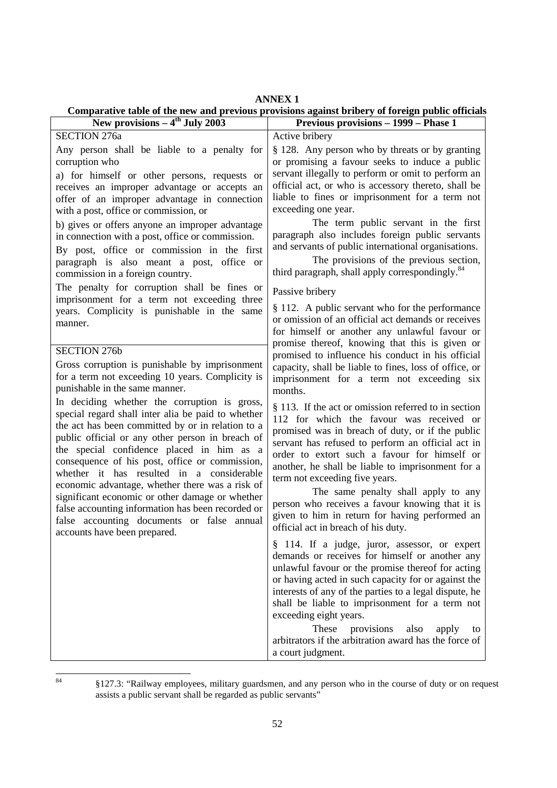**ANNEX 1** 

| Comparative table of the new and previous provisions against bribery of foreign public officials |                                                                                                   |  |  |  |
|--------------------------------------------------------------------------------------------------|---------------------------------------------------------------------------------------------------|--|--|--|
| New provisions $-4th$ July 2003                                                                  | <b>Previous provisions - 1999 - Phase 1</b>                                                       |  |  |  |
| <b>SECTION 276a</b>                                                                              | Active bribery                                                                                    |  |  |  |
| Any person shall be liable to a penalty for                                                      | § 128. Any person who by threats or by granting                                                   |  |  |  |
| corruption who                                                                                   | or promising a favour seeks to induce a public                                                    |  |  |  |
| a) for himself or other persons, requests or                                                     | servant illegally to perform or omit to perform an                                                |  |  |  |
| receives an improper advantage or accepts an                                                     | official act, or who is accessory thereto, shall be                                               |  |  |  |
| offer of an improper advantage in connection<br>with a post, office or commission, or            | liable to fines or imprisonment for a term not<br>exceeding one year.                             |  |  |  |
| b) gives or offers anyone an improper advantage                                                  | The term public servant in the first                                                              |  |  |  |
| in connection with a post, office or commission.                                                 | paragraph also includes foreign public servants                                                   |  |  |  |
| By post, office or commission in the first                                                       | and servants of public international organisations.                                               |  |  |  |
| paragraph is also meant a post, office or                                                        | The provisions of the previous section,                                                           |  |  |  |
| commission in a foreign country.                                                                 | third paragraph, shall apply correspondingly. <sup>84</sup>                                       |  |  |  |
| The penalty for corruption shall be fines or<br>imprisonment for a term not exceeding three      | Passive bribery                                                                                   |  |  |  |
| years. Complicity is punishable in the same                                                      | § 112. A public servant who for the performance                                                   |  |  |  |
| manner.                                                                                          | or omission of an official act demands or receives                                                |  |  |  |
|                                                                                                  | for himself or another any unlawful favour or<br>promise thereof, knowing that this is given or   |  |  |  |
| <b>SECTION 276b</b>                                                                              | promised to influence his conduct in his official                                                 |  |  |  |
| Gross corruption is punishable by imprisonment                                                   | capacity, shall be liable to fines, loss of office, or                                            |  |  |  |
| for a term not exceeding 10 years. Complicity is                                                 | imprisonment for a term not exceeding six                                                         |  |  |  |
| punishable in the same manner.                                                                   | months.                                                                                           |  |  |  |
| In deciding whether the corruption is gross,                                                     | § 113. If the act or omission referred to in section                                              |  |  |  |
| special regard shall inter alia be paid to whether                                               | 112 for which the favour was received or                                                          |  |  |  |
| the act has been committed by or in relation to a                                                | promised was in breach of duty, or if the public                                                  |  |  |  |
| public official or any other person in breach of<br>the special confidence placed in him as a    | servant has refused to perform an official act in                                                 |  |  |  |
| consequence of his post, office or commission,                                                   | order to extort such a favour for himself or                                                      |  |  |  |
| whether it has resulted in a considerable                                                        | another, he shall be liable to imprisonment for a                                                 |  |  |  |
| economic advantage, whether there was a risk of                                                  | term not exceeding five years.                                                                    |  |  |  |
| significant economic or other damage or whether                                                  | The same penalty shall apply to any                                                               |  |  |  |
| false accounting information has been recorded or                                                | person who receives a favour knowing that it is<br>given to him in return for having performed an |  |  |  |
| false accounting documents or false annual                                                       | official act in breach of his duty.                                                               |  |  |  |
| accounts have been prepared.                                                                     | § 114. If a judge, juror, assessor, or expert                                                     |  |  |  |
|                                                                                                  | demands or receives for himself or another any                                                    |  |  |  |
|                                                                                                  | unlawful favour or the promise thereof for acting                                                 |  |  |  |
|                                                                                                  | or having acted in such capacity for or against the                                               |  |  |  |
|                                                                                                  | interests of any of the parties to a legal dispute, he                                            |  |  |  |
|                                                                                                  | shall be liable to imprisonment for a term not                                                    |  |  |  |
|                                                                                                  | exceeding eight years.                                                                            |  |  |  |
|                                                                                                  | These<br>provisions<br>also<br>apply<br>to                                                        |  |  |  |
|                                                                                                  | arbitrators if the arbitration award has the force of                                             |  |  |  |
|                                                                                                  | a court judgment.                                                                                 |  |  |  |

 $\overline{84}$ 

<sup>84 §127.3: &</sup>quot;Railway employees, military guardsmen, and any person who in the course of duty or on request assists a public servant shall be regarded as public servants"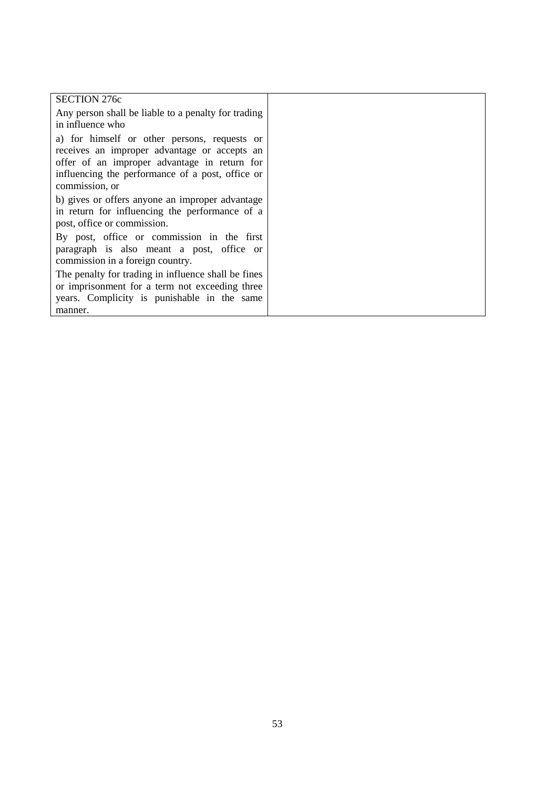## SECTION 276c

Any person shall be liable to a penalty for trading in influence who

a) for himself or other persons, requests or receives an improper advantage or accepts an offer of an improper advantage in return for influencing the performance of a post, office or commission, or

b) gives or offers anyone an improper advantage in return for influencing the performance of a post, office or commission.

By post, office or commission in the first paragraph is also meant a post, office or commission in a foreign country.

The penalty for trading in influence shall be fines or imprisonment for a term not exceeding three years. Complicity is punishable in the same manner.